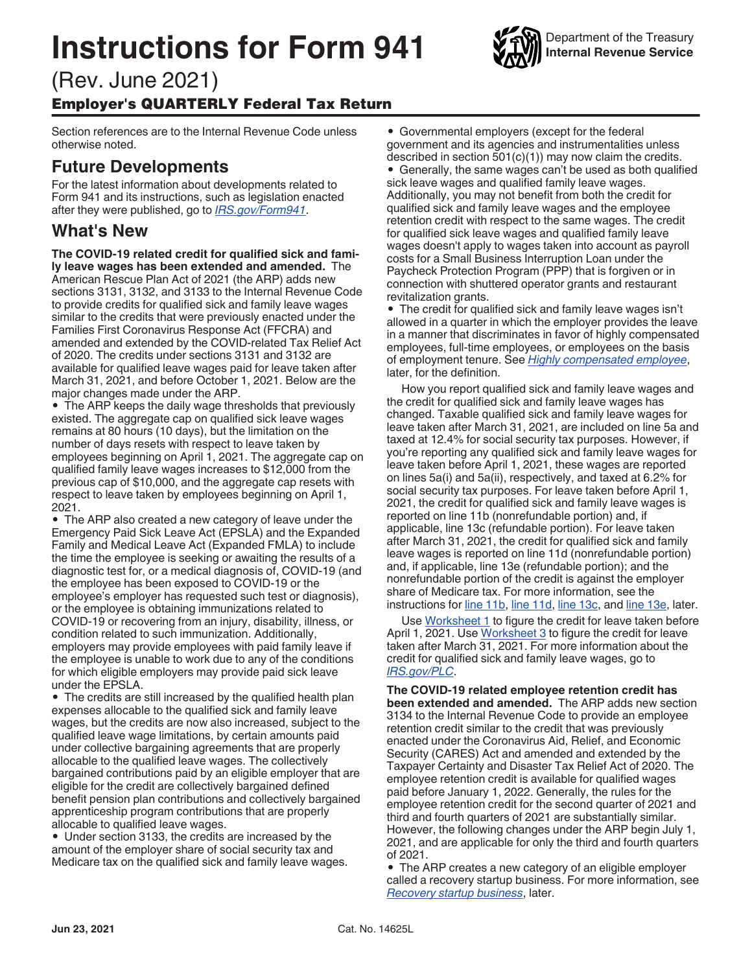# **Instructions for Form 941**



Section references are to the Internal Revenue Code unless otherwise noted.

## **Future Developments**

For the latest information about developments related to Form 941 and its instructions, such as legislation enacted after they were published, go to *[IRS.gov/Form941](https://www.irs.gov/form941)*.

## **What's New**

**The COVID-19 related credit for qualified sick and family leave wages has been extended and amended.** The American Rescue Plan Act of 2021 (the ARP) adds new sections 3131, 3132, and 3133 to the Internal Revenue Code to provide credits for qualified sick and family leave wages similar to the credits that were previously enacted under the Families First Coronavirus Response Act (FFCRA) and amended and extended by the COVID-related Tax Relief Act of 2020. The credits under sections 3131 and 3132 are available for qualified leave wages paid for leave taken after March 31, 2021, and before October 1, 2021. Below are the major changes made under the ARP.

• The ARP keeps the daily wage thresholds that previously existed. The aggregate cap on qualified sick leave wages remains at 80 hours (10 days), but the limitation on the number of days resets with respect to leave taken by employees beginning on April 1, 2021. The aggregate cap on qualified family leave wages increases to \$12,000 from the previous cap of \$10,000, and the aggregate cap resets with respect to leave taken by employees beginning on April 1, 2021.

• The ARP also created a new category of leave under the Emergency Paid Sick Leave Act (EPSLA) and the Expanded Family and Medical Leave Act (Expanded FMLA) to include the time the employee is seeking or awaiting the results of a diagnostic test for, or a medical diagnosis of, COVID-19 (and the employee has been exposed to COVID-19 or the employee's employer has requested such test or diagnosis), or the employee is obtaining immunizations related to COVID-19 or recovering from an injury, disability, illness, or condition related to such immunization. Additionally, employers may provide employees with paid family leave if the employee is unable to work due to any of the conditions for which eligible employers may provide paid sick leave under the EPSLA.

• The credits are still increased by the qualified health plan expenses allocable to the qualified sick and family leave wages, but the credits are now also increased, subject to the qualified leave wage limitations, by certain amounts paid under collective bargaining agreements that are properly allocable to the qualified leave wages. The collectively bargained contributions paid by an eligible employer that are eligible for the credit are collectively bargained defined benefit pension plan contributions and collectively bargained apprenticeship program contributions that are properly allocable to qualified leave wages.

• Under section 3133, the credits are increased by the amount of the employer share of social security tax and Medicare tax on the qualified sick and family leave wages.

• Governmental employers (except for the federal government and its agencies and instrumentalities unless described in section 501(c)(1)) may now claim the credits.

• Generally, the same wages can't be used as both qualified sick leave wages and qualified family leave wages. Additionally, you may not benefit from both the credit for qualified sick and family leave wages and the employee retention credit with respect to the same wages. The credit for qualified sick leave wages and qualified family leave wages doesn't apply to wages taken into account as payroll costs for a Small Business Interruption Loan under the Paycheck Protection Program (PPP) that is forgiven or in connection with shuttered operator grants and restaurant revitalization grants.

• The credit for qualified sick and family leave wages isn't allowed in a quarter in which the employer provides the leave in a manner that discriminates in favor of highly compensated employees, full-time employees, or employees on the basis of employment tenure. See *[Highly compensated employee](#page-16-0)*, later, for the definition.

How you report qualified sick and family leave wages and the credit for qualified sick and family leave wages has changed. Taxable qualified sick and family leave wages for leave taken after March 31, 2021, are included on line 5a and taxed at 12.4% for social security tax purposes. However, if you're reporting any qualified sick and family leave wages for leave taken before April 1, 2021, these wages are reported on lines 5a(i) and 5a(ii), respectively, and taxed at 6.2% for social security tax purposes. For leave taken before April 1, 2021, the credit for qualified sick and family leave wages is reported on line 11b (nonrefundable portion) and, if applicable, line 13c (refundable portion). For leave taken after March 31, 2021, the credit for qualified sick and family leave wages is reported on line 11d (nonrefundable portion) and, if applicable, line 13e (refundable portion); and the nonrefundable portion of the credit is against the employer share of Medicare tax. For more information, see the instructions for [line 11b,](#page-13-0) [line 11d](#page-15-0), [line 13c,](#page-17-0) and [line 13e,](#page-18-0) later.

Use [Worksheet 1](#page-24-0) to figure the credit for leave taken before April 1, 2021. Use [Worksheet 3](#page-26-0) to figure the credit for leave taken after March 31, 2021. For more information about the credit for qualified sick and family leave wages, go to *[IRS.gov/PLC](https://www.irs.gov/PLC)*.

**The COVID-19 related employee retention credit has been extended and amended.** The ARP adds new section 3134 to the Internal Revenue Code to provide an employee retention credit similar to the credit that was previously enacted under the Coronavirus Aid, Relief, and Economic Security (CARES) Act and amended and extended by the Taxpayer Certainty and Disaster Tax Relief Act of 2020. The employee retention credit is available for qualified wages paid before January 1, 2022. Generally, the rules for the employee retention credit for the second quarter of 2021 and third and fourth quarters of 2021 are substantially similar. However, the following changes under the ARP begin July 1, 2021, and are applicable for only the third and fourth quarters of 2021.

• The ARP creates a new category of an eligible employer called a recovery startup business. For more information, see *[Recovery startup business](#page-15-0)*, later.

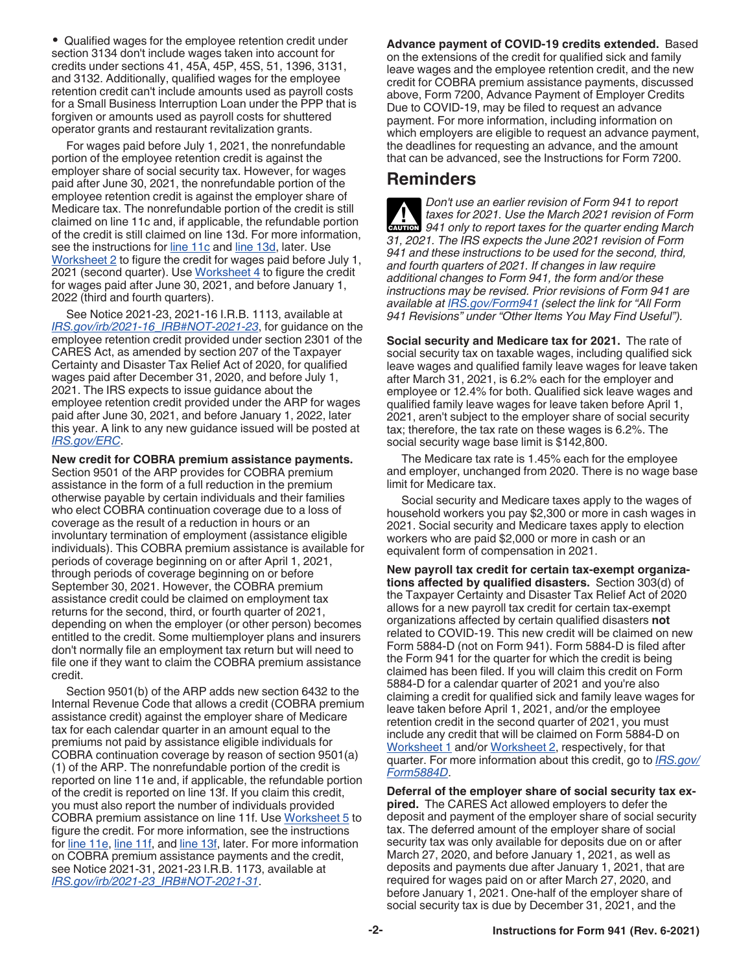• Qualified wages for the employee retention credit under section 3134 don't include wages taken into account for credits under sections 41, 45A, 45P, 45S, 51, 1396, 3131, and 3132. Additionally, qualified wages for the employee retention credit can't include amounts used as payroll costs for a Small Business Interruption Loan under the PPP that is forgiven or amounts used as payroll costs for shuttered operator grants and restaurant revitalization grants.

For wages paid before July 1, 2021, the nonrefundable portion of the employee retention credit is against the employer share of social security tax. However, for wages paid after June 30, 2021, the nonrefundable portion of the employee retention credit is against the employer share of Medicare tax. The nonrefundable portion of the credit is still claimed on line 11c and, if applicable, the refundable portion of the credit is still claimed on line 13d. For more information, see the instructions for [line 11c](#page-14-0) and [line 13d,](#page-17-0) later. Use [Worksheet 2](#page-25-0) to figure the credit for wages paid before July 1, 2021 (second quarter). Use [Worksheet 4](#page-27-0) to figure the credit for wages paid after June 30, 2021, and before January 1, 2022 (third and fourth quarters).

See Notice 2021-23, 2021-16 I.R.B. 1113, available at *[IRS.gov/irb/2021-16\\_IRB#NOT-2021-23](https://www.irs.gov/irb/2021-16_IRB#NOT-2021-23)*, for guidance on the employee retention credit provided under section 2301 of the CARES Act, as amended by section 207 of the Taxpayer Certainty and Disaster Tax Relief Act of 2020, for qualified wages paid after December 31, 2020, and before July 1, 2021. The IRS expects to issue guidance about the employee retention credit provided under the ARP for wages paid after June 30, 2021, and before January 1, 2022, later this year. A link to any new guidance issued will be posted at *[IRS.gov/ERC](https://www.irs.gov/ERC)*.

**New credit for COBRA premium assistance payments.**  Section 9501 of the ARP provides for COBRA premium assistance in the form of a full reduction in the premium otherwise payable by certain individuals and their families who elect COBRA continuation coverage due to a loss of coverage as the result of a reduction in hours or an involuntary termination of employment (assistance eligible individuals). This COBRA premium assistance is available for periods of coverage beginning on or after April 1, 2021, through periods of coverage beginning on or before September 30, 2021. However, the COBRA premium assistance credit could be claimed on employment tax returns for the second, third, or fourth quarter of 2021, depending on when the employer (or other person) becomes entitled to the credit. Some multiemployer plans and insurers don't normally file an employment tax return but will need to file one if they want to claim the COBRA premium assistance credit.

Section 9501(b) of the ARP adds new section 6432 to the Internal Revenue Code that allows a credit (COBRA premium assistance credit) against the employer share of Medicare tax for each calendar quarter in an amount equal to the premiums not paid by assistance eligible individuals for COBRA continuation coverage by reason of section 9501(a) (1) of the ARP. The nonrefundable portion of the credit is reported on line 11e and, if applicable, the refundable portion of the credit is reported on line 13f. If you claim this credit, you must also report the number of individuals provided COBRA premium assistance on line 11f. Use [Worksheet 5](#page-28-0) to figure the credit. For more information, see the instructions for [line 11e](#page-17-0), [line 11f](#page-17-0), and [line 13f,](#page-18-0) later. For more information on COBRA premium assistance payments and the credit, see Notice 2021-31, 2021-23 I.R.B. 1173, available at *[IRS.gov/irb/2021-23\\_IRB#NOT-2021-31](https://www.irs.gov/irb/2021-23_IRB#NOT-2021-31)*.

**Advance payment of COVID-19 credits extended.** Based on the extensions of the credit for qualified sick and family leave wages and the employee retention credit, and the new credit for COBRA premium assistance payments, discussed above, Form 7200, Advance Payment of Employer Credits Due to COVID-19, may be filed to request an advance payment. For more information, including information on which employers are eligible to request an advance payment, the deadlines for requesting an advance, and the amount that can be advanced, see the Instructions for Form 7200.

## **Reminders**

*Don't use an earlier revision of Form 941 to report taxes for 2021. Use the March 2021 revision of Form*  **CAUTION** taxes for 2021. Use the March 2021 revision of Form<br> **CAUTION** 941 only to report taxes for the quarter ending March *31, 2021. The IRS expects the June 2021 revision of Form 941 and these instructions to be used for the second, third, and fourth quarters of 2021. If changes in law require additional changes to Form 941, the form and/or these instructions may be revised. Prior revisions of Form 941 are available at [IRS.gov/Form941](https://www.irs.gov/form941) (select the link for "All Form 941 Revisions" under "Other Items You May Find Useful").*

**Social security and Medicare tax for 2021.** The rate of social security tax on taxable wages, including qualified sick leave wages and qualified family leave wages for leave taken after March 31, 2021, is 6.2% each for the employer and employee or 12.4% for both. Qualified sick leave wages and qualified family leave wages for leave taken before April 1, 2021, aren't subject to the employer share of social security tax; therefore, the tax rate on these wages is 6.2%. The social security wage base limit is \$142,800.

The Medicare tax rate is 1.45% each for the employee and employer, unchanged from 2020. There is no wage base limit for Medicare tax.

Social security and Medicare taxes apply to the wages of household workers you pay \$2,300 or more in cash wages in 2021. Social security and Medicare taxes apply to election workers who are paid \$2,000 or more in cash or an equivalent form of compensation in 2021.

**New payroll tax credit for certain tax-exempt organizations affected by qualified disasters.** Section 303(d) of the Taxpayer Certainty and Disaster Tax Relief Act of 2020 allows for a new payroll tax credit for certain tax-exempt organizations affected by certain qualified disasters **not**  related to COVID-19. This new credit will be claimed on new Form 5884-D (not on Form 941). Form 5884-D is filed after the Form 941 for the quarter for which the credit is being claimed has been filed. If you will claim this credit on Form 5884-D for a calendar quarter of 2021 and you're also claiming a credit for qualified sick and family leave wages for leave taken before April 1, 2021, and/or the employee retention credit in the second quarter of 2021, you must include any credit that will be claimed on Form 5884-D on [Worksheet 1](#page-24-0) and/or [Worksheet 2](#page-25-0), respectively, for that quarter. For more information about this credit, go to *[IRS.gov/](https://www.irs.gov/form5884d) [Form5884D](https://www.irs.gov/form5884d)*.

**Deferral of the employer share of social security tax expired.** The CARES Act allowed employers to defer the deposit and payment of the employer share of social security tax. The deferred amount of the employer share of social security tax was only available for deposits due on or after March 27, 2020, and before January 1, 2021, as well as deposits and payments due after January 1, 2021, that are required for wages paid on or after March 27, 2020, and before January 1, 2021. One-half of the employer share of social security tax is due by December 31, 2021, and the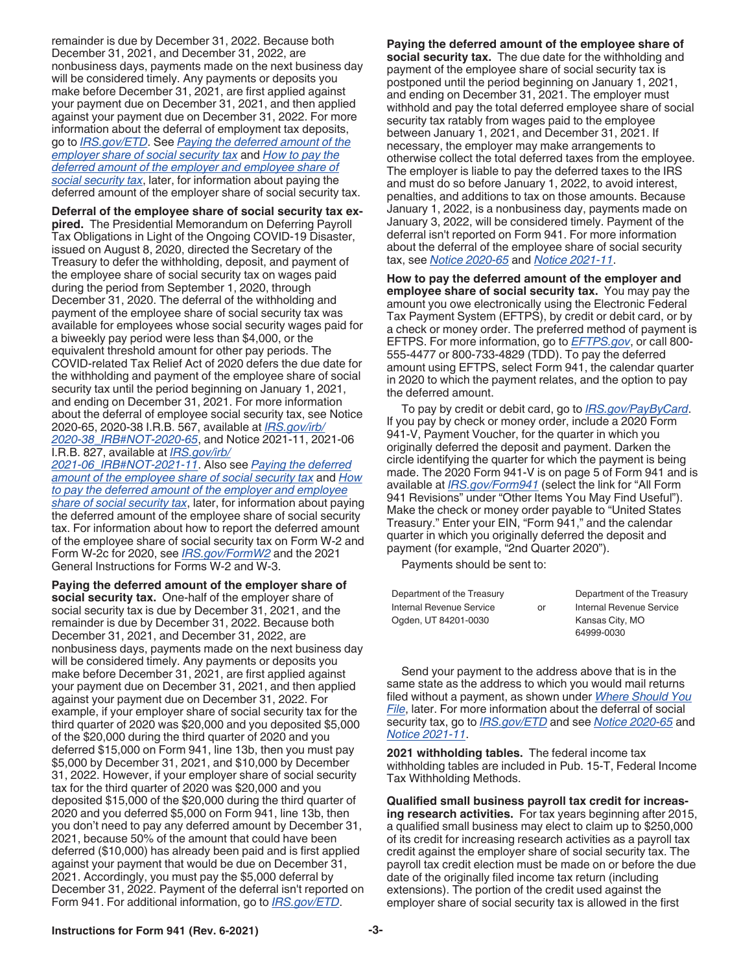remainder is due by December 31, 2022. Because both December 31, 2021, and December 31, 2022, are nonbusiness days, payments made on the next business day will be considered timely. Any payments or deposits you make before December 31, 2021, are first applied against your payment due on December 31, 2021, and then applied against your payment due on December 31, 2022. For more information about the deferral of employment tax deposits, go to *[IRS.gov/ETD](https://www.irs.gov/etd)*. See *Paying the deferred amount of the employer share of social security tax* and *How to pay the deferred amount of the employer and employee share of social security tax*, later, for information about paying the deferred amount of the employer share of social security tax.

**Deferral of the employee share of social security tax expired.** The Presidential Memorandum on Deferring Payroll Tax Obligations in Light of the Ongoing COVID-19 Disaster, issued on August 8, 2020, directed the Secretary of the Treasury to defer the withholding, deposit, and payment of the employee share of social security tax on wages paid during the period from September 1, 2020, through December 31, 2020. The deferral of the withholding and payment of the employee share of social security tax was available for employees whose social security wages paid for a biweekly pay period were less than \$4,000, or the equivalent threshold amount for other pay periods. The COVID-related Tax Relief Act of 2020 defers the due date for the withholding and payment of the employee share of social security tax until the period beginning on January 1, 2021, and ending on December 31, 2021. For more information about the deferral of employee social security tax, see Notice 2020-65, 2020-38 I.R.B. 567, available at *[IRS.gov/irb/](https://www.irs.gov/irb/2020-38_IRB#NOT-2020-65) [2020-38\\_IRB#NOT-2020-65](https://www.irs.gov/irb/2020-38_IRB#NOT-2020-65)*, and Notice 2021-11, 2021-06 I.R.B. 827, available at *[IRS.gov/irb/](https://www.irs.gov/irb/2021-06_IRB#NOT-2021-11)*

*[2021-06\\_IRB#NOT-2021-11](https://www.irs.gov/irb/2021-06_IRB#NOT-2021-11)*. Also see *Paying the deferred amount of the employee share of social security tax* and *How to pay the deferred amount of the employer and employee share of social security tax*, later, for information about paying the deferred amount of the employee share of social security tax. For information about how to report the deferred amount of the employee share of social security tax on Form W-2 and Form W-2c for 2020, see *[IRS.gov/FormW2](https://www.irs.gov/formW2)* and the 2021 General Instructions for Forms W-2 and W-3.

**Paying the deferred amount of the employer share of social security tax.** One-half of the employer share of social security tax is due by December 31, 2021, and the remainder is due by December 31, 2022. Because both December 31, 2021, and December 31, 2022, are nonbusiness days, payments made on the next business day will be considered timely. Any payments or deposits you make before December 31, 2021, are first applied against your payment due on December 31, 2021, and then applied against your payment due on December 31, 2022. For example, if your employer share of social security tax for the third quarter of 2020 was \$20,000 and you deposited \$5,000 of the \$20,000 during the third quarter of 2020 and you deferred \$15,000 on Form 941, line 13b, then you must pay \$5,000 by December 31, 2021, and \$10,000 by December 31, 2022. However, if your employer share of social security tax for the third quarter of 2020 was \$20,000 and you deposited \$15,000 of the \$20,000 during the third quarter of 2020 and you deferred \$5,000 on Form 941, line 13b, then you don't need to pay any deferred amount by December 31, 2021, because 50% of the amount that could have been deferred (\$10,000) has already been paid and is first applied against your payment that would be due on December 31, 2021. Accordingly, you must pay the \$5,000 deferral by December 31, 2022. Payment of the deferral isn't reported on Form 941. For additional information, go to *[IRS.gov/ETD](https://www.irs.gov/etd)*.

**Paying the deferred amount of the employee share of social security tax.** The due date for the withholding and payment of the employee share of social security tax is postponed until the period beginning on January 1, 2021, and ending on December 31, 2021. The employer must withhold and pay the total deferred employee share of social security tax ratably from wages paid to the employee between January 1, 2021, and December 31, 2021. If necessary, the employer may make arrangements to otherwise collect the total deferred taxes from the employee. The employer is liable to pay the deferred taxes to the IRS and must do so before January 1, 2022, to avoid interest, penalties, and additions to tax on those amounts. Because January 1, 2022, is a nonbusiness day, payments made on January 3, 2022, will be considered timely. Payment of the deferral isn't reported on Form 941. For more information about the deferral of the employee share of social security tax, see *[Notice 2020-65](https://www.irs.gov/irb/2020-38_IRB#NOT-2020-65)* and *[Notice 2021-11](https://www.irs.gov/irb/2021-06_IRB#NOT-2021-11)*.

**How to pay the deferred amount of the employer and employee share of social security tax.** You may pay the amount you owe electronically using the Electronic Federal Tax Payment System (EFTPS), by credit or debit card, or by a check or money order. The preferred method of payment is EFTPS. For more information, go to *[EFTPS.gov](https://www.eftps.gov)*, or call 800- 555-4477 or 800-733-4829 (TDD). To pay the deferred amount using EFTPS, select Form 941, the calendar quarter in 2020 to which the payment relates, and the option to pay the deferred amount.

To pay by credit or debit card, go to *[IRS.gov/PayByCard](https://www.irs.gov/paybycard)*. If you pay by check or money order, include a 2020 Form 941-V, Payment Voucher, for the quarter in which you originally deferred the deposit and payment. Darken the circle identifying the quarter for which the payment is being made. The 2020 Form 941-V is on page 5 of Form 941 and is available at *[IRS.gov/Form941](https://www.irs.gov/form941)* (select the link for "All Form 941 Revisions" under "Other Items You May Find Useful"). Make the check or money order payable to "United States Treasury." Enter your EIN, "Form 941," and the calendar quarter in which you originally deferred the deposit and payment (for example, "2nd Quarter 2020").

Payments should be sent to:

| Department of the Treasury |    | Department of the Treasury |
|----------------------------|----|----------------------------|
| Internal Revenue Service   | or | Internal Revenue Service   |
| Ogden, UT 84201-0030       |    | Kansas City, MO            |
|                            |    | 64999-0030                 |

Send your payment to the address above that is in the same state as the address to which you would mail returns filed without a payment, as shown under *[Where Should You](#page-7-0) [File](#page-7-0)*, later. For more information about the deferral of social security tax, go to *[IRS.gov/ETD](https://www.irs.gov/etd)* and see *[Notice 2020-65](https://www.irs.gov/irb/2020-38_IRB#NOT-2020-65)* and *[Notice 2021-11](https://www.irs.gov/irb/2021-06_IRB#NOT-2021-11)*.

**2021 withholding tables.** The federal income tax withholding tables are included in Pub. 15-T, Federal Income Tax Withholding Methods.

**Qualified small business payroll tax credit for increasing research activities.** For tax years beginning after 2015, a qualified small business may elect to claim up to \$250,000 of its credit for increasing research activities as a payroll tax credit against the employer share of social security tax. The payroll tax credit election must be made on or before the due date of the originally filed income tax return (including extensions). The portion of the credit used against the employer share of social security tax is allowed in the first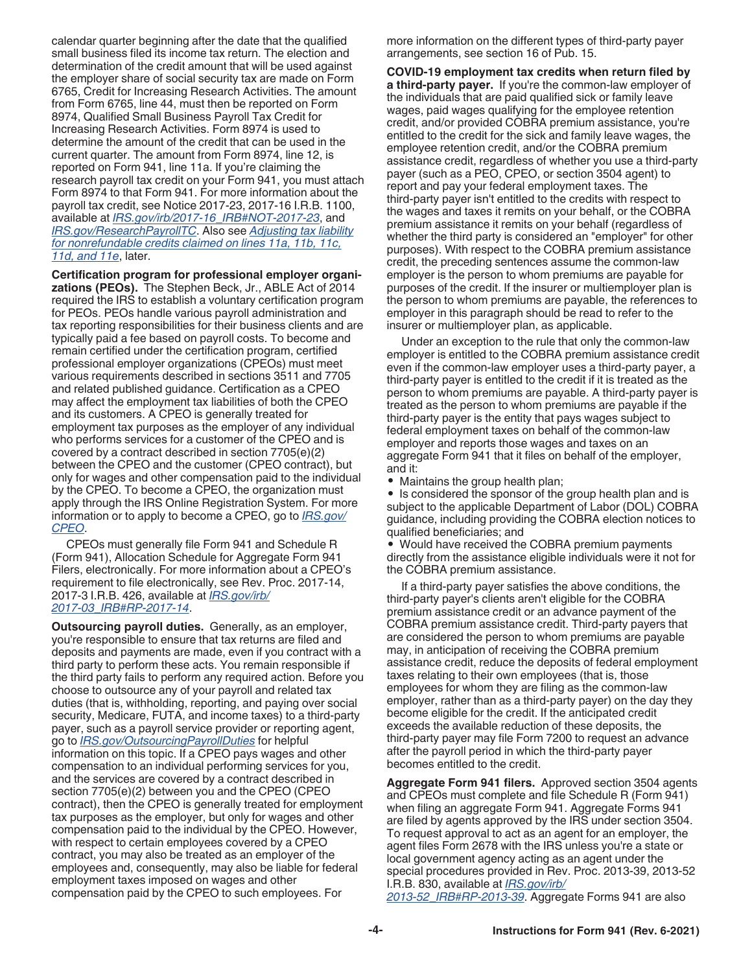<span id="page-3-0"></span>calendar quarter beginning after the date that the qualified small business filed its income tax return. The election and determination of the credit amount that will be used against the employer share of social security tax are made on Form 6765, Credit for Increasing Research Activities. The amount from Form 6765, line 44, must then be reported on Form 8974, Qualified Small Business Payroll Tax Credit for Increasing Research Activities. Form 8974 is used to determine the amount of the credit that can be used in the current quarter. The amount from Form 8974, line 12, is reported on Form 941, line 11a. If you're claiming the research payroll tax credit on your Form 941, you must attach Form 8974 to that Form 941. For more information about the payroll tax credit, see Notice 2017-23, 2017-16 I.R.B. 1100, available at *[IRS.gov/irb/2017-16\\_IRB#NOT-2017-23](https://www.irs.gov/irb/2017-16_IRB#NOT-2017-23)*, and *[IRS.gov/ResearchPayrollTC](https://www.irs.gov/researchpayrolltc)*. Also see *[Adjusting tax liability](#page-19-0)  [for nonrefundable credits claimed on lines 11a, 11b, 11c,](#page-19-0) [11d, and 11e](#page-19-0)*, later.

**Certification program for professional employer organizations (PEOs).** The Stephen Beck, Jr., ABLE Act of 2014 required the IRS to establish a voluntary certification program for PEOs. PEOs handle various payroll administration and tax reporting responsibilities for their business clients and are typically paid a fee based on payroll costs. To become and remain certified under the certification program, certified professional employer organizations (CPEOs) must meet various requirements described in sections 3511 and 7705 and related published guidance. Certification as a CPEO may affect the employment tax liabilities of both the CPEO and its customers. A CPEO is generally treated for employment tax purposes as the employer of any individual who performs services for a customer of the CPEO and is covered by a contract described in section 7705(e)(2) between the CPEO and the customer (CPEO contract), but only for wages and other compensation paid to the individual by the CPEO. To become a CPEO, the organization must apply through the IRS Online Registration System. For more information or to apply to become a CPEO, go to *[IRS.gov/](https://www.irs.gov/cpeo) [CPEO](https://www.irs.gov/cpeo)*.

CPEOs must generally file Form 941 and Schedule R (Form 941), Allocation Schedule for Aggregate Form 941 Filers, electronically. For more information about a CPEO's requirement to file electronically, see Rev. Proc. 2017-14, 2017-3 I.R.B. 426, available at *[IRS.gov/irb/](https://www.irs.gov/irb/2017-03_IRB#RP-2017-14) [2017-03\\_IRB#RP-2017-14](https://www.irs.gov/irb/2017-03_IRB#RP-2017-14)*.

**Outsourcing payroll duties.** Generally, as an employer, you're responsible to ensure that tax returns are filed and deposits and payments are made, even if you contract with a third party to perform these acts. You remain responsible if the third party fails to perform any required action. Before you choose to outsource any of your payroll and related tax duties (that is, withholding, reporting, and paying over social security, Medicare, FUTA, and income taxes) to a third-party payer, such as a payroll service provider or reporting agent, go to *[IRS.gov/OutsourcingPayrollDuties](https://www.irs.gov/outsourcingpayrollduties)* for helpful information on this topic. If a CPEO pays wages and other compensation to an individual performing services for you, and the services are covered by a contract described in section 7705(e)(2) between you and the CPEO (CPEO contract), then the CPEO is generally treated for employment tax purposes as the employer, but only for wages and other compensation paid to the individual by the CPEO. However, with respect to certain employees covered by a CPEO contract, you may also be treated as an employer of the employees and, consequently, may also be liable for federal employment taxes imposed on wages and other compensation paid by the CPEO to such employees. For

more information on the different types of third-party payer arrangements, see section 16 of Pub. 15.

**COVID-19 employment tax credits when return filed by a third-party payer.** If you're the common-law employer of the individuals that are paid qualified sick or family leave wages, paid wages qualifying for the employee retention credit, and/or provided COBRA premium assistance, you're entitled to the credit for the sick and family leave wages, the employee retention credit, and/or the COBRA premium assistance credit, regardless of whether you use a third-party payer (such as a PEO, CPEO, or section 3504 agent) to report and pay your federal employment taxes. The third-party payer isn't entitled to the credits with respect to the wages and taxes it remits on your behalf, or the COBRA premium assistance it remits on your behalf (regardless of whether the third party is considered an "employer" for other purposes). With respect to the COBRA premium assistance credit, the preceding sentences assume the common-law employer is the person to whom premiums are payable for purposes of the credit. If the insurer or multiemployer plan is the person to whom premiums are payable, the references to employer in this paragraph should be read to refer to the insurer or multiemployer plan, as applicable.

Under an exception to the rule that only the common-law employer is entitled to the COBRA premium assistance credit even if the common-law employer uses a third-party payer, a third-party payer is entitled to the credit if it is treated as the person to whom premiums are payable. A third-party payer is treated as the person to whom premiums are payable if the third-party payer is the entity that pays wages subject to federal employment taxes on behalf of the common-law employer and reports those wages and taxes on an aggregate Form 941 that it files on behalf of the employer, and it:

• Maintains the group health plan;

• Is considered the sponsor of the group health plan and is subject to the applicable Department of Labor (DOL) COBRA guidance, including providing the COBRA election notices to qualified beneficiaries; and

• Would have received the COBRA premium payments directly from the assistance eligible individuals were it not for the COBRA premium assistance.

If a third-party payer satisfies the above conditions, the third-party payer's clients aren't eligible for the COBRA premium assistance credit or an advance payment of the COBRA premium assistance credit. Third-party payers that are considered the person to whom premiums are payable may, in anticipation of receiving the COBRA premium assistance credit, reduce the deposits of federal employment taxes relating to their own employees (that is, those employees for whom they are filing as the common-law employer, rather than as a third-party payer) on the day they become eligible for the credit. If the anticipated credit exceeds the available reduction of these deposits, the third-party payer may file Form 7200 to request an advance after the payroll period in which the third-party payer becomes entitled to the credit.

**Aggregate Form 941 filers.** Approved section 3504 agents and CPEOs must complete and file Schedule R (Form 941) when filing an aggregate Form 941. Aggregate Forms 941 are filed by agents approved by the IRS under section 3504. To request approval to act as an agent for an employer, the agent files Form 2678 with the IRS unless you're a state or local government agency acting as an agent under the special procedures provided in Rev. Proc. 2013-39, 2013-52 I.R.B. 830, available at *[IRS.gov/irb/](https://www.irs.gov/irb/2013-52_IRB#RP-2013-39) [2013-52\\_IRB#RP-2013-39](https://www.irs.gov/irb/2013-52_IRB#RP-2013-39)*. Aggregate Forms 941 are also

**-4- Instructions for Form 941 (Rev. 6-2021)**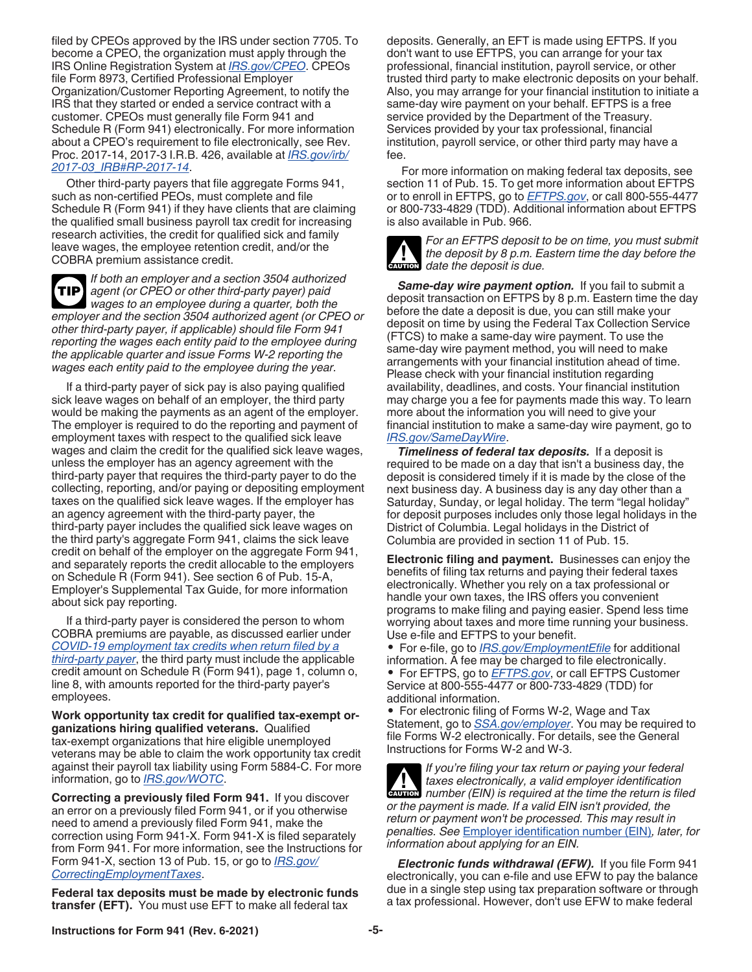<span id="page-4-0"></span>filed by CPEOs approved by the IRS under section 7705. To become a CPEO, the organization must apply through the IRS Online Registration System at *[IRS.gov/CPEO](https://www.irs.gov/cpeo)*. CPEOs file Form 8973, Certified Professional Employer Organization/Customer Reporting Agreement, to notify the IRS that they started or ended a service contract with a customer. CPEOs must generally file Form 941 and Schedule R (Form 941) electronically. For more information about a CPEO's requirement to file electronically, see Rev. Proc. 2017-14, 2017-3 I.R.B. 426, available at *[IRS.gov/irb/](https://www.irs.gov/irb/2017-03_IRB#RP-2017-14) [2017-03\\_IRB#RP-2017-14](https://www.irs.gov/irb/2017-03_IRB#RP-2017-14)*.

Other third-party payers that file aggregate Forms 941, such as non-certified PEOs, must complete and file Schedule R (Form 941) if they have clients that are claiming the qualified small business payroll tax credit for increasing research activities, the credit for qualified sick and family leave wages, the employee retention credit, and/or the COBRA premium assistance credit.

*If both an employer and a section 3504 authorized agent (or CPEO or other third-party payer) paid wages to an employee during a quarter, both the employer and the section 3504 authorized agent (or CPEO or other third-party payer, if applicable) should file Form 941 reporting the wages each entity paid to the employee during the applicable quarter and issue Forms W-2 reporting the wages each entity paid to the employee during the year.* **TIP**

If a third-party payer of sick pay is also paying qualified sick leave wages on behalf of an employer, the third party would be making the payments as an agent of the employer. The employer is required to do the reporting and payment of employment taxes with respect to the qualified sick leave wages and claim the credit for the qualified sick leave wages, unless the employer has an agency agreement with the third-party payer that requires the third-party payer to do the collecting, reporting, and/or paying or depositing employment taxes on the qualified sick leave wages. If the employer has an agency agreement with the third-party payer, the third-party payer includes the qualified sick leave wages on the third party's aggregate Form 941, claims the sick leave credit on behalf of the employer on the aggregate Form 941, and separately reports the credit allocable to the employers on Schedule R (Form 941). See section 6 of Pub. 15-A, Employer's Supplemental Tax Guide, for more information about sick pay reporting.

If a third-party payer is considered the person to whom COBRA premiums are payable, as discussed earlier under *[COVID-19 employment tax credits when return filed by a](#page-3-0) [third-party payer](#page-3-0)*, the third party must include the applicable credit amount on Schedule R (Form 941), page 1, column o, line 8, with amounts reported for the third-party payer's employees.

**Work opportunity tax credit for qualified tax-exempt organizations hiring qualified veterans.** Qualified tax-exempt organizations that hire eligible unemployed veterans may be able to claim the work opportunity tax credit against their payroll tax liability using Form 5884-C. For more information, go to *[IRS.gov/WOTC](https://www.irs.gov/wotc)*.

**Correcting a previously filed Form 941.** If you discover an error on a previously filed Form 941, or if you otherwise need to amend a previously filed Form 941, make the correction using Form 941-X. Form 941-X is filed separately from Form 941. For more information, see the Instructions for Form 941-X, section 13 of Pub. 15, or go to *[IRS.gov/](https://www.irs.gov/correctingemploymenttaxes) [CorrectingEmploymentTaxes](https://www.irs.gov/correctingemploymenttaxes)*.

**Federal tax deposits must be made by electronic funds transfer (EFT).** You must use EFT to make all federal tax

deposits. Generally, an EFT is made using EFTPS. If you don't want to use EFTPS, you can arrange for your tax professional, financial institution, payroll service, or other trusted third party to make electronic deposits on your behalf. Also, you may arrange for your financial institution to initiate a same-day wire payment on your behalf. EFTPS is a free service provided by the Department of the Treasury. Services provided by your tax professional, financial institution, payroll service, or other third party may have a fee.

For more information on making federal tax deposits, see section 11 of Pub. 15. To get more information about EFTPS or to enroll in EFTPS, go to *[EFTPS.gov](https://www.eftps.gov)*, or call 800-555-4477 or 800-733-4829 (TDD). Additional information about EFTPS is also available in Pub. 966.



*For an EFTPS deposit to be on time, you must submit the deposit by 8 p.m. Eastern time the day before the*  **d** the deposit by 8 p.m. Example the deposit is due.

*Same-day wire payment option.* If you fail to submit a deposit transaction on EFTPS by 8 p.m. Eastern time the day before the date a deposit is due, you can still make your deposit on time by using the Federal Tax Collection Service (FTCS) to make a same-day wire payment. To use the same-day wire payment method, you will need to make arrangements with your financial institution ahead of time. Please check with your financial institution regarding availability, deadlines, and costs. Your financial institution may charge you a fee for payments made this way. To learn more about the information you will need to give your financial institution to make a same-day wire payment, go to *[IRS.gov/SameDayWire](https://www.irs.gov/samedaywire)*.

*Timeliness of federal tax deposits.* If a deposit is required to be made on a day that isn't a business day, the deposit is considered timely if it is made by the close of the next business day. A business day is any day other than a Saturday, Sunday, or legal holiday. The term "legal holiday" for deposit purposes includes only those legal holidays in the District of Columbia. Legal holidays in the District of Columbia are provided in section 11 of Pub. 15.

**Electronic filing and payment.** Businesses can enjoy the benefits of filing tax returns and paying their federal taxes electronically. Whether you rely on a tax professional or handle your own taxes, the IRS offers you convenient programs to make filing and paying easier. Spend less time worrying about taxes and more time running your business. Use e-file and EFTPS to your benefit.

• For e-file, go to *[IRS.gov/EmploymentEfile](https://www.irs.gov/employmentefile)* for additional information. A fee may be charged to file electronically. • For EFTPS, go to *[EFTPS.gov](https://www.eftps.gov)*, or call EFTPS Customer Service at 800-555-4477 or 800-733-4829 (TDD) for additional information.

• For electronic filing of Forms W-2, Wage and Tax Statement, go to *[SSA.gov/employer](https://www.ssa.gov/employer)*. You may be required to file Forms W-2 electronically. For details, see the General Instructions for Forms W-2 and W-3.

*If you're filing your tax return or paying your federal taxes electronically, a valid employer identification*  **z** taxes electronically, a valid employer identification number (EIN) is required at the time the return is filed *or the payment is made. If a valid EIN isn't provided, the return or payment won't be processed. This may result in penalties. See* [Employer identification number \(EIN\)](#page-7-0)*, later, for information about applying for an EIN.*

*Electronic funds withdrawal (EFW).* If you file Form 941 electronically, you can e-file and use EFW to pay the balance due in a single step using tax preparation software or through a tax professional. However, don't use EFW to make federal

**Instructions for Form 941 (Rev. 6-2021) -5-**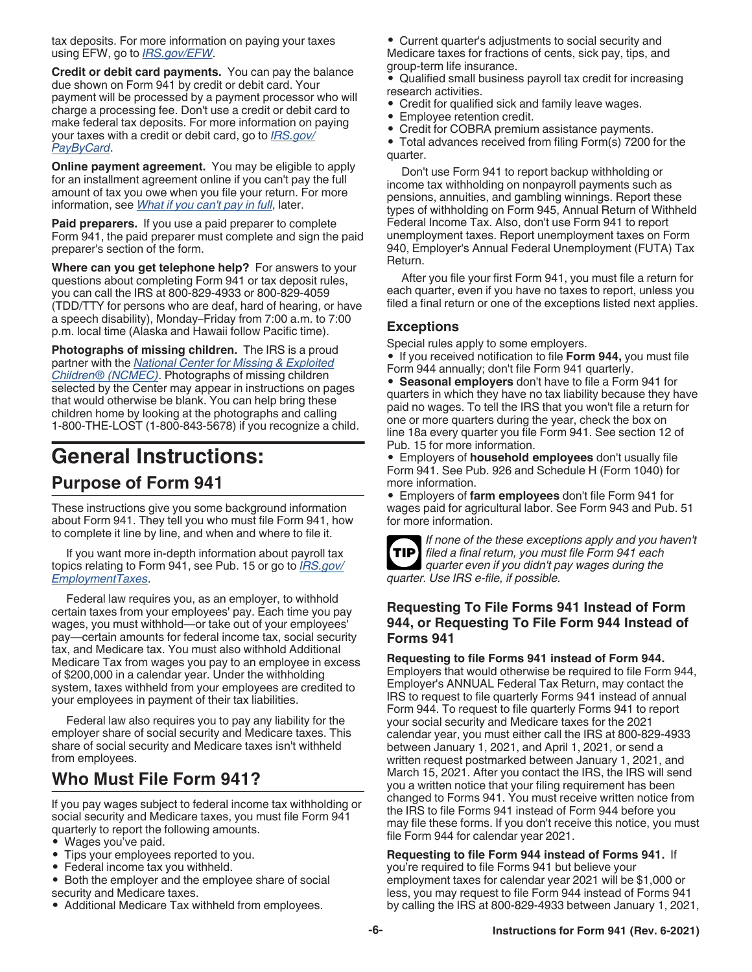<span id="page-5-0"></span>tax deposits. For more information on paying your taxes using EFW, go to *[IRS.gov/EFW](https://www.irs.gov/efw)*.

**Credit or debit card payments.** You can pay the balance due shown on Form 941 by credit or debit card. Your payment will be processed by a payment processor who will charge a processing fee. Don't use a credit or debit card to make federal tax deposits. For more information on paying your taxes with a credit or debit card, go to *[IRS.gov/](https://www.irs.gov/paybycard) [PayByCard](https://www.irs.gov/paybycard)*.

**Online payment agreement.** You may be eligible to apply for an installment agreement online if you can't pay the full amount of tax you owe when you file your return. For more information, see *[What if you can't pay in full](#page-18-0)*, later.

**Paid preparers.** If you use a paid preparer to complete Form 941, the paid preparer must complete and sign the paid preparer's section of the form.

**Where can you get telephone help?** For answers to your questions about completing Form 941 or tax deposit rules, you can call the IRS at 800-829-4933 or 800-829-4059 (TDD/TTY for persons who are deaf, hard of hearing, or have a speech disability), Monday–Friday from 7:00 a.m. to 7:00 p.m. local time (Alaska and Hawaii follow Pacific time).

**Photographs of missing children.** The IRS is a proud partner with the *[National Center for Missing & Exploited](https://www.missingkids.org) [Children® \(NCMEC\)](https://www.missingkids.org)*. Photographs of missing children selected by the Center may appear in instructions on pages that would otherwise be blank. You can help bring these children home by looking at the photographs and calling 1-800-THE-LOST (1-800-843-5678) if you recognize a child.

## **General Instructions: Purpose of Form 941**

These instructions give you some background information about Form 941. They tell you who must file Form 941, how to complete it line by line, and when and where to file it.

If you want more in-depth information about payroll tax topics relating to Form 941, see Pub. 15 or go to *[IRS.gov/](https://www.irs.gov/employmenttaxes) [EmploymentTaxes](https://www.irs.gov/employmenttaxes)*.

Federal law requires you, as an employer, to withhold certain taxes from your employees' pay. Each time you pay wages, you must withhold—or take out of your employees' pay—certain amounts for federal income tax, social security tax, and Medicare tax. You must also withhold Additional Medicare Tax from wages you pay to an employee in excess of \$200,000 in a calendar year. Under the withholding system, taxes withheld from your employees are credited to your employees in payment of their tax liabilities.

Federal law also requires you to pay any liability for the employer share of social security and Medicare taxes. This share of social security and Medicare taxes isn't withheld from employees.

## **Who Must File Form 941?**

If you pay wages subject to federal income tax withholding or social security and Medicare taxes, you must file Form 941 quarterly to report the following amounts.

- Wages you've paid.
- Tips your employees reported to you.
- Federal income tax you withheld.
- Both the employer and the employee share of social security and Medicare taxes.
- Additional Medicare Tax withheld from employees.

• Current quarter's adjustments to social security and Medicare taxes for fractions of cents, sick pay, tips, and group-term life insurance.

- Qualified small business payroll tax credit for increasing research activities.
- Credit for qualified sick and family leave wages.
- Employee retention credit.
- Credit for COBRA premium assistance payments.

• Total advances received from filing Form(s) 7200 for the quarter.

Don't use Form 941 to report backup withholding or income tax withholding on nonpayroll payments such as pensions, annuities, and gambling winnings. Report these types of withholding on Form 945, Annual Return of Withheld Federal Income Tax. Also, don't use Form 941 to report unemployment taxes. Report unemployment taxes on Form 940, Employer's Annual Federal Unemployment (FUTA) Tax Return.

After you file your first Form 941, you must file a return for each quarter, even if you have no taxes to report, unless you filed a final return or one of the exceptions listed next applies.

## **Exceptions**

Special rules apply to some employers.

• If you received notification to file **Form 944,** you must file Form 944 annually; don't file Form 941 quarterly.

• **Seasonal employers** don't have to file a Form 941 for quarters in which they have no tax liability because they have paid no wages. To tell the IRS that you won't file a return for one or more quarters during the year, check the box on line 18a every quarter you file Form 941. See section 12 of Pub. 15 for more information.

• Employers of **household employees** don't usually file Form 941. See Pub. 926 and Schedule H (Form 1040) for more information.

• Employers of **farm employees** don't file Form 941 for wages paid for agricultural labor. See Form 943 and Pub. 51 for more information.



*If none of the these exceptions apply and you haven't filed a final return, you must file Form 941 each quarter even if you didn't pay wages during the quarter. Use IRS e-file, if possible.*

### **Requesting To File Forms 941 Instead of Form 944, or Requesting To File Form 944 Instead of Forms 941**

**Requesting to file Forms 941 instead of Form 944.** 

Employers that would otherwise be required to file Form 944, Employer's ANNUAL Federal Tax Return, may contact the IRS to request to file quarterly Forms 941 instead of annual Form 944. To request to file quarterly Forms 941 to report your social security and Medicare taxes for the 2021 calendar year, you must either call the IRS at 800-829-4933 between January 1, 2021, and April 1, 2021, or send a written request postmarked between January 1, 2021, and March 15, 2021. After you contact the IRS, the IRS will send you a written notice that your filing requirement has been changed to Forms 941. You must receive written notice from the IRS to file Forms 941 instead of Form 944 before you may file these forms. If you don't receive this notice, you must file Form 944 for calendar year 2021.

## **Requesting to file Form 944 instead of Forms 941.** If

you're required to file Forms 941 but believe your employment taxes for calendar year 2021 will be \$1,000 or less, you may request to file Form 944 instead of Forms 941 by calling the IRS at 800-829-4933 between January 1, 2021,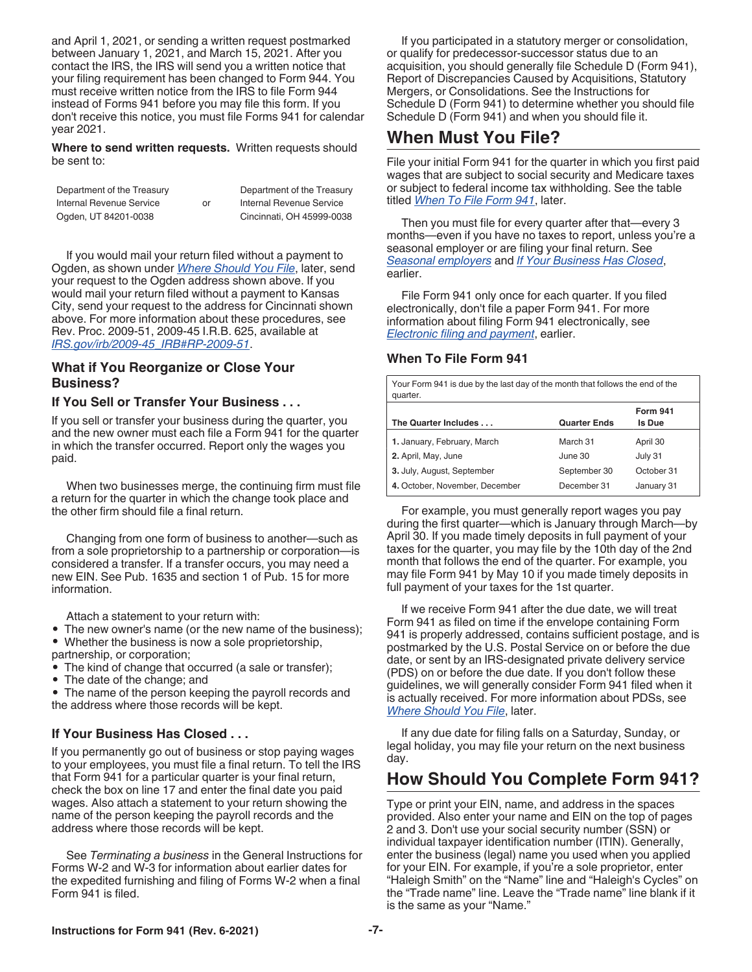<span id="page-6-0"></span>and April 1, 2021, or sending a written request postmarked between January 1, 2021, and March 15, 2021. After you contact the IRS, the IRS will send you a written notice that your filing requirement has been changed to Form 944. You must receive written notice from the IRS to file Form 944 instead of Forms 941 before you may file this form. If you don't receive this notice, you must file Forms 941 for calendar year 2021.

**Where to send written requests.** Written requests should be sent to:

| Department of the Treasury |    | Department of the Treasury |
|----------------------------|----|----------------------------|
| Internal Revenue Service   | or | Internal Revenue Service   |
| Ogden, UT 84201-0038       |    | Cincinnati, OH 45999-0038  |

If you would mail your return filed without a payment to Ogden, as shown under *[Where Should You File](#page-7-0)*, later, send your request to the Ogden address shown above. If you would mail your return filed without a payment to Kansas City, send your request to the address for Cincinnati shown above. For more information about these procedures, see Rev. Proc. 2009-51, 2009-45 I.R.B. 625, available at *[IRS.gov/irb/2009-45\\_IRB#RP-2009-51](https://www.irs.gov/irb/2009-45_IRB#RP-2009-51)*.

#### **What if You Reorganize or Close Your Business?**

#### **If You Sell or Transfer Your Business . . .**

If you sell or transfer your business during the quarter, you and the new owner must each file a Form 941 for the quarter in which the transfer occurred. Report only the wages you paid.

When two businesses merge, the continuing firm must file a return for the quarter in which the change took place and the other firm should file a final return.

Changing from one form of business to another—such as from a sole proprietorship to a partnership or corporation—is considered a transfer. If a transfer occurs, you may need a new EIN. See Pub. 1635 and section 1 of Pub. 15 for more information.

Attach a statement to your return with:

• The new owner's name (or the new name of the business);

• Whether the business is now a sole proprietorship,

- partnership, or corporation;
- The kind of change that occurred (a sale or transfer);
- The date of the change; and

• The name of the person keeping the payroll records and the address where those records will be kept.

#### **If Your Business Has Closed . . .**

If you permanently go out of business or stop paying wages to your employees, you must file a final return. To tell the IRS that Form 941 for a particular quarter is your final return, check the box on line 17 and enter the final date you paid wages. Also attach a statement to your return showing the name of the person keeping the payroll records and the address where those records will be kept.

See *Terminating a business* in the General Instructions for Forms W-2 and W-3 for information about earlier dates for the expedited furnishing and filing of Forms W-2 when a final Form 941 is filed.

If you participated in a statutory merger or consolidation, or qualify for predecessor-successor status due to an acquisition, you should generally file Schedule D (Form 941), Report of Discrepancies Caused by Acquisitions, Statutory Mergers, or Consolidations. See the Instructions for Schedule D (Form 941) to determine whether you should file Schedule D (Form 941) and when you should file it.

## **When Must You File?**

File your initial Form 941 for the quarter in which you first paid wages that are subject to social security and Medicare taxes or subject to federal income tax withholding. See the table titled *When To File Form 941*, later.

Then you must file for every quarter after that—every 3 months—even if you have no taxes to report, unless you're a seasonal employer or are filing your final return. See *[Seasonal employers](#page-5-0)* and *If Your Business Has Closed*, earlier.

File Form 941 only once for each quarter. If you filed electronically, don't file a paper Form 941. For more information about filing Form 941 electronically, see *[Electronic filing and payment](#page-4-0)*, earlier.

#### **When To File Form 941**

Your Form 941 is due by the last day of the month that follows the end of the quarter. **The Quarter Includes . . . Quarter Ends Form 941 Is Due** 1. January, February, March March 31 April 30 **2.** April, May, June **19. April, May, June 30** July 31 **3.** July, August, September September 30 October 31 **4.** October, November, December December 31 January 31

For example, you must generally report wages you pay during the first quarter—which is January through March—by April 30. If you made timely deposits in full payment of your taxes for the quarter, you may file by the 10th day of the 2nd month that follows the end of the quarter. For example, you may file Form 941 by May 10 if you made timely deposits in full payment of your taxes for the 1st quarter.

If we receive Form 941 after the due date, we will treat Form 941 as filed on time if the envelope containing Form 941 is properly addressed, contains sufficient postage, and is postmarked by the U.S. Postal Service on or before the due date, or sent by an IRS-designated private delivery service (PDS) on or before the due date. If you don't follow these guidelines, we will generally consider Form 941 filed when it is actually received. For more information about PDSs, see *[Where Should You File](#page-7-0)*, later.

If any due date for filing falls on a Saturday, Sunday, or legal holiday, you may file your return on the next business day.

## **How Should You Complete Form 941?**

Type or print your EIN, name, and address in the spaces provided. Also enter your name and EIN on the top of pages 2 and 3. Don't use your social security number (SSN) or individual taxpayer identification number (ITIN). Generally, enter the business (legal) name you used when you applied for your EIN. For example, if you're a sole proprietor, enter "Haleigh Smith" on the "Name" line and "Haleigh's Cycles" on the "Trade name" line. Leave the "Trade name" line blank if it is the same as your "Name."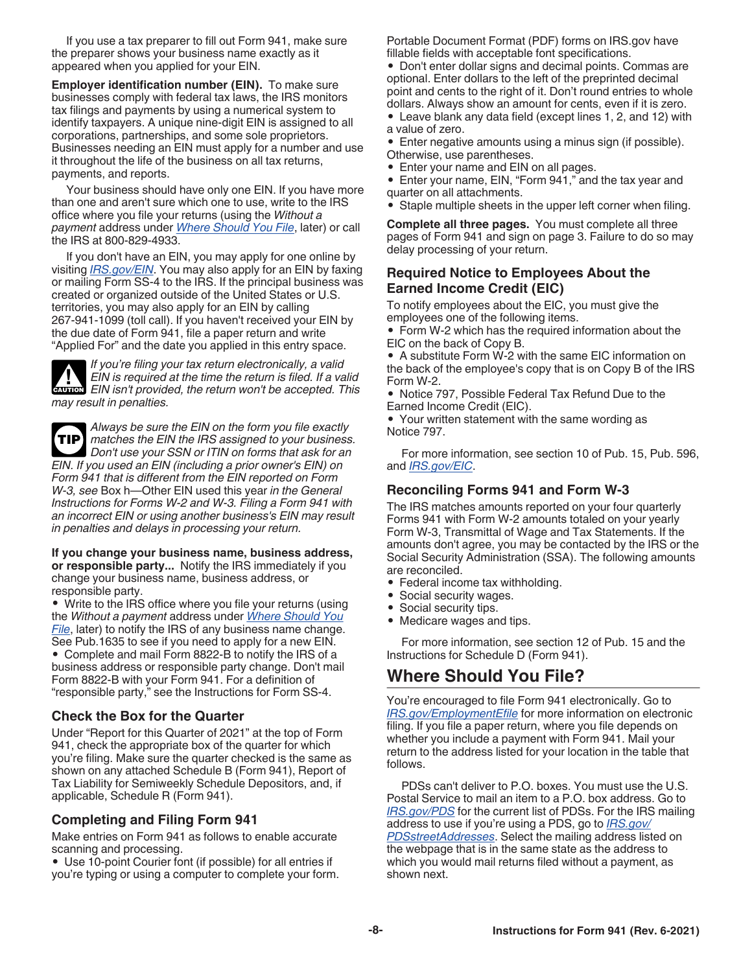<span id="page-7-0"></span>If you use a tax preparer to fill out Form 941, make sure the preparer shows your business name exactly as it appeared when you applied for your EIN.

**Employer identification number (EIN).** To make sure businesses comply with federal tax laws, the IRS monitors tax filings and payments by using a numerical system to identify taxpayers. A unique nine-digit EIN is assigned to all corporations, partnerships, and some sole proprietors. Businesses needing an EIN must apply for a number and use it throughout the life of the business on all tax returns, payments, and reports.

Your business should have only one EIN. If you have more than one and aren't sure which one to use, write to the IRS office where you file your returns (using the *Without a payment* address under *Where Should You File*, later) or call the IRS at 800-829-4933.

If you don't have an EIN, you may apply for one online by visiting *[IRS.gov/EIN](https://www.irs.gov/ein)*. You may also apply for an EIN by faxing or mailing Form SS-4 to the IRS. If the principal business was created or organized outside of the United States or U.S. territories, you may also apply for an EIN by calling 267-941-1099 (toll call). If you haven't received your EIN by the due date of Form 941, file a paper return and write "Applied For" and the date you applied in this entry space.

*If you're filing your tax return electronically, a valid EIN is required at the time the return is filed. If a valid*  **EIN** is required at the time the return is filed. If a valid **CAUTION**<br> **EIN** isn't provided, the return won't be accepted. This *may result in penalties.*

*Always be sure the EIN on the form you file exactly matches the EIN the IRS assigned to your business. Don't use your SSN or ITIN on forms that ask for an EIN. If you used an EIN (including a prior owner's EIN) on Form 941 that is different from the EIN reported on Form W-3, see* Box h—Other EIN used this year *in the General Instructions for Forms W-2 and W-3. Filing a Form 941 with an incorrect EIN or using another business's EIN may result in penalties and delays in processing your return.* **TIP**

**If you change your business name, business address, or responsible party...** Notify the IRS immediately if you change your business name, business address, or responsible party.

• Write to the IRS office where you file your returns (using the *Without a payment* address under *Where Should You File*, later) to notify the IRS of any business name change. See Pub.1635 to see if you need to apply for a new EIN. • Complete and mail Form 8822-B to notify the IRS of a business address or responsible party change. Don't mail Form 8822-B with your Form 941. For a definition of "responsible party," see the Instructions for Form SS-4.

## **Check the Box for the Quarter**

Under "Report for this Quarter of 2021" at the top of Form 941, check the appropriate box of the quarter for which you're filing. Make sure the quarter checked is the same as shown on any attached Schedule B (Form 941), Report of Tax Liability for Semiweekly Schedule Depositors, and, if applicable, Schedule R (Form 941).

#### **Completing and Filing Form 941**

Make entries on Form 941 as follows to enable accurate scanning and processing.

• Use 10-point Courier font (if possible) for all entries if you're typing or using a computer to complete your form.

Portable Document Format (PDF) forms on IRS.gov have fillable fields with acceptable font specifications.

• Don't enter dollar signs and decimal points. Commas are optional. Enter dollars to the left of the preprinted decimal point and cents to the right of it. Don't round entries to whole dollars. Always show an amount for cents, even if it is zero.

• Leave blank any data field (except lines 1, 2, and 12) with a value of zero.

• Enter negative amounts using a minus sign (if possible). Otherwise, use parentheses.

• Enter your name and EIN on all pages.

• Enter your name, EIN, "Form 941," and the tax year and quarter on all attachments.

• Staple multiple sheets in the upper left corner when filing.

**Complete all three pages.** You must complete all three pages of Form 941 and sign on page 3. Failure to do so may delay processing of your return.

## **Required Notice to Employees About the Earned Income Credit (EIC)**

To notify employees about the EIC, you must give the employees one of the following items.

• Form W-2 which has the required information about the EIC on the back of Copy B.

• A substitute Form W-2 with the same EIC information on the back of the employee's copy that is on Copy B of the IRS Form W-2.

• Notice 797, Possible Federal Tax Refund Due to the Earned Income Credit (EIC).

• Your written statement with the same wording as Notice 797.

For more information, see section 10 of Pub. 15, Pub. 596, and *[IRS.gov/EIC](https://www.irs.gov/eic)*.

## **Reconciling Forms 941 and Form W-3**

The IRS matches amounts reported on your four quarterly Forms 941 with Form W-2 amounts totaled on your yearly Form W-3, Transmittal of Wage and Tax Statements. If the amounts don't agree, you may be contacted by the IRS or the Social Security Administration (SSA). The following amounts are reconciled.

- Federal income tax withholding.
- Social security wages.
- Social security tips.
- Medicare wages and tips.

For more information, see section 12 of Pub. 15 and the Instructions for Schedule D (Form 941).

## **Where Should You File?**

You're encouraged to file Form 941 electronically. Go to *[IRS.gov/EmploymentEfile](https://www.irs.gov/employmentefile)* for more information on electronic filing. If you file a paper return, where you file depends on whether you include a payment with Form 941. Mail your return to the address listed for your location in the table that follows.

PDSs can't deliver to P.O. boxes. You must use the U.S. Postal Service to mail an item to a P.O. box address. Go to *[IRS.gov/PDS](https://www.irs.gov/pds)* for the current list of PDSs. For the IRS mailing address to use if you're using a PDS, go to *[IRS.gov/](https://www.irs.gov/pdsstreetaddresses) [PDSstreetAddresses](https://www.irs.gov/pdsstreetaddresses)*. Select the mailing address listed on the webpage that is in the same state as the address to which you would mail returns filed without a payment, as shown next.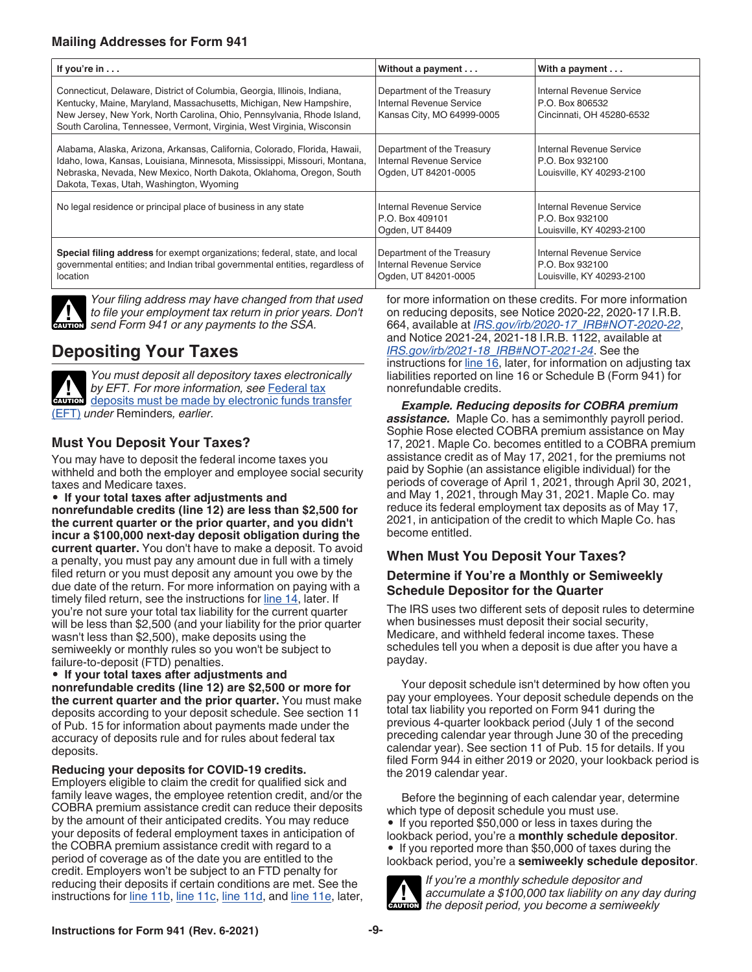<span id="page-8-0"></span>

| If you're $in \, \ldots$                                                                                                                                                                                                                                                                            | Without a payment                                                                    | With a payment $\dots$                                                   |
|-----------------------------------------------------------------------------------------------------------------------------------------------------------------------------------------------------------------------------------------------------------------------------------------------------|--------------------------------------------------------------------------------------|--------------------------------------------------------------------------|
| Connecticut, Delaware, District of Columbia, Georgia, Illinois, Indiana,<br>Kentucky, Maine, Maryland, Massachusetts, Michigan, New Hampshire,<br>New Jersey, New York, North Carolina, Ohio, Pennsylvania, Rhode Island,<br>South Carolina, Tennessee, Vermont, Virginia, West Virginia, Wisconsin | Department of the Treasury<br>Internal Revenue Service<br>Kansas City, MO 64999-0005 | Internal Revenue Service<br>P.O. Box 806532<br>Cincinnati, OH 45280-6532 |
| Alabama, Alaska, Arizona, Arkansas, California, Colorado, Florida, Hawaii,<br>Idaho, Iowa, Kansas, Louisiana, Minnesota, Mississippi, Missouri, Montana,<br>Nebraska, Nevada, New Mexico, North Dakota, Oklahoma, Oregon, South<br>Dakota, Texas, Utah, Washington, Wyoming                         | Department of the Treasury<br>Internal Revenue Service<br>Ogden, UT 84201-0005       | Internal Revenue Service<br>P.O. Box 932100<br>Louisville, KY 40293-2100 |
| No legal residence or principal place of business in any state                                                                                                                                                                                                                                      | Internal Revenue Service<br>P.O. Box 409101<br>Ogden, UT 84409                       | Internal Revenue Service<br>P.O. Box 932100<br>Louisville, KY 40293-2100 |
| Special filing address for exempt organizations; federal, state, and local<br>governmental entities; and Indian tribal governmental entities, regardless of<br>location                                                                                                                             | Department of the Treasury<br>Internal Revenue Service<br>Ogden, UT 84201-0005       | Internal Revenue Service<br>P.O. Box 932100<br>Louisville, KY 40293-2100 |

*Your filing address may have changed from that used to file your employment tax return in prior years. Don't*  to file your employment tax return in prior yearnow send Form 941 or any payments to the SSA.

## **Depositing Your Taxes**



*You must deposit all depository taxes electronically by EFT. For more information, see* [Federal tax](#page-4-0) [deposits must be made by electronic funds transfer](#page-4-0) [\(EFT\)](#page-4-0) *under* Reminders*, earlier.*

## **Must You Deposit Your Taxes?**

You may have to deposit the federal income taxes you withheld and both the employer and employee social security taxes and Medicare taxes.

• **If your total taxes after adjustments and nonrefundable credits (line 12) are less than \$2,500 for the current quarter or the prior quarter, and you didn't incur a \$100,000 next-day deposit obligation during the current quarter.** You don't have to make a deposit. To avoid a penalty, you must pay any amount due in full with a timely filed return or you must deposit any amount you owe by the due date of the return. For more information on paying with a timely filed return, see the instructions for [line 14,](#page-18-0) later. If you're not sure your total tax liability for the current quarter will be less than \$2,500 (and your liability for the prior quarter wasn't less than \$2,500), make deposits using the semiweekly or monthly rules so you won't be subject to failure-to-deposit (FTD) penalties.

• **If your total taxes after adjustments and nonrefundable credits (line 12) are \$2,500 or more for the current quarter and the prior quarter.** You must make deposits according to your deposit schedule. See section 11 of Pub. 15 for information about payments made under the accuracy of deposits rule and for rules about federal tax deposits.

#### **Reducing your deposits for COVID-19 credits.**

Employers eligible to claim the credit for qualified sick and family leave wages, the employee retention credit, and/or the COBRA premium assistance credit can reduce their deposits by the amount of their anticipated credits. You may reduce your deposits of federal employment taxes in anticipation of the COBRA premium assistance credit with regard to a period of coverage as of the date you are entitled to the credit. Employers won't be subject to an FTD penalty for reducing their deposits if certain conditions are met. See the instructions for [line 11b,](#page-13-0) [line 11c,](#page-14-0) [line 11d,](#page-15-0) and [line 11e,](#page-17-0) later,

for more information on these credits. For more information on reducing deposits, see Notice 2020-22, 2020-17 I.R.B. 664, available at *[IRS.gov/irb/2020-17\\_IRB#NOT-2020-22](https://www.irs.gov/irb/2020-17_IRB#NOT-2020-22)*, and Notice 2021-24, 2021-18 I.R.B. 1122, available at *[IRS.gov/irb/2021-18\\_IRB#NOT-2021-24](https://www.irs.gov/irb/2021-18_IRB#NOT-2021-24)*. See the instructions for [line 16](#page-19-0), later, for information on adjusting tax liabilities reported on line 16 or Schedule B (Form 941) for nonrefundable credits.

*Example. Reducing deposits for COBRA premium assistance.* Maple Co. has a semimonthly payroll period. Sophie Rose elected COBRA premium assistance on May 17, 2021. Maple Co. becomes entitled to a COBRA premium assistance credit as of May 17, 2021, for the premiums not paid by Sophie (an assistance eligible individual) for the periods of coverage of April 1, 2021, through April 30, 2021, and May 1, 2021, through May 31, 2021. Maple Co. may reduce its federal employment tax deposits as of May 17, 2021, in anticipation of the credit to which Maple Co. has become entitled.

## **When Must You Deposit Your Taxes?**

## **Determine if You're a Monthly or Semiweekly Schedule Depositor for the Quarter**

The IRS uses two different sets of deposit rules to determine when businesses must deposit their social security, Medicare, and withheld federal income taxes. These schedules tell you when a deposit is due after you have a payday.

Your deposit schedule isn't determined by how often you pay your employees. Your deposit schedule depends on the total tax liability you reported on Form 941 during the previous 4-quarter lookback period (July 1 of the second preceding calendar year through June 30 of the preceding calendar year). See section 11 of Pub. 15 for details. If you filed Form 944 in either 2019 or 2020, your lookback period is the 2019 calendar year.

Before the beginning of each calendar year, determine which type of deposit schedule you must use.

• If you reported \$50,000 or less in taxes during the lookback period, you're a **monthly schedule depositor**. • If you reported more than \$50,000 of taxes during the lookback period, you're a **semiweekly schedule depositor**.



*If you're a monthly schedule depositor and accumulate a \$100,000 tax liability on any day during*  **CAUTION** accumulate a \$100,000 tax liability on any day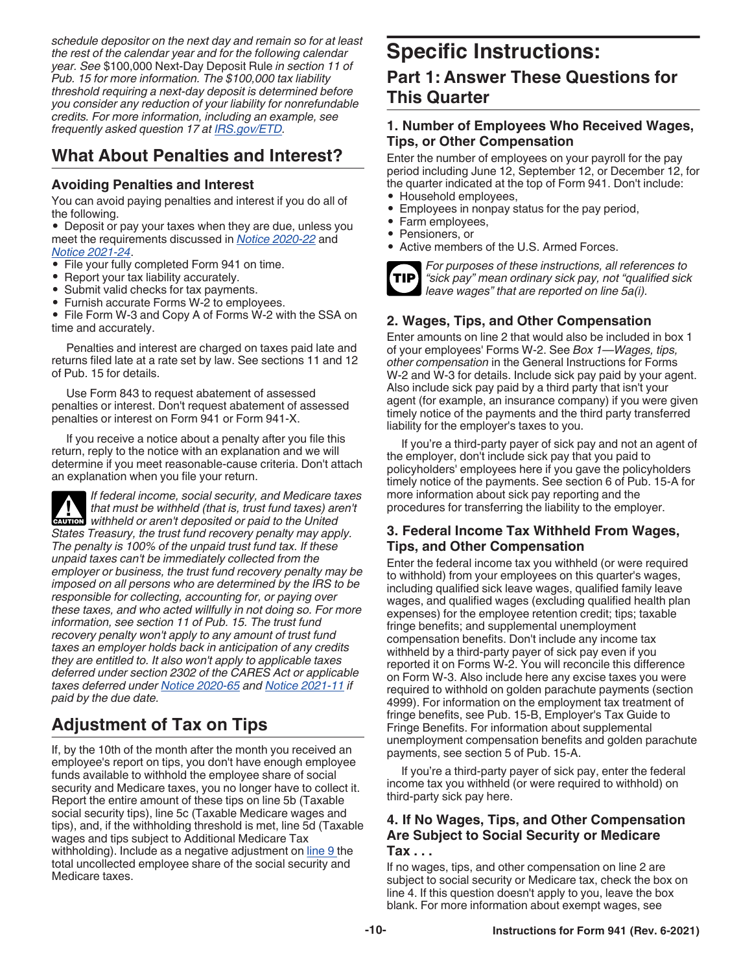*schedule depositor on the next day and remain so for at least the rest of the calendar year and for the following calendar year. See* \$100,000 Next-Day Deposit Rule *in section 11 of Pub. 15 for more information. The \$100,000 tax liability threshold requiring a next-day deposit is determined before you consider any reduction of your liability for nonrefundable credits. For more information, including an example, see frequently asked question 17 at [IRS.gov/ETD.](https://www.irs.gov/etd)*

## **What About Penalties and Interest?**

## **Avoiding Penalties and Interest**

You can avoid paying penalties and interest if you do all of the following.

• Deposit or pay your taxes when they are due, unless you meet the requirements discussed in *[Notice 2020-22](https://www.irs.gov/irb/2020-17_IRB#NOT-2020-22)* and *[Notice 2021-24](https://www.irs.gov/irb/2021-18_IRB#NOT-2021-24)*.

- File your fully completed Form 941 on time.
- Report your tax liability accurately.
- Submit valid checks for tax payments.
- Furnish accurate Forms W-2 to employees.

• File Form W-3 and Copy A of Forms W-2 with the SSA on time and accurately.

Penalties and interest are charged on taxes paid late and returns filed late at a rate set by law. See sections 11 and 12 of Pub. 15 for details.

Use Form 843 to request abatement of assessed penalties or interest. Don't request abatement of assessed penalties or interest on Form 941 or Form 941-X.

If you receive a notice about a penalty after you file this return, reply to the notice with an explanation and we will determine if you meet reasonable-cause criteria. Don't attach an explanation when you file your return.

*If federal income, social security, and Medicare taxes that must be withheld (that is, trust fund taxes) aren't*  **withheld or aren't deposited or paid to the United <b>CAUTION** *States Treasury, the trust fund recovery penalty may apply. The penalty is 100% of the unpaid trust fund tax. If these unpaid taxes can't be immediately collected from the employer or business, the trust fund recovery penalty may be imposed on all persons who are determined by the IRS to be responsible for collecting, accounting for, or paying over these taxes, and who acted willfully in not doing so. For more information, see section 11 of Pub. 15. The trust fund recovery penalty won't apply to any amount of trust fund taxes an employer holds back in anticipation of any credits they are entitled to. It also won't apply to applicable taxes deferred under section 2302 of the CARES Act or applicable taxes deferred under [Notice 2020-65](https://www.irs.gov/irb/2020-38_IRB#NOT-2020-65) and [Notice 2021-11](https://www.irs.gov/irb/2021-06_IRB#NOT-2021-11) if paid by the due date.*

## **Adjustment of Tax on Tips**

If, by the 10th of the month after the month you received an employee's report on tips, you don't have enough employee funds available to withhold the employee share of social security and Medicare taxes, you no longer have to collect it. Report the entire amount of these tips on line 5b (Taxable social security tips), line 5c (Taxable Medicare wages and tips), and, if the withholding threshold is met, line 5d (Taxable wages and tips subject to Additional Medicare Tax withholding). Include as a negative adjustment on [line 9 t](#page-13-0)he total uncollected employee share of the social security and Medicare taxes.

## **Specific Instructions:**

## **Part 1: Answer These Questions for This Quarter**

## **1. Number of Employees Who Received Wages, Tips, or Other Compensation**

Enter the number of employees on your payroll for the pay period including June 12, September 12, or December 12, for the quarter indicated at the top of Form 941. Don't include:

- Household employees,
- Employees in nonpay status for the pay period,
- Farm employees,
- Pensioners, or
- Active members of the U.S. Armed Forces.



*For purposes of these instructions, all references to "sick pay" mean ordinary sick pay, not "qualified sick leave wages" that are reported on line 5a(i).*

## **2. Wages, Tips, and Other Compensation**

Enter amounts on line 2 that would also be included in box 1 of your employees' Forms W-2. See *Box 1—Wages, tips, other compensation* in the General Instructions for Forms W-2 and W-3 for details. Include sick pay paid by your agent. Also include sick pay paid by a third party that isn't your agent (for example, an insurance company) if you were given timely notice of the payments and the third party transferred liability for the employer's taxes to you.

If you're a third-party payer of sick pay and not an agent of the employer, don't include sick pay that you paid to policyholders' employees here if you gave the policyholders timely notice of the payments. See section 6 of Pub. 15-A for more information about sick pay reporting and the procedures for transferring the liability to the employer.

## **3. Federal Income Tax Withheld From Wages, Tips, and Other Compensation**

Enter the federal income tax you withheld (or were required to withhold) from your employees on this quarter's wages, including qualified sick leave wages, qualified family leave wages, and qualified wages (excluding qualified health plan expenses) for the employee retention credit; tips; taxable fringe benefits; and supplemental unemployment compensation benefits. Don't include any income tax withheld by a third-party payer of sick pay even if you reported it on Forms W-2. You will reconcile this difference on Form W-3. Also include here any excise taxes you were required to withhold on golden parachute payments (section 4999). For information on the employment tax treatment of fringe benefits, see Pub. 15-B, Employer's Tax Guide to Fringe Benefits. For information about supplemental unemployment compensation benefits and golden parachute payments, see section 5 of Pub. 15-A.

If you're a third-party payer of sick pay, enter the federal income tax you withheld (or were required to withhold) on third-party sick pay here.

#### **4. If No Wages, Tips, and Other Compensation Are Subject to Social Security or Medicare Tax . . .**

If no wages, tips, and other compensation on line 2 are subject to social security or Medicare tax, check the box on line 4. If this question doesn't apply to you, leave the box blank. For more information about exempt wages, see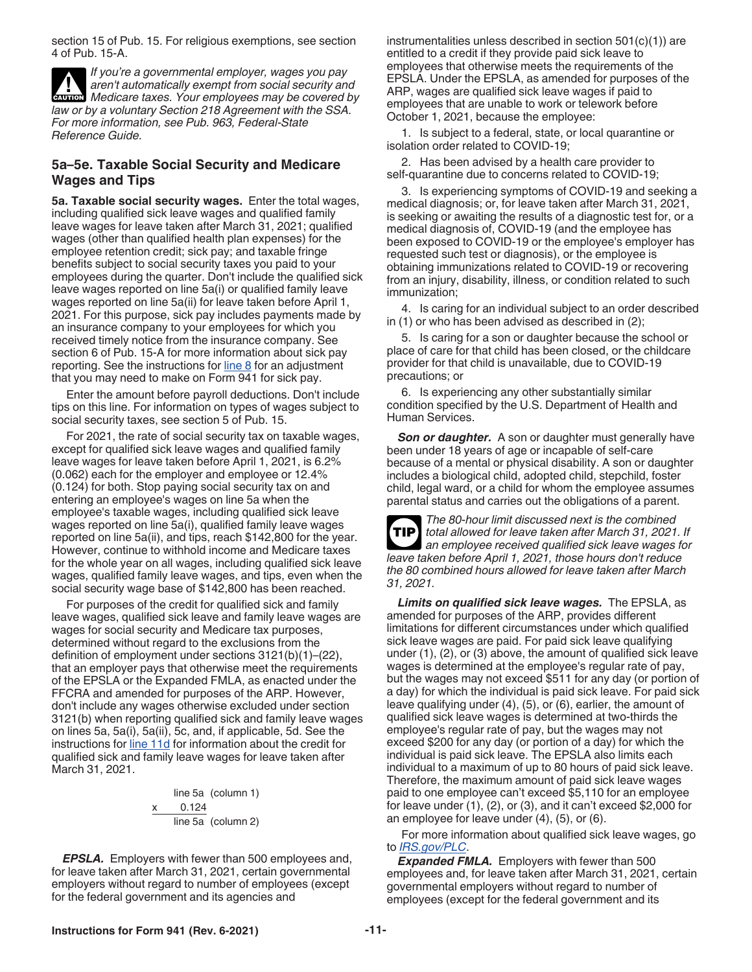<span id="page-10-0"></span>section 15 of Pub. 15. For religious exemptions, see section 4 of Pub. 15-A.

*If you're a governmental employer, wages you pay aren't automatically exempt from social security and*  **CAUTION**<br> *Medicare taxes. Your employees may be covered by law or by a voluntary Section 218 Agreement with the SSA. For more information, see Pub. 963, Federal-State Reference Guide.*

#### **5a–5e. Taxable Social Security and Medicare Wages and Tips**

**5a. Taxable social security wages.** Enter the total wages, including qualified sick leave wages and qualified family leave wages for leave taken after March 31, 2021; qualified wages (other than qualified health plan expenses) for the employee retention credit; sick pay; and taxable fringe benefits subject to social security taxes you paid to your employees during the quarter. Don't include the qualified sick leave wages reported on line 5a(i) or qualified family leave wages reported on line 5a(ii) for leave taken before April 1, 2021. For this purpose, sick pay includes payments made by an insurance company to your employees for which you received timely notice from the insurance company. See section 6 of Pub. 15-A for more information about sick pay reporting. See the instructions for  $line 8$  for an adjustment that you may need to make on Form 941 for sick pay.

Enter the amount before payroll deductions. Don't include tips on this line. For information on types of wages subject to social security taxes, see section 5 of Pub. 15.

For 2021, the rate of social security tax on taxable wages, except for qualified sick leave wages and qualified family leave wages for leave taken before April 1, 2021, is 6.2% (0.062) each for the employer and employee or 12.4% (0.124) for both. Stop paying social security tax on and entering an employee's wages on line 5a when the employee's taxable wages, including qualified sick leave wages reported on line 5a(i), qualified family leave wages reported on line 5a(ii), and tips, reach \$142,800 for the year. However, continue to withhold income and Medicare taxes for the whole year on all wages, including qualified sick leave wages, qualified family leave wages, and tips, even when the social security wage base of \$142,800 has been reached.

For purposes of the credit for qualified sick and family leave wages, qualified sick leave and family leave wages are wages for social security and Medicare tax purposes, determined without regard to the exclusions from the definition of employment under sections 3121(b)(1)–(22), that an employer pays that otherwise meet the requirements of the EPSLA or the Expanded FMLA, as enacted under the FFCRA and amended for purposes of the ARP. However, don't include any wages otherwise excluded under section 3121(b) when reporting qualified sick and family leave wages on lines 5a, 5a(i), 5a(ii), 5c, and, if applicable, 5d. See the instructions for [line 11d](#page-15-0) for information about the credit for qualified sick and family leave wages for leave taken after March 31, 2021.

line 5a (column 1)  

$$
\begin{array}{r}\n x \quad 0.124 \\
 \hline\n \text{line 5a} \quad \text{(column 2)}\n \end{array}
$$

*EPSLA.* Employers with fewer than 500 employees and, for leave taken after March 31, 2021, certain governmental employers without regard to number of employees (except for the federal government and its agencies and

instrumentalities unless described in section 501(c)(1)) are entitled to a credit if they provide paid sick leave to employees that otherwise meets the requirements of the EPSLA. Under the EPSLA, as amended for purposes of the ARP, wages are qualified sick leave wages if paid to employees that are unable to work or telework before October 1, 2021, because the employee:

1. Is subject to a federal, state, or local quarantine or isolation order related to COVID-19;

2. Has been advised by a health care provider to self-quarantine due to concerns related to COVID-19;

3. Is experiencing symptoms of COVID-19 and seeking a medical diagnosis; or, for leave taken after March 31, 2021, is seeking or awaiting the results of a diagnostic test for, or a medical diagnosis of, COVID-19 (and the employee has been exposed to COVID-19 or the employee's employer has requested such test or diagnosis), or the employee is obtaining immunizations related to COVID-19 or recovering from an injury, disability, illness, or condition related to such immunization;

4. Is caring for an individual subject to an order described in (1) or who has been advised as described in (2);

5. Is caring for a son or daughter because the school or place of care for that child has been closed, or the childcare provider for that child is unavailable, due to COVID-19 precautions; or

6. Is experiencing any other substantially similar condition specified by the U.S. Department of Health and Human Services.

*Son or daughter.* A son or daughter must generally have been under 18 years of age or incapable of self-care because of a mental or physical disability. A son or daughter includes a biological child, adopted child, stepchild, foster child, legal ward, or a child for whom the employee assumes parental status and carries out the obligations of a parent.

*The 80-hour limit discussed next is the combined total allowed for leave taken after March 31, 2021. If an employee received qualified sick leave wages for leave taken before April 1, 2021, those hours don't reduce the 80 combined hours allowed for leave taken after March 31, 2021.* **TIP**

*Limits on qualified sick leave wages.* The EPSLA, as amended for purposes of the ARP, provides different limitations for different circumstances under which qualified sick leave wages are paid. For paid sick leave qualifying under (1), (2), or (3) above, the amount of qualified sick leave wages is determined at the employee's regular rate of pay, but the wages may not exceed \$511 for any day (or portion of a day) for which the individual is paid sick leave. For paid sick leave qualifying under (4), (5), or (6), earlier, the amount of qualified sick leave wages is determined at two-thirds the employee's regular rate of pay, but the wages may not exceed \$200 for any day (or portion of a day) for which the individual is paid sick leave. The EPSLA also limits each individual to a maximum of up to 80 hours of paid sick leave. Therefore, the maximum amount of paid sick leave wages paid to one employee can't exceed \$5,110 for an employee for leave under (1), (2), or (3), and it can't exceed \$2,000 for an employee for leave under (4), (5), or (6).

For more information about qualified sick leave wages, go to *[IRS.gov/PLC](https://www.irs.gov/plc)*.

*Expanded FMLA.* Employers with fewer than 500 employees and, for leave taken after March 31, 2021, certain governmental employers without regard to number of employees (except for the federal government and its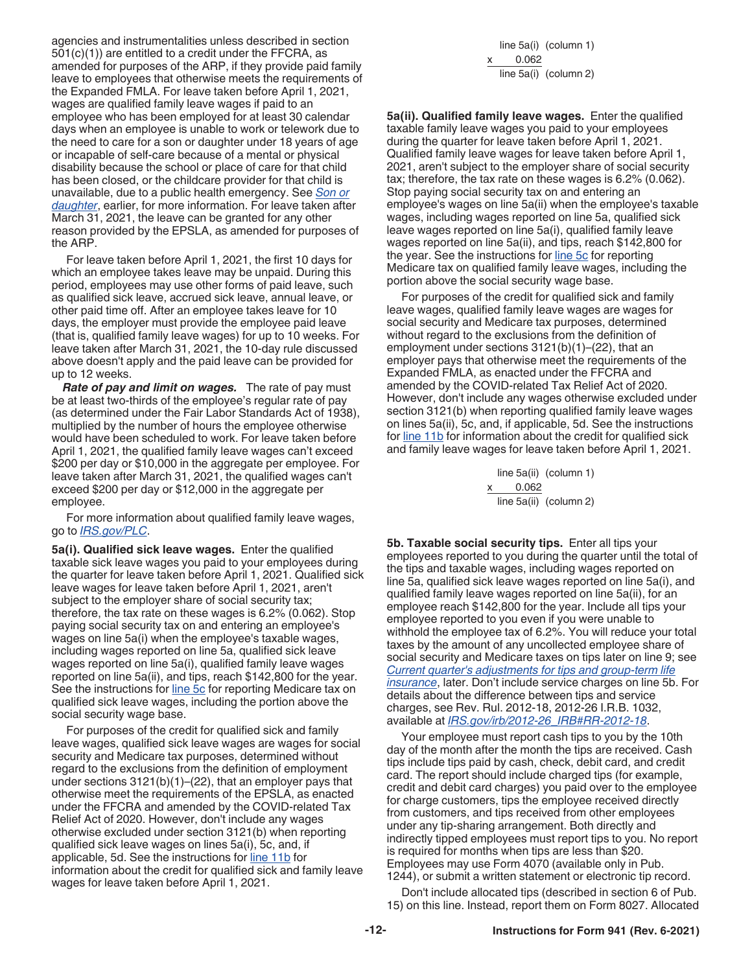<span id="page-11-0"></span>agencies and instrumentalities unless described in section  $501(c)(1)$  are entitled to a credit under the FFCRA, as amended for purposes of the ARP, if they provide paid family leave to employees that otherwise meets the requirements of the Expanded FMLA. For leave taken before April 1, 2021, wages are qualified family leave wages if paid to an employee who has been employed for at least 30 calendar days when an employee is unable to work or telework due to the need to care for a son or daughter under 18 years of age or incapable of self-care because of a mental or physical disability because the school or place of care for that child has been closed, or the childcare provider for that child is unavailable, due to a public health emergency. See *[Son or](#page-10-0)  [daughter](#page-10-0)*, earlier, for more information. For leave taken after March 31, 2021, the leave can be granted for any other reason provided by the EPSLA, as amended for purposes of the ARP.

For leave taken before April 1, 2021, the first 10 days for which an employee takes leave may be unpaid. During this period, employees may use other forms of paid leave, such as qualified sick leave, accrued sick leave, annual leave, or other paid time off. After an employee takes leave for 10 days, the employer must provide the employee paid leave (that is, qualified family leave wages) for up to 10 weeks. For leave taken after March 31, 2021, the 10-day rule discussed above doesn't apply and the paid leave can be provided for up to 12 weeks.

*Rate of pay and limit on wages.* The rate of pay must be at least two-thirds of the employee's regular rate of pay (as determined under the Fair Labor Standards Act of 1938), multiplied by the number of hours the employee otherwise would have been scheduled to work. For leave taken before April 1, 2021, the qualified family leave wages can't exceed \$200 per day or \$10,000 in the aggregate per employee. For leave taken after March 31, 2021, the qualified wages can't exceed \$200 per day or \$12,000 in the aggregate per employee.

For more information about qualified family leave wages, go to *[IRS.gov/PLC](https://www.irs.gov/plc)*.

**5a(i). Qualified sick leave wages.** Enter the qualified taxable sick leave wages you paid to your employees during the quarter for leave taken before April 1, 2021. Qualified sick leave wages for leave taken before April 1, 2021, aren't subject to the employer share of social security tax; therefore, the tax rate on these wages is 6.2% (0.062). Stop paying social security tax on and entering an employee's wages on line 5a(i) when the employee's taxable wages, including wages reported on line 5a, qualified sick leave wages reported on line 5a(i), qualified family leave wages reported on line 5a(ii), and tips, reach \$142,800 for the year. See the instructions for [line 5c](#page-12-0) for reporting Medicare tax on qualified sick leave wages, including the portion above the social security wage base.

For purposes of the credit for qualified sick and family leave wages, qualified sick leave wages are wages for social security and Medicare tax purposes, determined without regard to the exclusions from the definition of employment under sections 3121(b)(1)–(22), that an employer pays that otherwise meet the requirements of the EPSLA, as enacted under the FFCRA and amended by the COVID-related Tax Relief Act of 2020. However, don't include any wages otherwise excluded under section 3121(b) when reporting qualified sick leave wages on lines 5a(i), 5c, and, if applicable, 5d. See the instructions for [line 11b](#page-13-0) for information about the credit for qualified sick and family leave wages for leave taken before April 1, 2021.

line 5a(i) (column 1) 0.062 line 5a(i) (column 2)

**5a(ii). Qualified family leave wages.** Enter the qualified taxable family leave wages you paid to your employees during the quarter for leave taken before April 1, 2021. Qualified family leave wages for leave taken before April 1, 2021, aren't subject to the employer share of social security tax; therefore, the tax rate on these wages is 6.2% (0.062). Stop paying social security tax on and entering an employee's wages on line 5a(ii) when the employee's taxable wages, including wages reported on line 5a, qualified sick leave wages reported on line 5a(i), qualified family leave wages reported on line 5a(ii), and tips, reach \$142,800 for the year. See the instructions for [line 5c](#page-12-0) for reporting Medicare tax on qualified family leave wages, including the portion above the social security wage base.

For purposes of the credit for qualified sick and family leave wages, qualified family leave wages are wages for social security and Medicare tax purposes, determined without regard to the exclusions from the definition of employment under sections 3121(b)(1)–(22), that an employer pays that otherwise meet the requirements of the Expanded FMLA, as enacted under the FFCRA and amended by the COVID-related Tax Relief Act of 2020. However, don't include any wages otherwise excluded under section 3121(b) when reporting qualified family leave wages on lines 5a(ii), 5c, and, if applicable, 5d. See the instructions for [line 11b](#page-13-0) for information about the credit for qualified sick and family leave wages for leave taken before April 1, 2021.

> line 5a(ii) (column 1) 0.062 line 5a(ii) (column 2)

**5b. Taxable social security tips.** Enter all tips your employees reported to you during the quarter until the total of the tips and taxable wages, including wages reported on line 5a, qualified sick leave wages reported on line 5a(i), and qualified family leave wages reported on line 5a(ii), for an employee reach \$142,800 for the year. Include all tips your employee reported to you even if you were unable to withhold the employee tax of 6.2%. You will reduce your total taxes by the amount of any uncollected employee share of social security and Medicare taxes on tips later on line 9; see *[Current quarter's adjustments for tips and group-term life](#page-13-0) [insurance](#page-13-0)*, later. Don't include service charges on line 5b. For details about the difference between tips and service charges, see Rev. Rul. 2012-18, 2012-26 I.R.B. 1032, available at *[IRS.gov/irb/2012-26\\_IRB#RR-2012-18](https://www.irs.gov/irb/2012-26_IRB#RR-2012-18)*.

Your employee must report cash tips to you by the 10th day of the month after the month the tips are received. Cash tips include tips paid by cash, check, debit card, and credit card. The report should include charged tips (for example, credit and debit card charges) you paid over to the employee for charge customers, tips the employee received directly from customers, and tips received from other employees under any tip-sharing arrangement. Both directly and indirectly tipped employees must report tips to you. No report is required for months when tips are less than \$20. Employees may use Form 4070 (available only in Pub. 1244), or submit a written statement or electronic tip record.

Don't include allocated tips (described in section 6 of Pub. 15) on this line. Instead, report them on Form 8027. Allocated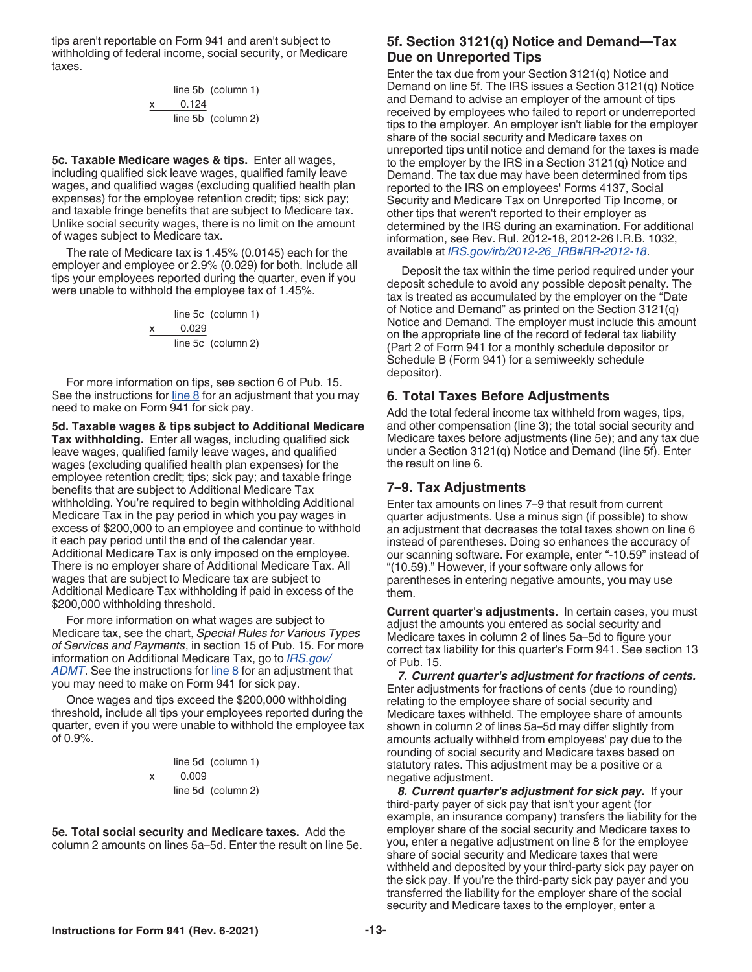<span id="page-12-0"></span>tips aren't reportable on Form 941 and aren't subject to withholding of federal income, social security, or Medicare taxes.

line 5b (column 1)  

$$
\begin{array}{r}\n x \quad 0.124 \\
 \hline\n \text{line 5b} \quad \text{(column 2)}\n \end{array}
$$

**5c. Taxable Medicare wages & tips.** Enter all wages, including qualified sick leave wages, qualified family leave wages, and qualified wages (excluding qualified health plan expenses) for the employee retention credit; tips; sick pay; and taxable fringe benefits that are subject to Medicare tax. Unlike social security wages, there is no limit on the amount of wages subject to Medicare tax.

The rate of Medicare tax is 1.45% (0.0145) each for the employer and employee or 2.9% (0.029) for both. Include all tips your employees reported during the quarter, even if you were unable to withhold the employee tax of 1.45%.

line 5c (column 1)  

$$
\begin{array}{r}\n x \quad 0.029 \\
 \hline\n \text{line 5c (column 2)}\n \end{array}
$$

For more information on tips, see section 6 of Pub. 15. See the instructions for line 8 for an adjustment that you may need to make on Form 941 for sick pay.

**5d. Taxable wages & tips subject to Additional Medicare Tax withholding.** Enter all wages, including qualified sick leave wages, qualified family leave wages, and qualified wages (excluding qualified health plan expenses) for the employee retention credit; tips; sick pay; and taxable fringe benefits that are subject to Additional Medicare Tax withholding. You're required to begin withholding Additional Medicare Tax in the pay period in which you pay wages in excess of \$200,000 to an employee and continue to withhold it each pay period until the end of the calendar year. Additional Medicare Tax is only imposed on the employee. There is no employer share of Additional Medicare Tax. All wages that are subject to Medicare tax are subject to Additional Medicare Tax withholding if paid in excess of the \$200,000 withholding threshold.

For more information on what wages are subject to Medicare tax, see the chart, *Special Rules for Various Types of Services and Payments*, in section 15 of Pub. 15. For more information on Additional Medicare Tax, go to *[IRS.gov/](https://www.irs.gov/admt) [ADMT](https://www.irs.gov/admt)*. See the instructions for line 8 for an adjustment that you may need to make on Form 941 for sick pay.

Once wages and tips exceed the \$200,000 withholding threshold, include all tips your employees reported during the quarter, even if you were unable to withhold the employee tax of 0.9%.

line 5d (column 1)  

$$
\begin{array}{r}\n x \quad 0.009 \\
 \hline\n \text{line 5d} \quad \text{(column 2)}\n \end{array}
$$

**5e. Total social security and Medicare taxes.** Add the column 2 amounts on lines 5a–5d. Enter the result on line 5e.

#### **5f. Section 3121(q) Notice and Demand—Tax Due on Unreported Tips**

Enter the tax due from your Section 3121(q) Notice and Demand on line 5f. The IRS issues a Section 3121(q) Notice and Demand to advise an employer of the amount of tips received by employees who failed to report or underreported tips to the employer. An employer isn't liable for the employer share of the social security and Medicare taxes on unreported tips until notice and demand for the taxes is made to the employer by the IRS in a Section 3121(q) Notice and Demand. The tax due may have been determined from tips reported to the IRS on employees' Forms 4137, Social Security and Medicare Tax on Unreported Tip Income, or other tips that weren't reported to their employer as determined by the IRS during an examination. For additional information, see Rev. Rul. 2012-18, 2012-26 I.R.B. 1032, available at *[IRS.gov/irb/2012-26\\_IRB#RR-2012-18](https://www.irs.gov/irb/2012-26_IRB#RR-2012-18)*.

Deposit the tax within the time period required under your deposit schedule to avoid any possible deposit penalty. The tax is treated as accumulated by the employer on the "Date of Notice and Demand" as printed on the Section 3121(q) Notice and Demand. The employer must include this amount on the appropriate line of the record of federal tax liability (Part 2 of Form 941 for a monthly schedule depositor or Schedule B (Form 941) for a semiweekly schedule depositor).

#### **6. Total Taxes Before Adjustments**

Add the total federal income tax withheld from wages, tips, and other compensation (line 3); the total social security and Medicare taxes before adjustments (line 5e); and any tax due under a Section 3121(q) Notice and Demand (line 5f). Enter the result on line 6.

#### **7–9. Tax Adjustments**

Enter tax amounts on lines 7–9 that result from current quarter adjustments. Use a minus sign (if possible) to show an adjustment that decreases the total taxes shown on line 6 instead of parentheses. Doing so enhances the accuracy of our scanning software. For example, enter "-10.59" instead of "(10.59)." However, if your software only allows for parentheses in entering negative amounts, you may use them.

**Current quarter's adjustments.** In certain cases, you must adjust the amounts you entered as social security and Medicare taxes in column 2 of lines 5a–5d to figure your correct tax liability for this quarter's Form 941. See section 13 of Pub. 15.

*7. Current quarter's adjustment for fractions of cents.*  Enter adjustments for fractions of cents (due to rounding) relating to the employee share of social security and Medicare taxes withheld. The employee share of amounts shown in column 2 of lines 5a–5d may differ slightly from amounts actually withheld from employees' pay due to the rounding of social security and Medicare taxes based on statutory rates. This adjustment may be a positive or a negative adjustment.

*8. Current quarter's adjustment for sick pay.* If your third-party payer of sick pay that isn't your agent (for example, an insurance company) transfers the liability for the employer share of the social security and Medicare taxes to you, enter a negative adjustment on line 8 for the employee share of social security and Medicare taxes that were withheld and deposited by your third-party sick pay payer on the sick pay. If you're the third-party sick pay payer and you transferred the liability for the employer share of the social security and Medicare taxes to the employer, enter a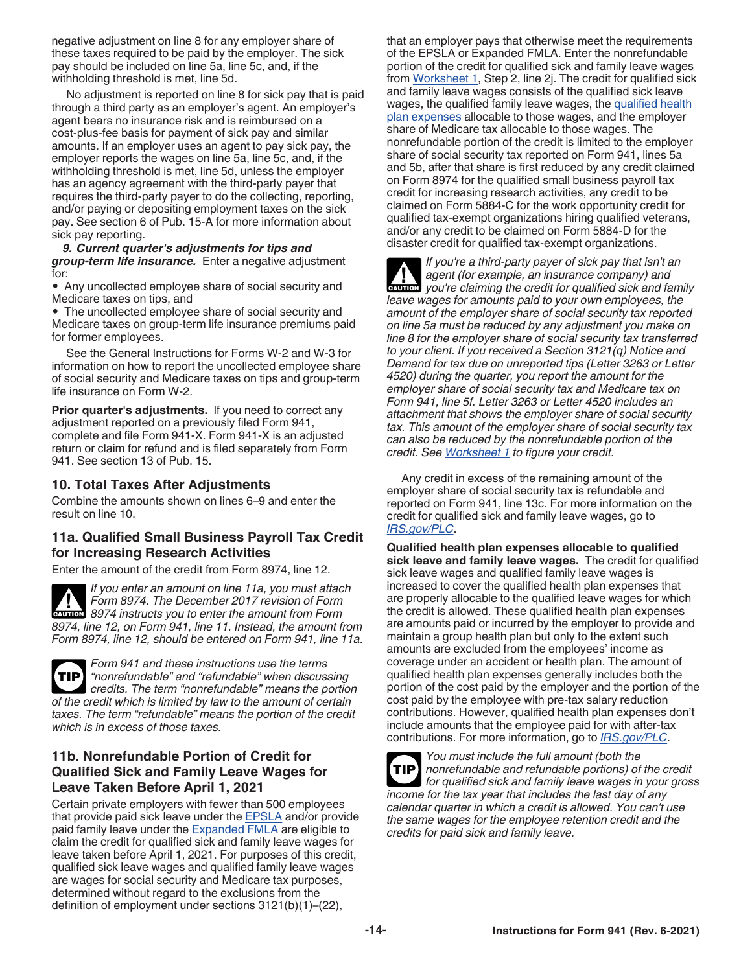<span id="page-13-0"></span>negative adjustment on line 8 for any employer share of these taxes required to be paid by the employer. The sick pay should be included on line 5a, line 5c, and, if the withholding threshold is met, line 5d.

No adjustment is reported on line 8 for sick pay that is paid through a third party as an employer's agent. An employer's agent bears no insurance risk and is reimbursed on a cost-plus-fee basis for payment of sick pay and similar amounts. If an employer uses an agent to pay sick pay, the employer reports the wages on line 5a, line 5c, and, if the withholding threshold is met, line 5d, unless the employer has an agency agreement with the third-party payer that requires the third-party payer to do the collecting, reporting, and/or paying or depositing employment taxes on the sick pay. See section 6 of Pub. 15-A for more information about sick pay reporting.

*9. Current quarter's adjustments for tips and group-term life insurance.* Enter a negative adjustment for:

• Any uncollected employee share of social security and Medicare taxes on tips, and

• The uncollected employee share of social security and Medicare taxes on group-term life insurance premiums paid for former employees.

See the General Instructions for Forms W-2 and W-3 for information on how to report the uncollected employee share of social security and Medicare taxes on tips and group-term life insurance on Form W-2.

**Prior quarter's adjustments.** If you need to correct any adjustment reported on a previously filed Form 941, complete and file Form 941-X. Form 941-X is an adjusted return or claim for refund and is filed separately from Form 941. See section 13 of Pub. 15.

## **10. Total Taxes After Adjustments**

Combine the amounts shown on lines 6–9 and enter the result on line 10.

## **11a. Qualified Small Business Payroll Tax Credit for Increasing Research Activities**

Enter the amount of the credit from Form 8974, line 12.

*If you enter an amount on line 11a, you must attach Form 8974. The December 2017 revision of Form*  **Profilm 8974.** The December 2017 revision of Form 8974 instructs you to enter the amount from Form *8974, line 12, on Form 941, line 11. Instead, the amount from Form 8974, line 12, should be entered on Form 941, line 11a.*

*Form 941 and these instructions use the terms "nonrefundable" and "refundable" when discussing credits. The term "nonrefundable" means the portion of the credit which is limited by law to the amount of certain taxes. The term "refundable" means the portion of the credit which is in excess of those taxes.* **TIP**

## **11b. Nonrefundable Portion of Credit for Qualified Sick and Family Leave Wages for Leave Taken Before April 1, 2021**

Certain private employers with fewer than 500 employees that provide paid sick leave under the **EPSLA** and/or provide paid family leave under the **Expanded FMLA** are eligible to claim the credit for qualified sick and family leave wages for leave taken before April 1, 2021. For purposes of this credit, qualified sick leave wages and qualified family leave wages are wages for social security and Medicare tax purposes, determined without regard to the exclusions from the definition of employment under sections 3121(b)(1)–(22),

that an employer pays that otherwise meet the requirements of the EPSLA or Expanded FMLA. Enter the nonrefundable portion of the credit for qualified sick and family leave wages from [Worksheet 1](#page-24-0), Step 2, line 2j. The credit for qualified sick and family leave wages consists of the qualified sick leave wages, the qualified family leave wages, the qualified health plan expenses allocable to those wages, and the employer share of Medicare tax allocable to those wages. The nonrefundable portion of the credit is limited to the employer share of social security tax reported on Form 941, lines 5a and 5b, after that share is first reduced by any credit claimed on Form 8974 for the qualified small business payroll tax credit for increasing research activities, any credit to be claimed on Form 5884-C for the work opportunity credit for qualified tax-exempt organizations hiring qualified veterans, and/or any credit to be claimed on Form 5884-D for the disaster credit for qualified tax-exempt organizations.

*If you're a third-party payer of sick pay that isn't an agent (for example, an insurance company) and*  **z**<br>*z***<sub><b>z**</sub><br>*cvvou're claiming the credit for qualified sick and family leave wages for amounts paid to your own employees, the amount of the employer share of social security tax reported on line 5a must be reduced by any adjustment you make on line 8 for the employer share of social security tax transferred to your client. If you received a Section 3121(q) Notice and Demand for tax due on unreported tips (Letter 3263 or Letter 4520) during the quarter, you report the amount for the employer share of social security tax and Medicare tax on Form 941, line 5f. Letter 3263 or Letter 4520 includes an attachment that shows the employer share of social security tax. This amount of the employer share of social security tax can also be reduced by the nonrefundable portion of the credit. See [Worksheet 1](#page-24-0) to figure your credit.*

Any credit in excess of the remaining amount of the employer share of social security tax is refundable and reported on Form 941, line 13c. For more information on the credit for qualified sick and family leave wages, go to *[IRS.gov/PLC](https://www.irs.gov/plc)*.

**Qualified health plan expenses allocable to qualified sick leave and family leave wages.** The credit for qualified sick leave wages and qualified family leave wages is increased to cover the qualified health plan expenses that are properly allocable to the qualified leave wages for which the credit is allowed. These qualified health plan expenses are amounts paid or incurred by the employer to provide and maintain a group health plan but only to the extent such amounts are excluded from the employees' income as coverage under an accident or health plan. The amount of qualified health plan expenses generally includes both the portion of the cost paid by the employer and the portion of the cost paid by the employee with pre-tax salary reduction contributions. However, qualified health plan expenses don't include amounts that the employee paid for with after-tax contributions. For more information, go to *[IRS.gov/PLC](https://www.irs.gov/plc)*.



*You must include the full amount (both the nonrefundable and refundable portions) of the credit for qualified sick and family leave wages in your gross income for the tax year that includes the last day of any calendar quarter in which a credit is allowed. You can't use the same wages for the employee retention credit and the credits for paid sick and family leave.*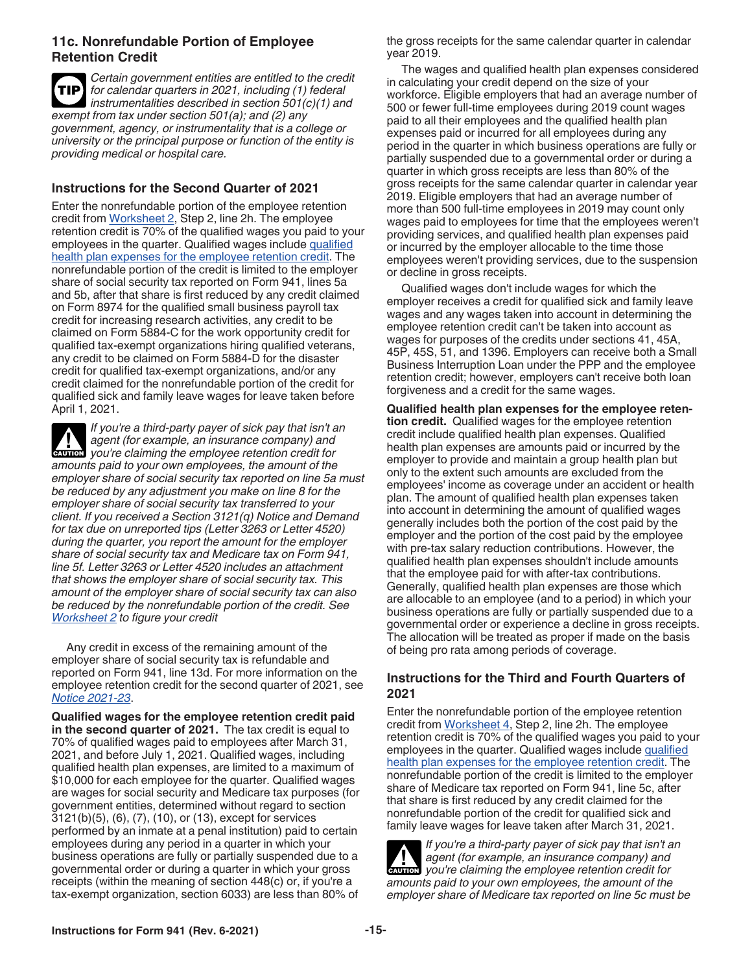#### <span id="page-14-0"></span>**11c. Nonrefundable Portion of Employee Retention Credit**

*Certain government entities are entitled to the credit for calendar quarters in 2021, including (1) federal instrumentalities described in section 501(c)(1) and exempt from tax under section 501(a); and (2) any government, agency, or instrumentality that is a college or university or the principal purpose or function of the entity is providing medical or hospital care.* **TIP**

### **Instructions for the Second Quarter of 2021**

Enter the nonrefundable portion of the employee retention credit from [Worksheet 2,](#page-25-0) Step 2, line 2h. The employee retention credit is 70% of the qualified wages you paid to your employees in the quarter. Qualified wages include [qualified](#page-21-0)  [health plan expenses for the employee retention credit.](#page-21-0) The nonrefundable portion of the credit is limited to the employer share of social security tax reported on Form 941, lines 5a and 5b, after that share is first reduced by any credit claimed on Form 8974 for the qualified small business payroll tax credit for increasing research activities, any credit to be claimed on Form 5884-C for the work opportunity credit for qualified tax-exempt organizations hiring qualified veterans, any credit to be claimed on Form 5884-D for the disaster credit for qualified tax-exempt organizations, and/or any credit claimed for the nonrefundable portion of the credit for qualified sick and family leave wages for leave taken before April 1, 2021.

*If you're a third-party payer of sick pay that isn't an agent (for example, an insurance company) and you're claiming the employee retention credit for amounts paid to your own employees, the amount of the employer share of social security tax reported on line 5a must be reduced by any adjustment you make on line 8 for the employer share of social security tax transferred to your client. If you received a Section 3121(q) Notice and Demand for tax due on unreported tips (Letter 3263 or Letter 4520) during the quarter, you report the amount for the employer share of social security tax and Medicare tax on Form 941, line 5f. Letter 3263 or Letter 4520 includes an attachment that shows the employer share of social security tax. This amount of the employer share of social security tax can also be reduced by the nonrefundable portion of the credit. See [Worksheet 2](#page-25-0) to figure your credit* **CAUTION !**

Any credit in excess of the remaining amount of the employer share of social security tax is refundable and reported on Form 941, line 13d. For more information on the employee retention credit for the second quarter of 2021, see *[Notice 2021-23](https://www.irs.gov/irb/2021-16_IRB#NOT-2021-23)*.

**Qualified wages for the employee retention credit paid in the second quarter of 2021.** The tax credit is equal to 70% of qualified wages paid to employees after March 31, 2021, and before July 1, 2021. Qualified wages, including qualified health plan expenses, are limited to a maximum of \$10,000 for each employee for the quarter. Qualified wages are wages for social security and Medicare tax purposes (for government entities, determined without regard to section 3121(b)(5), (6), (7), (10), or (13), except for services performed by an inmate at a penal institution) paid to certain employees during any period in a quarter in which your business operations are fully or partially suspended due to a governmental order or during a quarter in which your gross receipts (within the meaning of section 448(c) or, if you're a tax-exempt organization, section 6033) are less than 80% of

the gross receipts for the same calendar quarter in calendar year 2019.

The wages and qualified health plan expenses considered in calculating your credit depend on the size of your workforce. Eligible employers that had an average number of 500 or fewer full-time employees during 2019 count wages paid to all their employees and the qualified health plan expenses paid or incurred for all employees during any period in the quarter in which business operations are fully or partially suspended due to a governmental order or during a quarter in which gross receipts are less than 80% of the gross receipts for the same calendar quarter in calendar year 2019. Eligible employers that had an average number of more than 500 full-time employees in 2019 may count only wages paid to employees for time that the employees weren't providing services, and qualified health plan expenses paid or incurred by the employer allocable to the time those employees weren't providing services, due to the suspension or decline in gross receipts.

Qualified wages don't include wages for which the employer receives a credit for qualified sick and family leave wages and any wages taken into account in determining the employee retention credit can't be taken into account as wages for purposes of the credits under sections 41, 45A, 45P, 45S, 51, and 1396. Employers can receive both a Small Business Interruption Loan under the PPP and the employee retention credit; however, employers can't receive both loan forgiveness and a credit for the same wages.

**Qualified health plan expenses for the employee retention credit.** Qualified wages for the employee retention credit include qualified health plan expenses. Qualified health plan expenses are amounts paid or incurred by the employer to provide and maintain a group health plan but only to the extent such amounts are excluded from the employees' income as coverage under an accident or health plan. The amount of qualified health plan expenses taken into account in determining the amount of qualified wages generally includes both the portion of the cost paid by the employer and the portion of the cost paid by the employee with pre-tax salary reduction contributions. However, the qualified health plan expenses shouldn't include amounts that the employee paid for with after-tax contributions. Generally, qualified health plan expenses are those which are allocable to an employee (and to a period) in which your business operations are fully or partially suspended due to a governmental order or experience a decline in gross receipts. The allocation will be treated as proper if made on the basis of being pro rata among periods of coverage.

## **Instructions for the Third and Fourth Quarters of 2021**

Enter the nonrefundable portion of the employee retention credit from [Worksheet 4,](#page-27-0) Step 2, line 2h. The employee retention credit is 70% of the qualified wages you paid to your employees in the quarter. Qualified wages include qualified [health plan expenses for the employee retention credit.](#page-21-0) The nonrefundable portion of the credit is limited to the employer share of Medicare tax reported on Form 941, line 5c, after that share is first reduced by any credit claimed for the nonrefundable portion of the credit for qualified sick and family leave wages for leave taken after March 31, 2021.

*If you're a third-party payer of sick pay that isn't an agent (for example, an insurance company) and*  **z** *you're claiming the employee retention credit for amounts paid to your own employees, the amount of the employer share of Medicare tax reported on line 5c must be*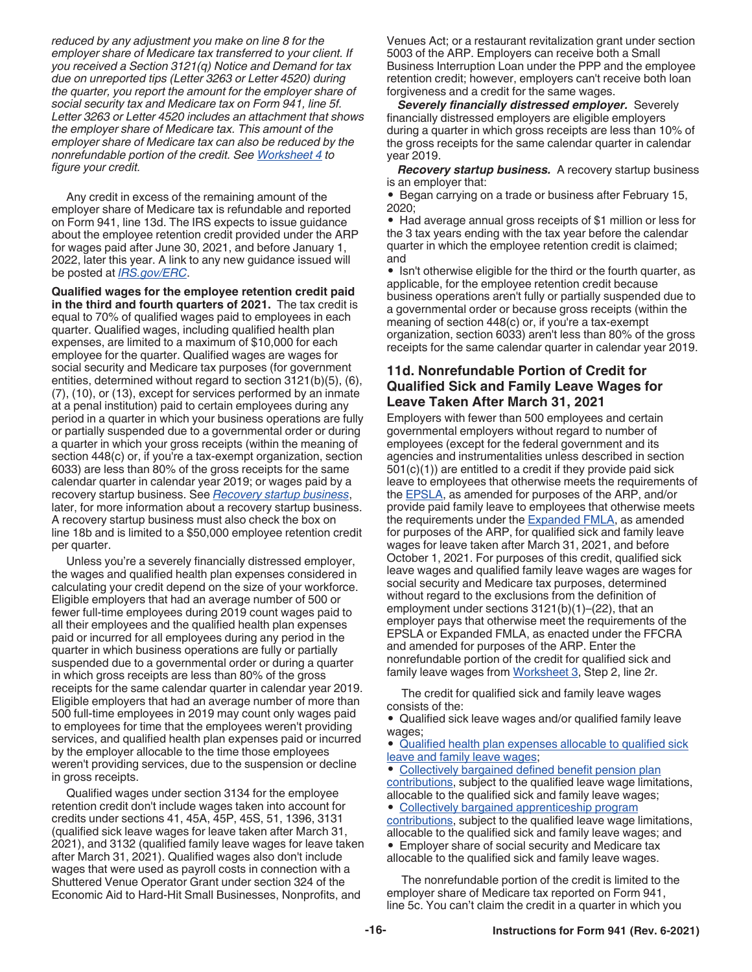<span id="page-15-0"></span>*reduced by any adjustment you make on line 8 for the employer share of Medicare tax transferred to your client. If you received a Section 3121(q) Notice and Demand for tax due on unreported tips (Letter 3263 or Letter 4520) during the quarter, you report the amount for the employer share of social security tax and Medicare tax on Form 941, line 5f. Letter 3263 or Letter 4520 includes an attachment that shows the employer share of Medicare tax. This amount of the employer share of Medicare tax can also be reduced by the nonrefundable portion of the credit. See [Worksheet 4](#page-27-0) to figure your credit.*

Any credit in excess of the remaining amount of the employer share of Medicare tax is refundable and reported on Form 941, line 13d. The IRS expects to issue guidance about the employee retention credit provided under the ARP for wages paid after June 30, 2021, and before January 1, 2022, later this year. A link to any new guidance issued will be posted at *[IRS.gov/ERC](https://www.irs.gov/erc)*.

**Qualified wages for the employee retention credit paid in the third and fourth quarters of 2021.** The tax credit is equal to 70% of qualified wages paid to employees in each quarter. Qualified wages, including qualified health plan expenses, are limited to a maximum of \$10,000 for each employee for the quarter. Qualified wages are wages for social security and Medicare tax purposes (for government entities, determined without regard to section 3121(b)(5), (6), (7), (10), or (13), except for services performed by an inmate at a penal institution) paid to certain employees during any period in a quarter in which your business operations are fully or partially suspended due to a governmental order or during a quarter in which your gross receipts (within the meaning of section 448(c) or, if you're a tax-exempt organization, section 6033) are less than 80% of the gross receipts for the same calendar quarter in calendar year 2019; or wages paid by a recovery startup business. See *Recovery startup business*, later, for more information about a recovery startup business. A recovery startup business must also check the box on line 18b and is limited to a \$50,000 employee retention credit per quarter.

Unless you're a severely financially distressed employer, the wages and qualified health plan expenses considered in calculating your credit depend on the size of your workforce. Eligible employers that had an average number of 500 or fewer full-time employees during 2019 count wages paid to all their employees and the qualified health plan expenses paid or incurred for all employees during any period in the quarter in which business operations are fully or partially suspended due to a governmental order or during a quarter in which gross receipts are less than 80% of the gross receipts for the same calendar quarter in calendar year 2019. Eligible employers that had an average number of more than 500 full-time employees in 2019 may count only wages paid to employees for time that the employees weren't providing services, and qualified health plan expenses paid or incurred by the employer allocable to the time those employees weren't providing services, due to the suspension or decline in gross receipts.

Qualified wages under section 3134 for the employee retention credit don't include wages taken into account for credits under sections 41, 45A, 45P, 45S, 51, 1396, 3131 (qualified sick leave wages for leave taken after March 31, 2021), and 3132 (qualified family leave wages for leave taken after March 31, 2021). Qualified wages also don't include wages that were used as payroll costs in connection with a Shuttered Venue Operator Grant under section 324 of the Economic Aid to Hard-Hit Small Businesses, Nonprofits, and

Venues Act; or a restaurant revitalization grant under section 5003 of the ARP. Employers can receive both a Small Business Interruption Loan under the PPP and the employee retention credit; however, employers can't receive both loan forgiveness and a credit for the same wages.

*Severely financially distressed employer.* Severely financially distressed employers are eligible employers during a quarter in which gross receipts are less than 10% of the gross receipts for the same calendar quarter in calendar year 2019.

*Recovery startup business.* A recovery startup business is an employer that:

• Began carrying on a trade or business after February 15, 2020;

• Had average annual gross receipts of \$1 million or less for the 3 tax years ending with the tax year before the calendar quarter in which the employee retention credit is claimed; and

• Isn't otherwise eligible for the third or the fourth quarter, as applicable, for the employee retention credit because business operations aren't fully or partially suspended due to a governmental order or because gross receipts (within the meaning of section 448(c) or, if you're a tax-exempt organization, section 6033) aren't less than 80% of the gross receipts for the same calendar quarter in calendar year 2019.

## **11d. Nonrefundable Portion of Credit for Qualified Sick and Family Leave Wages for Leave Taken After March 31, 2021**

Employers with fewer than 500 employees and certain governmental employers without regard to number of employees (except for the federal government and its agencies and instrumentalities unless described in section 501(c)(1)) are entitled to a credit if they provide paid sick leave to employees that otherwise meets the requirements of the [EPSLA,](#page-10-0) as amended for purposes of the ARP, and/or provide paid family leave to employees that otherwise meets the requirements under the **[Expanded FMLA](#page-10-0)**, as amended for purposes of the ARP, for qualified sick and family leave wages for leave taken after March 31, 2021, and before October 1, 2021. For purposes of this credit, qualified sick leave wages and qualified family leave wages are wages for social security and Medicare tax purposes, determined without regard to the exclusions from the definition of employment under sections 3121(b)(1)–(22), that an employer pays that otherwise meet the requirements of the EPSLA or Expanded FMLA, as enacted under the FFCRA and amended for purposes of the ARP. Enter the nonrefundable portion of the credit for qualified sick and family leave wages from [Worksheet 3,](#page-26-0) Step 2, line 2r.

The credit for qualified sick and family leave wages consists of the:

• Qualified sick leave wages and/or qualified family leave wages;

• [Qualified health plan expenses allocable to qualified sick](#page-16-0)  [leave and family leave wages](#page-16-0);

[Collectively bargained defined benefit pension plan](#page-16-0) [contributions,](#page-16-0) subject to the qualified leave wage limitations, allocable to the qualified sick and family leave wages;

#### • [Collectively bargained apprenticeship program](#page-16-0)

[contributions,](#page-16-0) subject to the qualified leave wage limitations, allocable to the qualified sick and family leave wages; and • Employer share of social security and Medicare tax allocable to the qualified sick and family leave wages.

The nonrefundable portion of the credit is limited to the employer share of Medicare tax reported on Form 941, line 5c. You can't claim the credit in a quarter in which you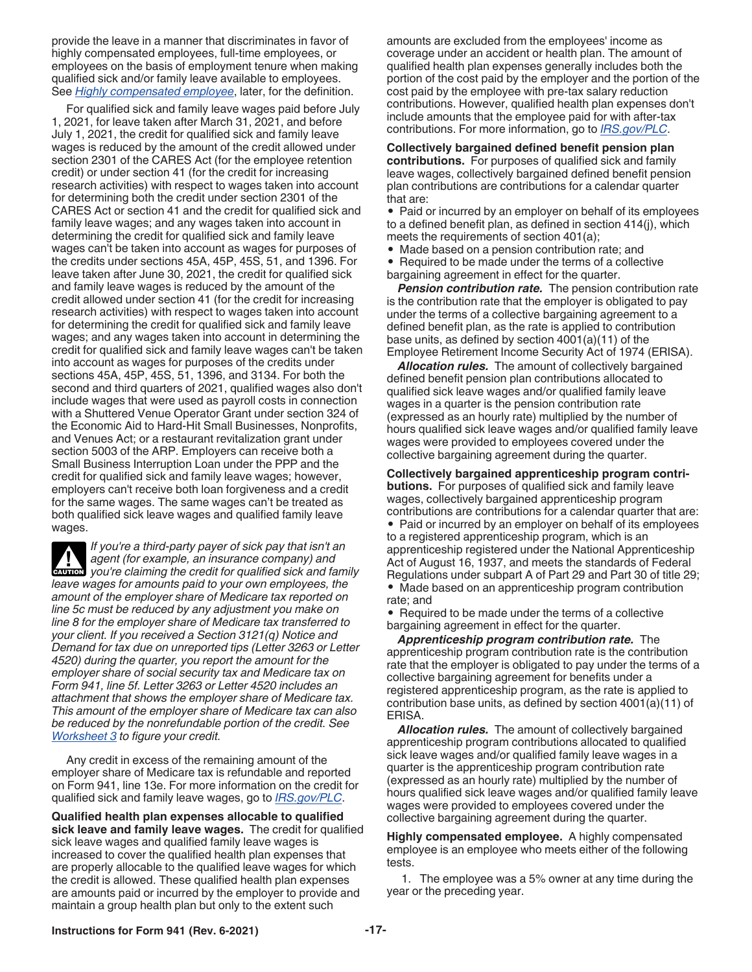<span id="page-16-0"></span>provide the leave in a manner that discriminates in favor of highly compensated employees, full-time employees, or employees on the basis of employment tenure when making qualified sick and/or family leave available to employees. See *Highly compensated employee*, later, for the definition.

For qualified sick and family leave wages paid before July 1, 2021, for leave taken after March 31, 2021, and before July 1, 2021, the credit for qualified sick and family leave wages is reduced by the amount of the credit allowed under section 2301 of the CARES Act (for the employee retention credit) or under section 41 (for the credit for increasing research activities) with respect to wages taken into account for determining both the credit under section 2301 of the CARES Act or section 41 and the credit for qualified sick and family leave wages; and any wages taken into account in determining the credit for qualified sick and family leave wages can't be taken into account as wages for purposes of the credits under sections 45A, 45P, 45S, 51, and 1396. For leave taken after June 30, 2021, the credit for qualified sick and family leave wages is reduced by the amount of the credit allowed under section 41 (for the credit for increasing research activities) with respect to wages taken into account for determining the credit for qualified sick and family leave wages; and any wages taken into account in determining the credit for qualified sick and family leave wages can't be taken into account as wages for purposes of the credits under sections 45A, 45P, 45S, 51, 1396, and 3134. For both the second and third quarters of 2021, qualified wages also don't include wages that were used as payroll costs in connection with a Shuttered Venue Operator Grant under section 324 of the Economic Aid to Hard-Hit Small Businesses, Nonprofits, and Venues Act; or a restaurant revitalization grant under section 5003 of the ARP. Employers can receive both a Small Business Interruption Loan under the PPP and the credit for qualified sick and family leave wages; however, employers can't receive both loan forgiveness and a credit for the same wages. The same wages can't be treated as both qualified sick leave wages and qualified family leave wages.

*If you're a third-party payer of sick pay that isn't an agent (for example, an insurance company) and*  **z**<br>*z***<sub><b>z**</sub><br>*z***<sub></sub><br><b>c**</del><br>*you're claiming the credit for qualified sick and family leave wages for amounts paid to your own employees, the amount of the employer share of Medicare tax reported on line 5c must be reduced by any adjustment you make on line 8 for the employer share of Medicare tax transferred to your client. If you received a Section 3121(q) Notice and Demand for tax due on unreported tips (Letter 3263 or Letter 4520) during the quarter, you report the amount for the employer share of social security tax and Medicare tax on Form 941, line 5f. Letter 3263 or Letter 4520 includes an attachment that shows the employer share of Medicare tax. This amount of the employer share of Medicare tax can also be reduced by the nonrefundable portion of the credit. See [Worksheet 3](#page-26-0) to figure your credit.*

Any credit in excess of the remaining amount of the employer share of Medicare tax is refundable and reported on Form 941, line 13e. For more information on the credit for qualified sick and family leave wages, go to *[IRS.gov/PLC](https://www.irs.gov/PLC)*.

**Qualified health plan expenses allocable to qualified sick leave and family leave wages.** The credit for qualified sick leave wages and qualified family leave wages is increased to cover the qualified health plan expenses that are properly allocable to the qualified leave wages for which the credit is allowed. These qualified health plan expenses are amounts paid or incurred by the employer to provide and maintain a group health plan but only to the extent such

amounts are excluded from the employees' income as coverage under an accident or health plan. The amount of qualified health plan expenses generally includes both the portion of the cost paid by the employer and the portion of the cost paid by the employee with pre-tax salary reduction contributions. However, qualified health plan expenses don't include amounts that the employee paid for with after-tax contributions. For more information, go to *[IRS.gov/PLC](https://www.irs.gov/PLC)*.

**Collectively bargained defined benefit pension plan contributions.** For purposes of qualified sick and family leave wages, collectively bargained defined benefit pension plan contributions are contributions for a calendar quarter that are:

• Paid or incurred by an employer on behalf of its employees to a defined benefit plan, as defined in section 414(j), which meets the requirements of section 401(a);

• Made based on a pension contribution rate; and

• Required to be made under the terms of a collective bargaining agreement in effect for the quarter.

*Pension contribution rate.* The pension contribution rate is the contribution rate that the employer is obligated to pay under the terms of a collective bargaining agreement to a defined benefit plan, as the rate is applied to contribution base units, as defined by section 4001(a)(11) of the Employee Retirement Income Security Act of 1974 (ERISA).

*Allocation rules.* The amount of collectively bargained defined benefit pension plan contributions allocated to qualified sick leave wages and/or qualified family leave wages in a quarter is the pension contribution rate (expressed as an hourly rate) multiplied by the number of hours qualified sick leave wages and/or qualified family leave wages were provided to employees covered under the collective bargaining agreement during the quarter.

**Collectively bargained apprenticeship program contributions.** For purposes of qualified sick and family leave wages, collectively bargained apprenticeship program contributions are contributions for a calendar quarter that are:

• Paid or incurred by an employer on behalf of its employees to a registered apprenticeship program, which is an apprenticeship registered under the National Apprenticeship Act of August 16, 1937, and meets the standards of Federal Regulations under subpart A of Part 29 and Part 30 of title 29; • Made based on an apprenticeship program contribution rate; and

• Required to be made under the terms of a collective bargaining agreement in effect for the quarter.

*Apprenticeship program contribution rate.* The apprenticeship program contribution rate is the contribution rate that the employer is obligated to pay under the terms of a collective bargaining agreement for benefits under a registered apprenticeship program, as the rate is applied to contribution base units, as defined by section 4001(a)(11) of ERISA.

*Allocation rules.* The amount of collectively bargained apprenticeship program contributions allocated to qualified sick leave wages and/or qualified family leave wages in a quarter is the apprenticeship program contribution rate (expressed as an hourly rate) multiplied by the number of hours qualified sick leave wages and/or qualified family leave wages were provided to employees covered under the collective bargaining agreement during the quarter.

**Highly compensated employee.** A highly compensated employee is an employee who meets either of the following tests.

1. The employee was a 5% owner at any time during the year or the preceding year.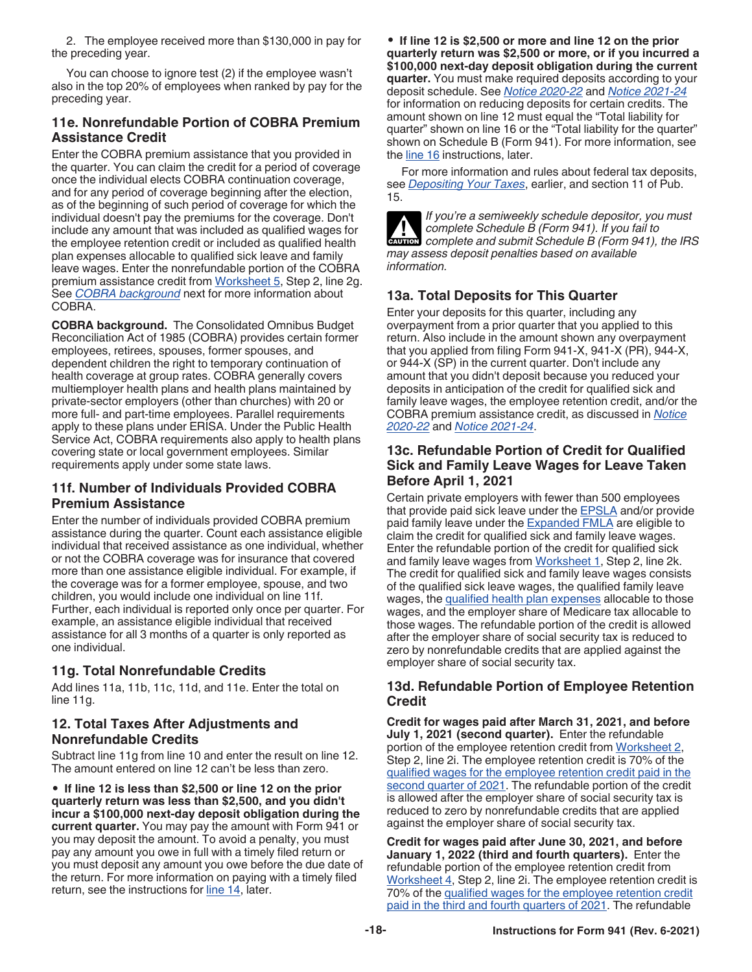<span id="page-17-0"></span>2. The employee received more than \$130,000 in pay for the preceding year.

You can choose to ignore test (2) if the employee wasn't also in the top 20% of employees when ranked by pay for the preceding year.

## **11e. Nonrefundable Portion of COBRA Premium Assistance Credit**

Enter the COBRA premium assistance that you provided in the quarter. You can claim the credit for a period of coverage once the individual elects COBRA continuation coverage, and for any period of coverage beginning after the election, as of the beginning of such period of coverage for which the individual doesn't pay the premiums for the coverage. Don't include any amount that was included as qualified wages for the employee retention credit or included as qualified health plan expenses allocable to qualified sick leave and family leave wages. Enter the nonrefundable portion of the COBRA premium assistance credit from [Worksheet 5](#page-28-0), Step 2, line 2g. See *COBRA background* next for more information about COBRA.

**COBRA background.** The Consolidated Omnibus Budget Reconciliation Act of 1985 (COBRA) provides certain former employees, retirees, spouses, former spouses, and dependent children the right to temporary continuation of health coverage at group rates. COBRA generally covers multiemployer health plans and health plans maintained by private-sector employers (other than churches) with 20 or more full- and part-time employees. Parallel requirements apply to these plans under ERISA. Under the Public Health Service Act, COBRA requirements also apply to health plans covering state or local government employees. Similar requirements apply under some state laws.

## **11f. Number of Individuals Provided COBRA Premium Assistance**

Enter the number of individuals provided COBRA premium assistance during the quarter. Count each assistance eligible individual that received assistance as one individual, whether or not the COBRA coverage was for insurance that covered more than one assistance eligible individual. For example, if the coverage was for a former employee, spouse, and two children, you would include one individual on line 11f. Further, each individual is reported only once per quarter. For example, an assistance eligible individual that received assistance for all 3 months of a quarter is only reported as one individual.

## **11g. Total Nonrefundable Credits**

Add lines 11a, 11b, 11c, 11d, and 11e. Enter the total on line 11g.

#### **12. Total Taxes After Adjustments and Nonrefundable Credits**

Subtract line 11g from line 10 and enter the result on line 12. The amount entered on line 12 can't be less than zero.

• **If line 12 is less than \$2,500 or line 12 on the prior quarterly return was less than \$2,500, and you didn't incur a \$100,000 next-day deposit obligation during the current quarter.** You may pay the amount with Form 941 or you may deposit the amount. To avoid a penalty, you must pay any amount you owe in full with a timely filed return or you must deposit any amount you owe before the due date of the return. For more information on paying with a timely filed return, see the instructions for [line 14,](#page-18-0) later.

• **If line 12 is \$2,500 or more and line 12 on the prior quarterly return was \$2,500 or more, or if you incurred a \$100,000 next-day deposit obligation during the current quarter.** You must make required deposits according to your deposit schedule. See *[Notice 2020-22](https://www.irs.gov/irb/2020-17_IRB#NOT-2020-22)* and *[Notice 2021-24](https://www.irs.gov/irb/2021-18_IRB#NOT-2021-24)*  for information on reducing deposits for certain credits. The amount shown on line 12 must equal the "Total liability for quarter" shown on line 16 or the "Total liability for the quarter" shown on Schedule B (Form 941). For more information, see the [line 16](#page-19-0) instructions, later.

For more information and rules about federal tax deposits, see *[Depositing Your Taxes](#page-8-0)*, earlier, and section 11 of Pub. 15.



*If you're a semiweekly schedule depositor, you must complete Schedule B (Form 941). If you fail to*  **COMPLETE AND COMPLETE Schedule B (Form 941). If you fail to complete and submit Schedule B (Form 941), the IRS** *may assess deposit penalties based on available information.*

## **13a. Total Deposits for This Quarter**

Enter your deposits for this quarter, including any overpayment from a prior quarter that you applied to this return. Also include in the amount shown any overpayment that you applied from filing Form 941-X, 941-X (PR), 944-X, or 944-X (SP) in the current quarter. Don't include any amount that you didn't deposit because you reduced your deposits in anticipation of the credit for qualified sick and family leave wages, the employee retention credit, and/or the COBRA premium assistance credit, as discussed in *[Notice](https://www.irs.gov/irb/2020-17_IRB#NOT-2020-22)  [2020-22](https://www.irs.gov/irb/2020-17_IRB#NOT-2020-22)* and *[Notice 2021-24](https://www.irs.gov/irb/2021-18_IRB#NOT-2021-24)*.

### **13c. Refundable Portion of Credit for Qualified Sick and Family Leave Wages for Leave Taken Before April 1, 2021**

Certain private employers with fewer than 500 employees that provide paid sick leave under the [EPSLA](#page-10-0) and/or provide paid family leave under the **Expanded FMLA** are eligible to claim the credit for qualified sick and family leave wages. Enter the refundable portion of the credit for qualified sick and family leave wages from [Worksheet 1,](#page-24-0) Step 2, line 2k. The credit for qualified sick and family leave wages consists of the qualified sick leave wages, the qualified family leave wages, the [qualified health plan expenses](#page-13-0) allocable to those wages, and the employer share of Medicare tax allocable to those wages. The refundable portion of the credit is allowed after the employer share of social security tax is reduced to zero by nonrefundable credits that are applied against the employer share of social security tax.

#### **13d. Refundable Portion of Employee Retention Credit**

**Credit for wages paid after March 31, 2021, and before July 1, 2021 (second quarter).** Enter the refundable portion of the employee retention credit from [Worksheet 2,](#page-25-0) Step 2, line 2i. The employee retention credit is 70% of the [qualified wages for the employee retention credit paid in the](#page-14-0)  [second quarter of 2021.](#page-14-0) The refundable portion of the credit is allowed after the employer share of social security tax is reduced to zero by nonrefundable credits that are applied against the employer share of social security tax.

**Credit for wages paid after June 30, 2021, and before January 1, 2022 (third and fourth quarters).** Enter the refundable portion of the employee retention credit from [Worksheet 4,](#page-27-0) Step 2, line 2i. The employee retention credit is 70% of the [qualified wages for the employee retention credit](#page-15-0) [paid in the third and fourth quarters of 2021](#page-15-0). The refundable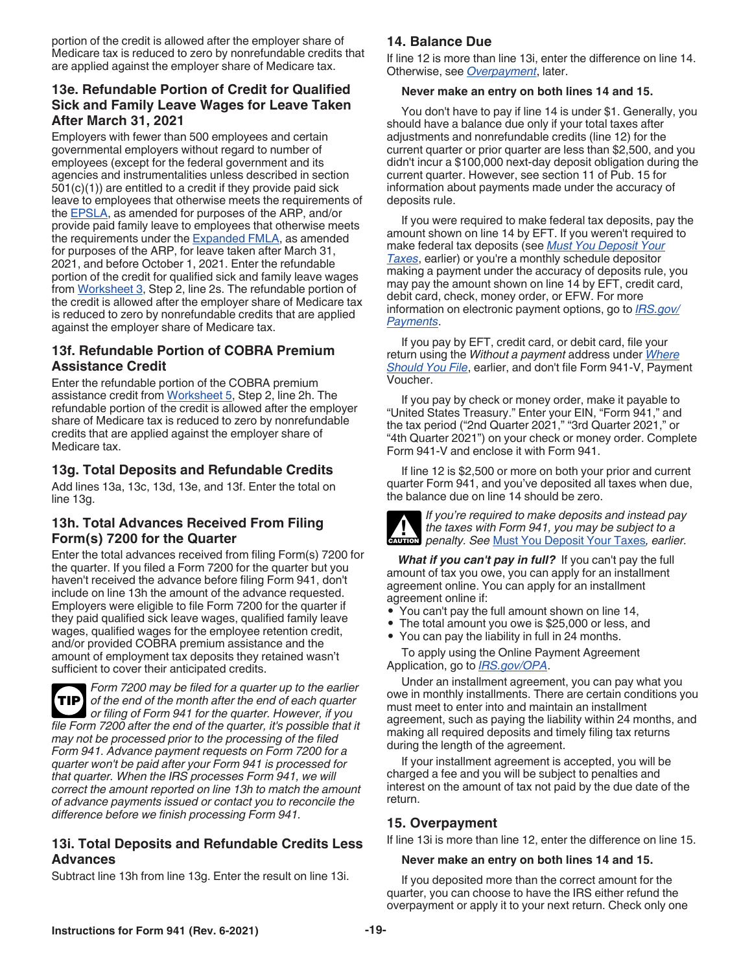<span id="page-18-0"></span>portion of the credit is allowed after the employer share of Medicare tax is reduced to zero by nonrefundable credits that are applied against the employer share of Medicare tax.

## **13e. Refundable Portion of Credit for Qualified Sick and Family Leave Wages for Leave Taken After March 31, 2021**

Employers with fewer than 500 employees and certain governmental employers without regard to number of employees (except for the federal government and its agencies and instrumentalities unless described in section 501(c)(1)) are entitled to a credit if they provide paid sick leave to employees that otherwise meets the requirements of the [EPSLA,](#page-10-0) as amended for purposes of the ARP, and/or provide paid family leave to employees that otherwise meets the requirements under the [Expanded FMLA](#page-10-0), as amended for purposes of the ARP, for leave taken after March 31, 2021, and before October 1, 2021. Enter the refundable portion of the credit for qualified sick and family leave wages from [Worksheet 3](#page-26-0), Step 2, line 2s. The refundable portion of the credit is allowed after the employer share of Medicare tax is reduced to zero by nonrefundable credits that are applied against the employer share of Medicare tax.

## **13f. Refundable Portion of COBRA Premium Assistance Credit**

Enter the refundable portion of the COBRA premium assistance credit from [Worksheet 5,](#page-28-0) Step 2, line 2h. The refundable portion of the credit is allowed after the employer share of Medicare tax is reduced to zero by nonrefundable credits that are applied against the employer share of Medicare tax.

## **13g. Total Deposits and Refundable Credits**

Add lines 13a, 13c, 13d, 13e, and 13f. Enter the total on line 13g.

## **13h. Total Advances Received From Filing Form(s) 7200 for the Quarter**

Enter the total advances received from filing Form(s) 7200 for the quarter. If you filed a Form 7200 for the quarter but you haven't received the advance before filing Form 941, don't include on line 13h the amount of the advance requested. Employers were eligible to file Form 7200 for the quarter if they paid qualified sick leave wages, qualified family leave wages, qualified wages for the employee retention credit, and/or provided COBRA premium assistance and the amount of employment tax deposits they retained wasn't sufficient to cover their anticipated credits.



*Form 7200 may be filed for a quarter up to the earlier of the end of the month after the end of each quarter or filing of Form 941 for the quarter. However, if you file Form 7200 after the end of the quarter, it's possible that it may not be processed prior to the processing of the filed Form 941. Advance payment requests on Form 7200 for a quarter won't be paid after your Form 941 is processed for that quarter. When the IRS processes Form 941, we will correct the amount reported on line 13h to match the amount of advance payments issued or contact you to reconcile the difference before we finish processing Form 941.*

## **13i. Total Deposits and Refundable Credits Less Advances**

Subtract line 13h from line 13g. Enter the result on line 13i.

## **14. Balance Due**

If line 12 is more than line 13i, enter the difference on line 14. Otherwise, see *Overpayment*, later.

## **Never make an entry on both lines 14 and 15.**

You don't have to pay if line 14 is under \$1. Generally, you should have a balance due only if your total taxes after adjustments and nonrefundable credits (line 12) for the current quarter or prior quarter are less than \$2,500, and you didn't incur a \$100,000 next-day deposit obligation during the current quarter. However, see section 11 of Pub. 15 for information about payments made under the accuracy of deposits rule.

If you were required to make federal tax deposits, pay the amount shown on line 14 by EFT. If you weren't required to make federal tax deposits (see *[Must You Deposit Your](#page-8-0)  [Taxes](#page-8-0)*, earlier) or you're a monthly schedule depositor making a payment under the accuracy of deposits rule, you may pay the amount shown on line 14 by EFT, credit card, debit card, check, money order, or EFW. For more information on electronic payment options, go to *[IRS.gov/](https://www.irs.gov/payments) [Payments](https://www.irs.gov/payments)*.

If you pay by EFT, credit card, or debit card, file your return using the *Without a payment* address under *[Where](#page-7-0)  [Should You File](#page-7-0)*, earlier, and don't file Form 941-V, Payment Voucher.

If you pay by check or money order, make it payable to "United States Treasury." Enter your EIN, "Form 941," and the tax period ("2nd Quarter 2021," "3rd Quarter 2021," or "4th Quarter 2021") on your check or money order. Complete Form 941-V and enclose it with Form 941.

If line 12 is \$2,500 or more on both your prior and current quarter Form 941, and you've deposited all taxes when due, the balance due on line 14 should be zero.



*If you're required to make deposits and instead pay the taxes with Form 941, you may be subject to a*  **h**e taxes with Form 941, you may be subject to a penalty. See [Must You Deposit Your Taxes](#page-8-0), earlier.

*What if you can't pay in full?* If you can't pay the full amount of tax you owe, you can apply for an installment agreement online. You can apply for an installment agreement online if:

- You can't pay the full amount shown on line 14,
- The total amount you owe is \$25,000 or less, and
- You can pay the liability in full in 24 months.

To apply using the Online Payment Agreement Application, go to *[IRS.gov/OPA](https://www.irs.gov/opa)*.

Under an installment agreement, you can pay what you owe in monthly installments. There are certain conditions you must meet to enter into and maintain an installment agreement, such as paying the liability within 24 months, and making all required deposits and timely filing tax returns during the length of the agreement.

If your installment agreement is accepted, you will be charged a fee and you will be subject to penalties and interest on the amount of tax not paid by the due date of the return.

## **15. Overpayment**

If line 13i is more than line 12, enter the difference on line 15.

#### **Never make an entry on both lines 14 and 15.**

If you deposited more than the correct amount for the quarter, you can choose to have the IRS either refund the overpayment or apply it to your next return. Check only one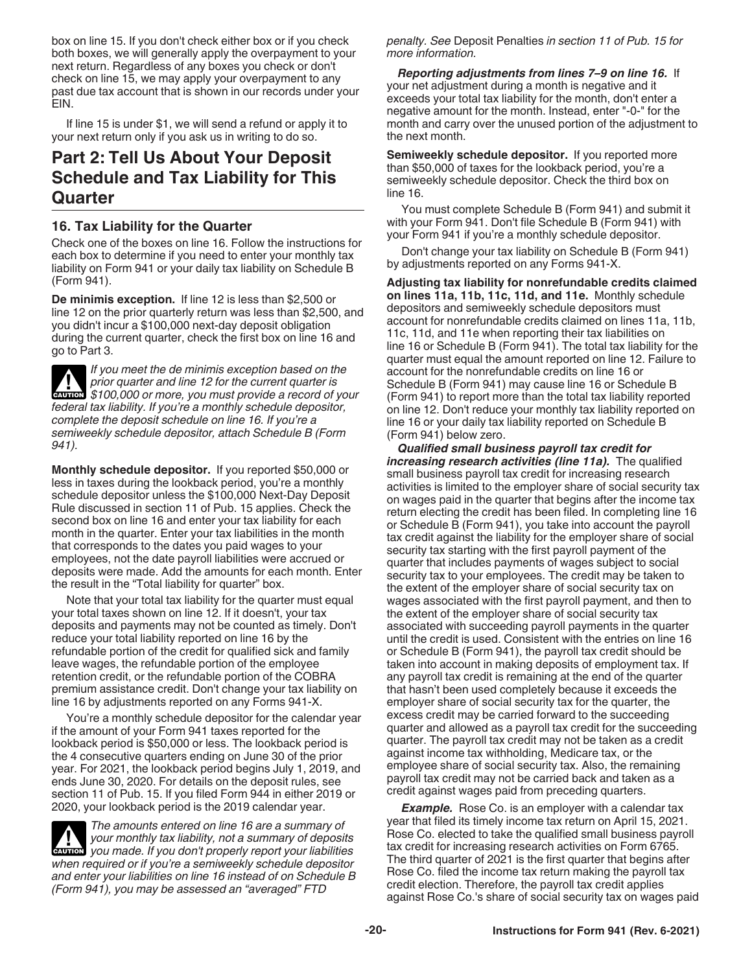<span id="page-19-0"></span>box on line 15. If you don't check either box or if you check both boxes, we will generally apply the overpayment to your next return. Regardless of any boxes you check or don't check on line 15, we may apply your overpayment to any past due tax account that is shown in our records under your EIN.

If line 15 is under \$1, we will send a refund or apply it to your next return only if you ask us in writing to do so.

## **Part 2: Tell Us About Your Deposit Schedule and Tax Liability for This Quarter**

## **16. Tax Liability for the Quarter**

Check one of the boxes on line 16. Follow the instructions for each box to determine if you need to enter your monthly tax liability on Form 941 or your daily tax liability on Schedule B (Form 941).

**De minimis exception.** If line 12 is less than \$2,500 or line 12 on the prior quarterly return was less than \$2,500, and you didn't incur a \$100,000 next-day deposit obligation during the current quarter, check the first box on line 16 and go to Part 3.

*If you meet the de minimis exception based on the prior quarter and line 12 for the current quarter is*  **Providence And Subset of the current quarter is<br>
<b>CAUTION** \$100,000 or more, you must provide a record of your *federal tax liability. If you're a monthly schedule depositor, complete the deposit schedule on line 16. If you're a semiweekly schedule depositor, attach Schedule B (Form 941).*

**Monthly schedule depositor.** If you reported \$50,000 or less in taxes during the lookback period, you're a monthly schedule depositor unless the \$100,000 Next-Day Deposit Rule discussed in section 11 of Pub. 15 applies. Check the second box on line 16 and enter your tax liability for each month in the quarter. Enter your tax liabilities in the month that corresponds to the dates you paid wages to your employees, not the date payroll liabilities were accrued or deposits were made. Add the amounts for each month. Enter the result in the "Total liability for quarter" box.

Note that your total tax liability for the quarter must equal your total taxes shown on line 12. If it doesn't, your tax deposits and payments may not be counted as timely. Don't reduce your total liability reported on line 16 by the refundable portion of the credit for qualified sick and family leave wages, the refundable portion of the employee retention credit, or the refundable portion of the COBRA premium assistance credit. Don't change your tax liability on line 16 by adjustments reported on any Forms 941-X.

You're a monthly schedule depositor for the calendar year if the amount of your Form 941 taxes reported for the lookback period is \$50,000 or less. The lookback period is the 4 consecutive quarters ending on June 30 of the prior year. For 2021, the lookback period begins July 1, 2019, and ends June 30, 2020. For details on the deposit rules, see section 11 of Pub. 15. If you filed Form 944 in either 2019 or 2020, your lookback period is the 2019 calendar year.

*The amounts entered on line 16 are a summary of your monthly tax liability, not a summary of deposits*  **your monthly tax liability, not a summary of deposits caution** you made. If you don't properly report your liabilities *when required or if you're a semiweekly schedule depositor and enter your liabilities on line 16 instead of on Schedule B (Form 941), you may be assessed an "averaged" FTD* 

*penalty. See* Deposit Penalties *in section 11 of Pub. 15 for more information.*

*Reporting adjustments from lines 7–9 on line 16.* If your net adjustment during a month is negative and it exceeds your total tax liability for the month, don't enter a negative amount for the month. Instead, enter "-0-" for the month and carry over the unused portion of the adjustment to the next month.

**Semiweekly schedule depositor.** If you reported more than \$50,000 of taxes for the lookback period, you're a semiweekly schedule depositor. Check the third box on line 16.

You must complete Schedule B (Form 941) and submit it with your Form 941. Don't file Schedule B (Form 941) with your Form 941 if you're a monthly schedule depositor.

Don't change your tax liability on Schedule B (Form 941) by adjustments reported on any Forms 941-X.

**Adjusting tax liability for nonrefundable credits claimed on lines 11a, 11b, 11c, 11d, and 11e.** Monthly schedule depositors and semiweekly schedule depositors must account for nonrefundable credits claimed on lines 11a, 11b, 11c, 11d, and 11e when reporting their tax liabilities on line 16 or Schedule B (Form 941). The total tax liability for the quarter must equal the amount reported on line 12. Failure to account for the nonrefundable credits on line 16 or Schedule B (Form 941) may cause line 16 or Schedule B (Form 941) to report more than the total tax liability reported on line 12. Don't reduce your monthly tax liability reported on line 16 or your daily tax liability reported on Schedule B (Form 941) below zero.

*Qualified small business payroll tax credit for increasing research activities (line 11a).* The qualified small business payroll tax credit for increasing research activities is limited to the employer share of social security tax on wages paid in the quarter that begins after the income tax return electing the credit has been filed. In completing line 16 or Schedule B (Form 941), you take into account the payroll tax credit against the liability for the employer share of social security tax starting with the first payroll payment of the quarter that includes payments of wages subject to social security tax to your employees. The credit may be taken to the extent of the employer share of social security tax on wages associated with the first payroll payment, and then to the extent of the employer share of social security tax associated with succeeding payroll payments in the quarter until the credit is used. Consistent with the entries on line 16 or Schedule B (Form 941), the payroll tax credit should be taken into account in making deposits of employment tax. If any payroll tax credit is remaining at the end of the quarter that hasn't been used completely because it exceeds the employer share of social security tax for the quarter, the excess credit may be carried forward to the succeeding quarter and allowed as a payroll tax credit for the succeeding quarter. The payroll tax credit may not be taken as a credit against income tax withholding, Medicare tax, or the employee share of social security tax. Also, the remaining payroll tax credit may not be carried back and taken as a credit against wages paid from preceding quarters.

**Example.** Rose Co. is an employer with a calendar tax year that filed its timely income tax return on April 15, 2021. Rose Co. elected to take the qualified small business payroll tax credit for increasing research activities on Form 6765. The third quarter of 2021 is the first quarter that begins after Rose Co. filed the income tax return making the payroll tax credit election. Therefore, the payroll tax credit applies against Rose Co.'s share of social security tax on wages paid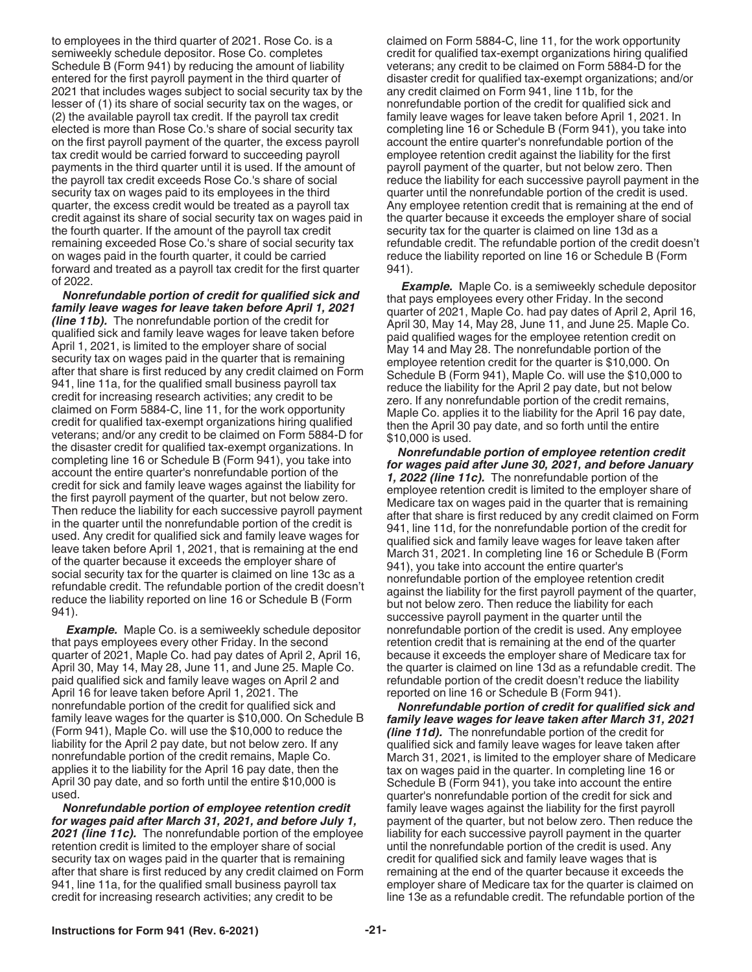to employees in the third quarter of 2021. Rose Co. is a semiweekly schedule depositor. Rose Co. completes Schedule B (Form 941) by reducing the amount of liability entered for the first payroll payment in the third quarter of 2021 that includes wages subject to social security tax by the lesser of (1) its share of social security tax on the wages, or (2) the available payroll tax credit. If the payroll tax credit elected is more than Rose Co.'s share of social security tax on the first payroll payment of the quarter, the excess payroll tax credit would be carried forward to succeeding payroll payments in the third quarter until it is used. If the amount of the payroll tax credit exceeds Rose Co.'s share of social security tax on wages paid to its employees in the third quarter, the excess credit would be treated as a payroll tax credit against its share of social security tax on wages paid in the fourth quarter. If the amount of the payroll tax credit remaining exceeded Rose Co.'s share of social security tax on wages paid in the fourth quarter, it could be carried forward and treated as a payroll tax credit for the first quarter of 2022.

*Nonrefundable portion of credit for qualified sick and family leave wages for leave taken before April 1, 2021 (line 11b).* The nonrefundable portion of the credit for qualified sick and family leave wages for leave taken before April 1, 2021, is limited to the employer share of social security tax on wages paid in the quarter that is remaining after that share is first reduced by any credit claimed on Form 941, line 11a, for the qualified small business payroll tax credit for increasing research activities; any credit to be claimed on Form 5884-C, line 11, for the work opportunity credit for qualified tax-exempt organizations hiring qualified veterans; and/or any credit to be claimed on Form 5884-D for the disaster credit for qualified tax-exempt organizations. In completing line 16 or Schedule B (Form 941), you take into account the entire quarter's nonrefundable portion of the credit for sick and family leave wages against the liability for the first payroll payment of the quarter, but not below zero. Then reduce the liability for each successive payroll payment in the quarter until the nonrefundable portion of the credit is used. Any credit for qualified sick and family leave wages for leave taken before April 1, 2021, that is remaining at the end of the quarter because it exceeds the employer share of social security tax for the quarter is claimed on line 13c as a refundable credit. The refundable portion of the credit doesn't reduce the liability reported on line 16 or Schedule B (Form 941).

*Example.* Maple Co. is a semiweekly schedule depositor that pays employees every other Friday. In the second quarter of 2021, Maple Co. had pay dates of April 2, April 16, April 30, May 14, May 28, June 11, and June 25. Maple Co. paid qualified sick and family leave wages on April 2 and April 16 for leave taken before April 1, 2021. The nonrefundable portion of the credit for qualified sick and family leave wages for the quarter is \$10,000. On Schedule B (Form 941), Maple Co. will use the \$10,000 to reduce the liability for the April 2 pay date, but not below zero. If any nonrefundable portion of the credit remains, Maple Co. applies it to the liability for the April 16 pay date, then the April 30 pay date, and so forth until the entire \$10,000 is used.

*Nonrefundable portion of employee retention credit for wages paid after March 31, 2021, and before July 1, 2021 (line 11c).* The nonrefundable portion of the employee retention credit is limited to the employer share of social security tax on wages paid in the quarter that is remaining after that share is first reduced by any credit claimed on Form 941, line 11a, for the qualified small business payroll tax credit for increasing research activities; any credit to be

claimed on Form 5884-C, line 11, for the work opportunity credit for qualified tax-exempt organizations hiring qualified veterans; any credit to be claimed on Form 5884-D for the disaster credit for qualified tax-exempt organizations; and/or any credit claimed on Form 941, line 11b, for the nonrefundable portion of the credit for qualified sick and family leave wages for leave taken before April 1, 2021. In completing line 16 or Schedule B (Form 941), you take into account the entire quarter's nonrefundable portion of the employee retention credit against the liability for the first payroll payment of the quarter, but not below zero. Then reduce the liability for each successive payroll payment in the quarter until the nonrefundable portion of the credit is used. Any employee retention credit that is remaining at the end of the quarter because it exceeds the employer share of social security tax for the quarter is claimed on line 13d as a refundable credit. The refundable portion of the credit doesn't reduce the liability reported on line 16 or Schedule B (Form 941).

*Example.* Maple Co. is a semiweekly schedule depositor that pays employees every other Friday. In the second quarter of 2021, Maple Co. had pay dates of April 2, April 16, April 30, May 14, May 28, June 11, and June 25. Maple Co. paid qualified wages for the employee retention credit on May 14 and May 28. The nonrefundable portion of the employee retention credit for the quarter is \$10,000. On Schedule B (Form 941), Maple Co. will use the \$10,000 to reduce the liability for the April 2 pay date, but not below zero. If any nonrefundable portion of the credit remains, Maple Co. applies it to the liability for the April 16 pay date, then the April 30 pay date, and so forth until the entire \$10,000 is used.

*Nonrefundable portion of employee retention credit for wages paid after June 30, 2021, and before January 1, 2022 (line 11c).* The nonrefundable portion of the employee retention credit is limited to the employer share of Medicare tax on wages paid in the quarter that is remaining after that share is first reduced by any credit claimed on Form 941, line 11d, for the nonrefundable portion of the credit for qualified sick and family leave wages for leave taken after March 31, 2021. In completing line 16 or Schedule B (Form 941), you take into account the entire quarter's nonrefundable portion of the employee retention credit against the liability for the first payroll payment of the quarter, but not below zero. Then reduce the liability for each successive payroll payment in the quarter until the nonrefundable portion of the credit is used. Any employee retention credit that is remaining at the end of the quarter because it exceeds the employer share of Medicare tax for the quarter is claimed on line 13d as a refundable credit. The refundable portion of the credit doesn't reduce the liability reported on line 16 or Schedule B (Form 941).

*Nonrefundable portion of credit for qualified sick and family leave wages for leave taken after March 31, 2021 (line 11d).* The nonrefundable portion of the credit for qualified sick and family leave wages for leave taken after March 31, 2021, is limited to the employer share of Medicare tax on wages paid in the quarter. In completing line 16 or Schedule B (Form 941), you take into account the entire quarter's nonrefundable portion of the credit for sick and family leave wages against the liability for the first payroll payment of the quarter, but not below zero. Then reduce the liability for each successive payroll payment in the quarter until the nonrefundable portion of the credit is used. Any credit for qualified sick and family leave wages that is remaining at the end of the quarter because it exceeds the employer share of Medicare tax for the quarter is claimed on line 13e as a refundable credit. The refundable portion of the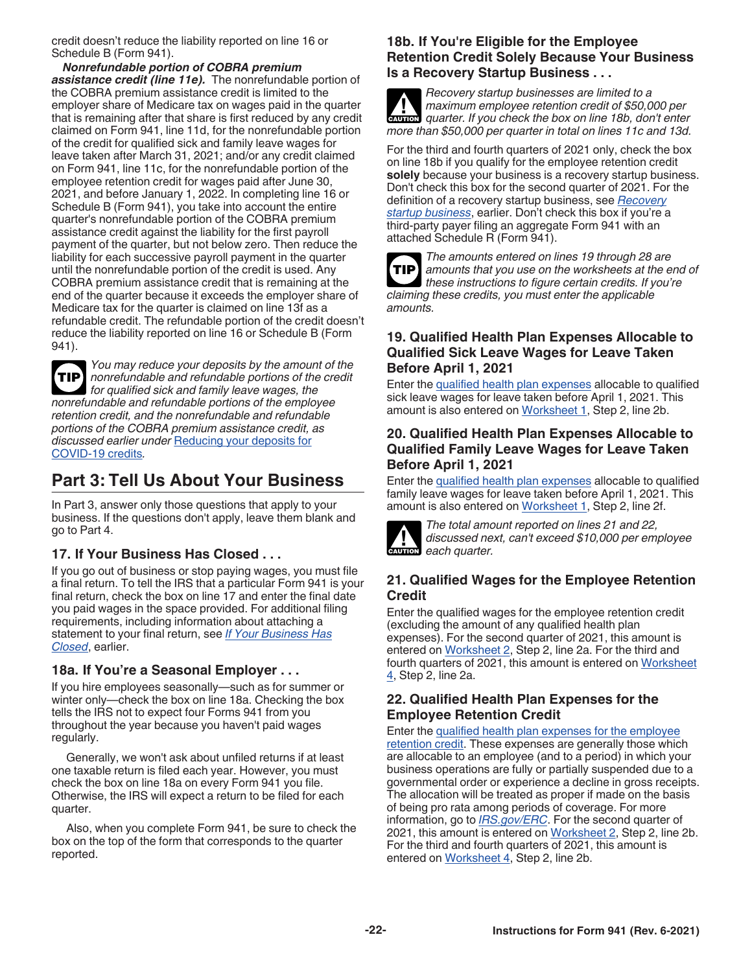<span id="page-21-0"></span>credit doesn't reduce the liability reported on line 16 or Schedule B (Form 941).

*Nonrefundable portion of COBRA premium assistance credit (line 11e).* The nonrefundable portion of the COBRA premium assistance credit is limited to the employer share of Medicare tax on wages paid in the quarter that is remaining after that share is first reduced by any credit claimed on Form 941, line 11d, for the nonrefundable portion of the credit for qualified sick and family leave wages for leave taken after March 31, 2021; and/or any credit claimed on Form 941, line 11c, for the nonrefundable portion of the employee retention credit for wages paid after June 30, 2021, and before January 1, 2022. In completing line 16 or Schedule B (Form 941), you take into account the entire quarter's nonrefundable portion of the COBRA premium assistance credit against the liability for the first payroll payment of the quarter, but not below zero. Then reduce the liability for each successive payroll payment in the quarter until the nonrefundable portion of the credit is used. Any COBRA premium assistance credit that is remaining at the end of the quarter because it exceeds the employer share of Medicare tax for the quarter is claimed on line 13f as a refundable credit. The refundable portion of the credit doesn't reduce the liability reported on line 16 or Schedule B (Form 941).

*You may reduce your deposits by the amount of the nonrefundable and refundable portions of the credit for qualified sick and family leave wages, the nonrefundable and refundable portions of the employee retention credit, and the nonrefundable and refundable portions of the COBRA premium assistance credit, as discussed earlier under* [Reducing your deposits for](#page-8-0)  [COVID-19 credits](#page-8-0)*.* **TIP**

## **Part 3: Tell Us About Your Business**

In Part 3, answer only those questions that apply to your business. If the questions don't apply, leave them blank and go to Part 4.

## **17. If Your Business Has Closed . . .**

If you go out of business or stop paying wages, you must file a final return. To tell the IRS that a particular Form 941 is your final return, check the box on line 17 and enter the final date you paid wages in the space provided. For additional filing requirements, including information about attaching a statement to your final return, see *[If Your Business Has](#page-6-0)  [Closed](#page-6-0)*, earlier.

#### **18a. If You're a Seasonal Employer . . .**

If you hire employees seasonally—such as for summer or winter only—check the box on line 18a. Checking the box tells the IRS not to expect four Forms 941 from you throughout the year because you haven't paid wages regularly.

Generally, we won't ask about unfiled returns if at least one taxable return is filed each year. However, you must check the box on line 18a on every Form 941 you file. Otherwise, the IRS will expect a return to be filed for each quarter.

Also, when you complete Form 941, be sure to check the box on the top of the form that corresponds to the quarter reported.

### **18b. If You're Eligible for the Employee Retention Credit Solely Because Your Business Is a Recovery Startup Business . . .**

*Recovery startup businesses are limited to a maximum employee retention credit of \$50,000 per*  **autor** *quarter. If you check the box on line 18b, don't enter more than \$50,000 per quarter in total on lines 11c and 13d.*

For the third and fourth quarters of 2021 only, check the box on line 18b if you qualify for the employee retention credit **solely** because your business is a recovery startup business. Don't check this box for the second quarter of 2021. For the definition of a recovery startup business, see *[Recovery](#page-15-0)  [startup business](#page-15-0)*, earlier. Don't check this box if you're a third-party payer filing an aggregate Form 941 with an attached Schedule R (Form 941).

**TIP**

*The amounts entered on lines 19 through 28 are amounts that you use on the worksheets at the end of these instructions to figure certain credits. If you're claiming these credits, you must enter the applicable amounts.*

### **19. Qualified Health Plan Expenses Allocable to Qualified Sick Leave Wages for Leave Taken Before April 1, 2021**

Enter the [qualified health plan expenses](#page-13-0) allocable to qualified sick leave wages for leave taken before April 1, 2021. This amount is also entered on [Worksheet 1,](#page-24-0) Step 2, line 2b.

### **20. Qualified Health Plan Expenses Allocable to Qualified Family Leave Wages for Leave Taken Before April 1, 2021**

Enter the [qualified health plan expenses](#page-13-0) allocable to qualified family leave wages for leave taken before April 1, 2021. This amount is also entered on [Worksheet 1,](#page-24-0) Step 2, line 2f.



*The total amount reported on lines 21 and 22, discussed next, can't exceed \$10,000 per employee*  **discussed ne**<br> **each quarter.** 

## **21. Qualified Wages for the Employee Retention Credit**

Enter the qualified wages for the employee retention credit (excluding the amount of any qualified health plan expenses). For the second quarter of 2021, this amount is entered on [Worksheet 2](#page-25-0), Step 2, line 2a. For the third and fourth quarters of 2021, this amount is entered on [Worksheet](#page-27-0) [4](#page-27-0), Step 2, line 2a.

## **22. Qualified Health Plan Expenses for the Employee Retention Credit**

Enter the [qualified health plan expenses for the employee](#page-14-0) [retention credit](#page-14-0). These expenses are generally those which are allocable to an employee (and to a period) in which your business operations are fully or partially suspended due to a governmental order or experience a decline in gross receipts. The allocation will be treated as proper if made on the basis of being pro rata among periods of coverage. For more information, go to *[IRS.gov/ERC](https://www.irs.gov/erc)*. For the second quarter of 2021, this amount is entered on [Worksheet 2](#page-25-0), Step 2, line 2b. For the third and fourth quarters of 2021, this amount is entered on [Worksheet 4](#page-27-0), Step 2, line 2b.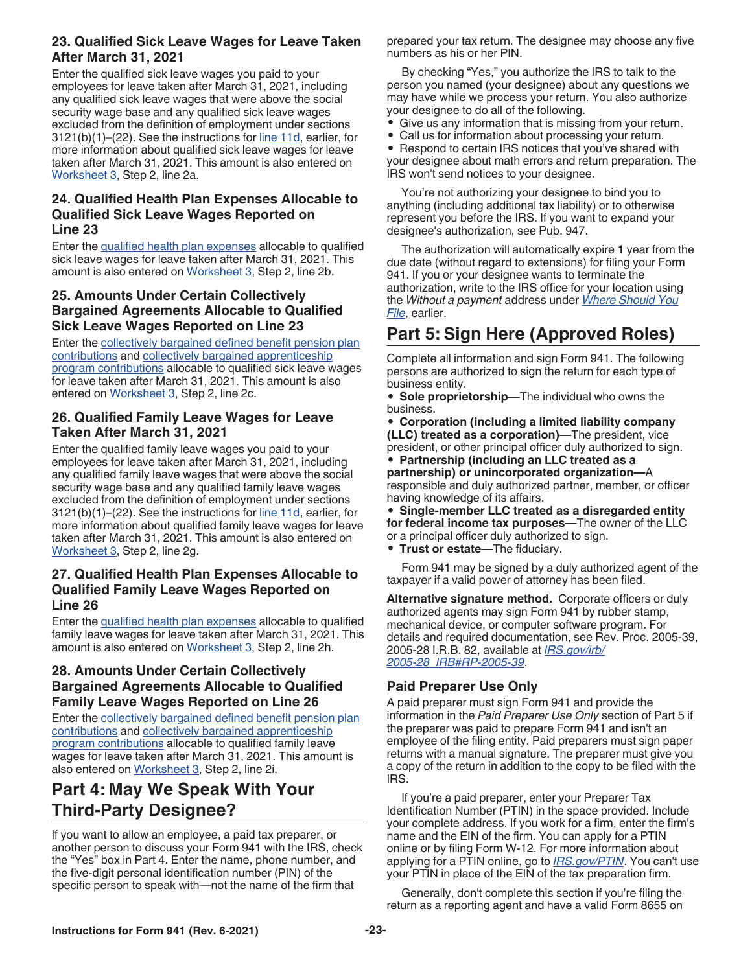### <span id="page-22-0"></span>**23. Qualified Sick Leave Wages for Leave Taken After March 31, 2021**

Enter the qualified sick leave wages you paid to your employees for leave taken after March 31, 2021, including any qualified sick leave wages that were above the social security wage base and any qualified sick leave wages excluded from the definition of employment under sections 3121(b)(1)–(22). See the instructions for [line 11d](#page-15-0), earlier, for more information about qualified sick leave wages for leave taken after March 31, 2021. This amount is also entered on [Worksheet 3,](#page-26-0) Step 2, line 2a.

### **24. Qualified Health Plan Expenses Allocable to Qualified Sick Leave Wages Reported on Line 23**

Enter the [qualified health plan expenses](#page-16-0) allocable to qualified sick leave wages for leave taken after March 31, 2021. This amount is also entered on [Worksheet 3,](#page-26-0) Step 2, line 2b.

## **25. Amounts Under Certain Collectively Bargained Agreements Allocable to Qualified Sick Leave Wages Reported on Line 23**

Enter the [collectively bargained defined benefit pension plan](#page-16-0)  [contributions](#page-16-0) and [collectively bargained apprenticeship](#page-16-0) [program contributions](#page-16-0) allocable to qualified sick leave wages for leave taken after March 31, 2021. This amount is also entered on [Worksheet 3](#page-26-0), Step 2, line 2c.

## **26. Qualified Family Leave Wages for Leave Taken After March 31, 2021**

Enter the qualified family leave wages you paid to your employees for leave taken after March 31, 2021, including any qualified family leave wages that were above the social security wage base and any qualified family leave wages excluded from the definition of employment under sections 3121(b)(1)–(22). See the instructions for [line 11d](#page-15-0), earlier, for more information about qualified family leave wages for leave taken after March 31, 2021. This amount is also entered on [Worksheet 3,](#page-26-0) Step 2, line 2g.

### **27. Qualified Health Plan Expenses Allocable to Qualified Family Leave Wages Reported on Line 26**

Enter the [qualified health plan expenses](#page-16-0) allocable to qualified family leave wages for leave taken after March 31, 2021. This amount is also entered on [Worksheet 3,](#page-26-0) Step 2, line 2h.

## **28. Amounts Under Certain Collectively Bargained Agreements Allocable to Qualified Family Leave Wages Reported on Line 26**

Enter the [collectively bargained defined benefit pension plan](#page-16-0)  [contributions](#page-16-0) and [collectively bargained apprenticeship](#page-16-0) [program contributions](#page-16-0) allocable to qualified family leave wages for leave taken after March 31, 2021. This amount is also entered on [Worksheet 3](#page-26-0), Step 2, line 2i.

## **Part 4: May We Speak With Your Third-Party Designee?**

If you want to allow an employee, a paid tax preparer, or another person to discuss your Form 941 with the IRS, check the "Yes" box in Part 4. Enter the name, phone number, and the five-digit personal identification number (PIN) of the specific person to speak with—not the name of the firm that

prepared your tax return. The designee may choose any five numbers as his or her PIN.

By checking "Yes," you authorize the IRS to talk to the person you named (your designee) about any questions we may have while we process your return. You also authorize your designee to do all of the following.

- Give us any information that is missing from your return.<br>• Call us for information about processing your return.
- Call us for information about processing your return.<br>• Respond to certain IRS notices that you've shared w

• Respond to certain IRS notices that you've shared with your designee about math errors and return preparation. The IRS won't send notices to your designee.

You're not authorizing your designee to bind you to anything (including additional tax liability) or to otherwise represent you before the IRS. If you want to expand your designee's authorization, see Pub. 947.

The authorization will automatically expire 1 year from the due date (without regard to extensions) for filing your Form 941. If you or your designee wants to terminate the authorization, write to the IRS office for your location using the *Without a payment* address under *[Where Should You](#page-7-0)  [File](#page-7-0)*, earlier.

## **Part 5: Sign Here (Approved Roles)**

Complete all information and sign Form 941. The following persons are authorized to sign the return for each type of business entity.

• **Sole proprietorship—**The individual who owns the business.

• **Corporation (including a limited liability company (LLC) treated as a corporation)—**The president, vice president, or other principal officer duly authorized to sign.

• **Partnership (including an LLC treated as a partnership) or unincorporated organization—**A responsible and duly authorized partner, member, or officer having knowledge of its affairs.

• **Single-member LLC treated as a disregarded entity for federal income tax purposes—**The owner of the LLC or a principal officer duly authorized to sign.

• **Trust or estate—**The fiduciary.

Form 941 may be signed by a duly authorized agent of the taxpayer if a valid power of attorney has been filed.

**Alternative signature method.** Corporate officers or duly authorized agents may sign Form 941 by rubber stamp, mechanical device, or computer software program. For details and required documentation, see Rev. Proc. 2005-39, 2005-28 I.R.B. 82, available at *[IRS.gov/irb/](https://www.irs.gov/irb/2005-28_IRB#RP-2005-39) [2005-28\\_IRB#RP-2005-39](https://www.irs.gov/irb/2005-28_IRB#RP-2005-39)*.

## **Paid Preparer Use Only**

A paid preparer must sign Form 941 and provide the information in the *Paid Preparer Use Only* section of Part 5 if the preparer was paid to prepare Form 941 and isn't an employee of the filing entity. Paid preparers must sign paper returns with a manual signature. The preparer must give you a copy of the return in addition to the copy to be filed with the IRS.

If you're a paid preparer, enter your Preparer Tax Identification Number (PTIN) in the space provided. Include your complete address. If you work for a firm, enter the firm's name and the EIN of the firm. You can apply for a PTIN online or by filing Form W-12. For more information about applying for a PTIN online, go to *[IRS.gov/PTIN](https://www.irs.gov/ptin)*. You can't use your PTIN in place of the EIN of the tax preparation firm.

Generally, don't complete this section if you're filing the return as a reporting agent and have a valid Form 8655 on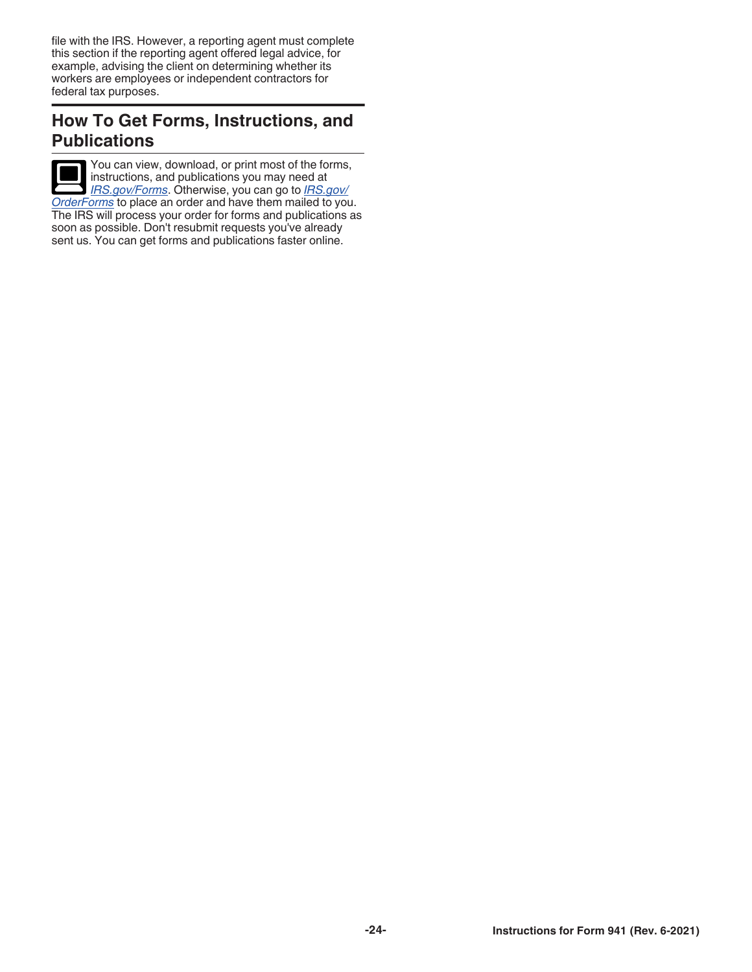file with the IRS. However, a reporting agent must complete this section if the reporting agent offered legal advice, for example, advising the client on determining whether its workers are employees or independent contractors for federal tax purposes.

## **How To Get Forms, Instructions, and Publications**

You can view, download, or print most of the forms, instructions, and publications you may need at *[IRS.gov/Forms](https://www.irs.gov/forms)*. Otherwise, you can go to *[IRS.gov/](https://www.irs.gov/orderforms) [OrderForms](https://www.irs.gov/orderforms)* to place an order and have them mailed to you. The IRS will process your order for forms and publications as soon as possible. Don't resubmit requests you've already sent us. You can get forms and publications faster online.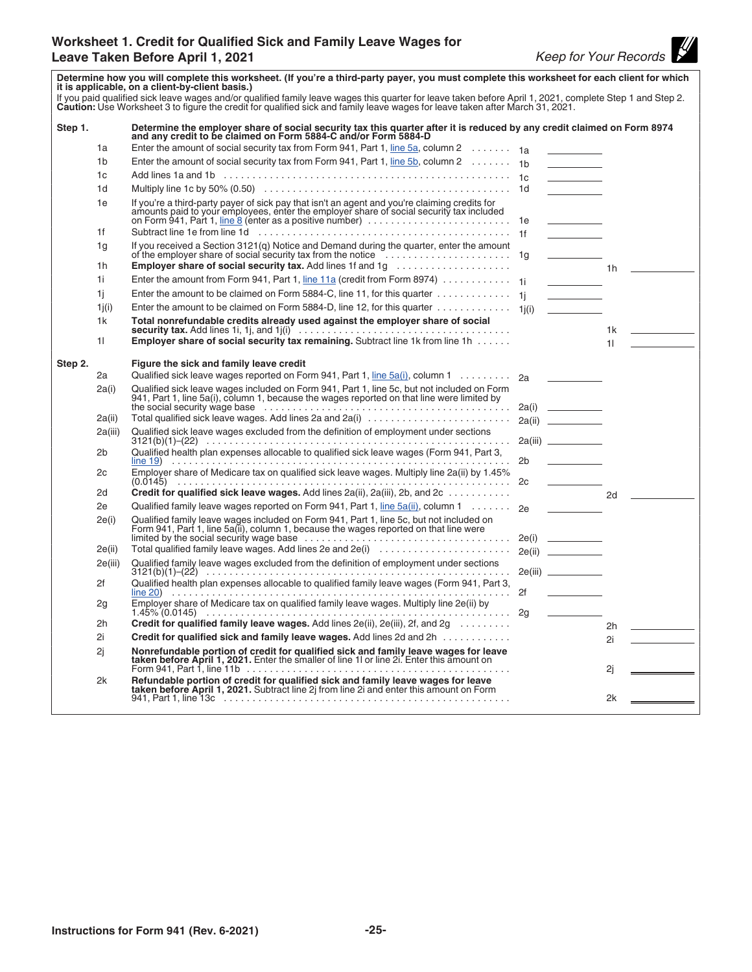

<span id="page-24-0"></span>**Determine how you will complete this worksheet. (If you're a third-party payer, you must complete this worksheet for each client for which it is applicable, on a client-by-client basis.)** lf you paid qualified sick leave wages and/or qualified family leave wages this quarter for leave taken before April 1, 2021, complete Step 1 and Step 2.<br>**Caution:** Use Worksheet 3 to figure the credit for qualified sick a **Step 1. Determine the employer share of social security tax this quarter after it is reduced by any credit claimed on Form 8974 and any credit to be claimed on Form 5884-C and/or Form 5884-D** 1a Enter the amount of social security tax from Form 941, Part 1, [line 5a,](#page-10-0) column 2 ........ 1a 1b Enter the amount of social security tax from Form 941, Part 1, [line 5b,](#page-11-0) column 2 ....... 1b 1c Add lines 1a and 1b .................................................. 1c 1d Multiply line 1c by 50% (0.50) ........................................... 1d 1e If you're a third-party payer of sick pay that isn't an agent and you're claiming credits for amounts paid to your employees, enter the employer share of social security tax included<br>on Form 941, Part 1, <u>line 8</u> (enter as a positive number) ..................... 1f Subtract line 1e from line 1d ............................................ 1f 1g If you received a Section 3121(q) Notice and Demand during the quarter, enter the amount of the employer share of social security tax from the notice ...................... 1g 1h **Employer share of social security tax.** Add lines 1f and 1g .................... 1h 1i Enter the amount from Form 941, Part 1, [line 11a](#page-13-0) (credit from Form 8974) ............ 1i 1j Enter the amount to be claimed on Form 5884-C, line 11, for this quarter . . . . . . . . . . . . . 1j 1 $j(i)$  Enter the amount to be claimed on Form 5884-D, line 12, for this quarter  $\dots\dots\dots\dots\dots$  1 $j(i)$ 1k **Total nonrefundable credits already used against the employer share of social security tax.** Add lines 1i, 1j, and 1j(i) ..................................... 1k 1l **Employer share of social security tax remaining.** Subtract line 1k from line 1h ...... 1l **Step 2. Figure the sick and family leave credit** 2a Qualified sick leave wages reported on Form 941, Part 1, [line 5a\(i\)](#page-11-0), column 1 .......... 2a 2a(i) Qualified sick leave wages included on Form 941, Part 1, line 5c, but not included on Form 941, Part 1, line 5a(i), column 1, because the wages reported on that line were limited by the social security wage base  $\ldots \ldots \ldots \ldots \ldots \ldots \ldots \ldots \ldots \ldots \ldots \ldots$ the social security was security was security and the security of  $2a(i)$ 2a(ii) Total qualified sick leave wages. Add lines 2a and 2a(i) ......................... 2a(ii) 2a(iii) Qualified sick leave wages excluded from the definition of employment under sections 3121(b)(1)–(22) ..................................................... 2a(iii) 2b Qualified health plan expenses allocable to qualified sick leave wages (Form 941, Part 3, [line 19\)](#page-21-0) ........................................................... 2b 2c Employer share of Medicare tax on qualified sick leave wages. Multiply line 2a(ii) by 1.45% (0.0145) .......................................................... 2c 2d **Credit for qualified sick leave wages.** Add lines 2a(ii), 2a(iii), 2b, and 2c ........... 2d 2e Qualified family leave wages reported on Form 941, Part 1, [line 5a\(ii\),](#page-11-0) column 1 ....... 2e 2e(i) Qualified family leave wages included on Form 941, Part 1, line 5c, but not included on Form 941, Part 1, line 5a(ii), column 1, because the wages reported on that line were limited by the social security wage base .................................... 2e(i) 2e(ii) Total qualified family leave wages. Add lines 2e and 2e(i) ....................... 2e(ii) 2e(iii) Qualified family leave wages excluded from the definition of employment under sections 3121(b)(1)–(22) ..................................................... 2e(iii) 2f Qualified health plan expenses allocable to qualified family leave wages (Form 941, Part 3, [line 20\)](#page-21-0) ........................................................... 2f 2g Employer share of Medicare tax on qualified family leave wages. Multiply line 2e(ii) by 1.45% (0.0145) ..................................................... 2g 2h **Credit for qualified family leave wages.** Add lines 2e(ii), 2e(iii), 2f, and 2g  $\ldots$ ...... 2i **Credit for qualified sick and family leave wages.** Add lines 2d and 2h ............ 2i 2j **Nonrefundable portion of credit for qualified sick and family leave wages for leave taken before April 1, 2021.** Enter the smaller of line 1l or line 2i. Enter this amount on Form 941, Part 1, line 11b .............................................. 2j 2k **Refundable portion of credit for qualified sick and family leave wages for leave taken before April 1, 2021.** Subtract line 2j from line 2i and enter this amount on Form 941, Part 1, line 13c .................................................. 2k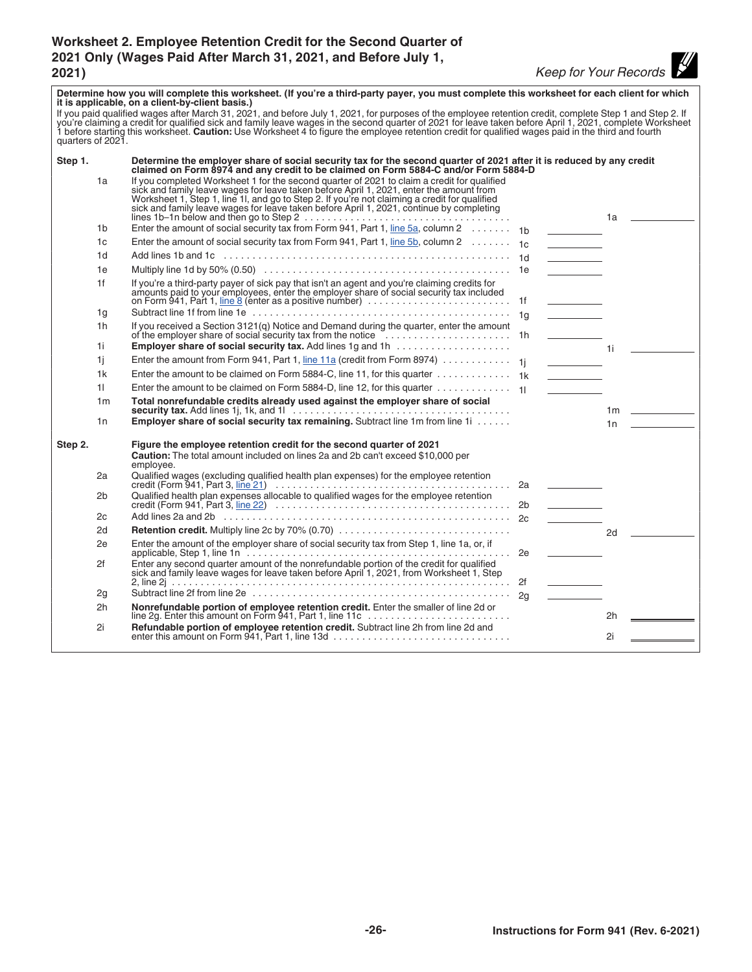## <span id="page-25-0"></span>**Worksheet 2. Employee Retention Credit for the Second Quarter of 2021 Only (Wages Paid After March 31, 2021, and Before July 1, 2021)** *Keep for Your Records*

| Determine how you will complete this worksheet. (If you're a third-party payer, you must complete this worksheet for each client for which<br>it is applicable, on a client-by-client basis.)                                                          |                |                                                                                                                                                                                                                                                                                                                                                                                                                                                                                                                      |                                                                                                                          |               |  |
|--------------------------------------------------------------------------------------------------------------------------------------------------------------------------------------------------------------------------------------------------------|----------------|----------------------------------------------------------------------------------------------------------------------------------------------------------------------------------------------------------------------------------------------------------------------------------------------------------------------------------------------------------------------------------------------------------------------------------------------------------------------------------------------------------------------|--------------------------------------------------------------------------------------------------------------------------|---------------|--|
| If you paid qualified wages after March 31, 2021, and before July 1, 2021, for purposes of the employee retention credit, complete Step 1 and Step 2. If<br>you're claiming a credit for qualified sick and family leave wages in<br>quarters of 2021. |                |                                                                                                                                                                                                                                                                                                                                                                                                                                                                                                                      |                                                                                                                          |               |  |
| Step 1.                                                                                                                                                                                                                                                |                | Determine the employer share of social security tax for the second quarter of 2021 after it is reduced by any credit<br>claimed on Form 8974 and any credit to be claimed on Form 5884-C and/or Form 5884-D                                                                                                                                                                                                                                                                                                          |                                                                                                                          |               |  |
|                                                                                                                                                                                                                                                        | 1a             | If you completed Worksheet 1 for the second quarter of 2021 to claim a credit for qualified<br>sick and family leave wages for leave taken before April 1, 2021, enter the amount from<br>Worksheet 1, Step 1, line 11, and go to Step 2. If you're not claiming a credit for qualified<br>sick and family leave wages for leave taken before April 1, 2021, continue by completing<br>lines 1b-1n below and then go to Step 2 $\ldots \ldots \ldots \ldots \ldots \ldots \ldots \ldots \ldots \ldots \ldots \ldots$ |                                                                                                                          | 1a            |  |
|                                                                                                                                                                                                                                                        | 1b             | Enter the amount of social security tax from Form 941, Part 1, line 5a, column 2 1b                                                                                                                                                                                                                                                                                                                                                                                                                                  |                                                                                                                          |               |  |
|                                                                                                                                                                                                                                                        | 1c             | Enter the amount of social security tax from Form 941, Part 1, line 5b, column 2 $\ldots \ldots$ 1c                                                                                                                                                                                                                                                                                                                                                                                                                  |                                                                                                                          |               |  |
|                                                                                                                                                                                                                                                        | 1 <sub>d</sub> |                                                                                                                                                                                                                                                                                                                                                                                                                                                                                                                      |                                                                                                                          |               |  |
|                                                                                                                                                                                                                                                        | 1e             |                                                                                                                                                                                                                                                                                                                                                                                                                                                                                                                      |                                                                                                                          |               |  |
|                                                                                                                                                                                                                                                        | 1f             | If you're a third-party payer of sick pay that isn't an agent and you're claiming credits for<br>amounts paid to your employees, enter the employer share of social security tax included<br>on Form 941, Part 1, <u>line 8</u> (enter as                                                                                                                                                                                                                                                                            |                                                                                                                          |               |  |
|                                                                                                                                                                                                                                                        | 1g             |                                                                                                                                                                                                                                                                                                                                                                                                                                                                                                                      | $\mathcal{L}^{\mathcal{L}}(\mathcal{L}^{\mathcal{L}})$ and $\mathcal{L}^{\mathcal{L}}(\mathcal{L}^{\mathcal{L}})$ . Then |               |  |
|                                                                                                                                                                                                                                                        | 1h             | If you received a Section 3121(q) Notice and Demand during the quarter, enter the amount<br>of the employer share of social security tax from the notice<br>interaction contains the motion of the employer share of social security                                                                                                                                                                                                                                                                                 |                                                                                                                          |               |  |
|                                                                                                                                                                                                                                                        | 1i             |                                                                                                                                                                                                                                                                                                                                                                                                                                                                                                                      |                                                                                                                          | 11            |  |
|                                                                                                                                                                                                                                                        | 1i             |                                                                                                                                                                                                                                                                                                                                                                                                                                                                                                                      |                                                                                                                          |               |  |
|                                                                                                                                                                                                                                                        | 1k             | Enter the amount to be claimed on Form 5884-C, line 11, for this quarter 1k                                                                                                                                                                                                                                                                                                                                                                                                                                          | <u> 1999 - Johann Barnett, f</u>                                                                                         |               |  |
|                                                                                                                                                                                                                                                        | 11             | Enter the amount to be claimed on Form 5884-D, line 12, for this quarter $\dots \dots \dots \dots$                                                                                                                                                                                                                                                                                                                                                                                                                   |                                                                                                                          |               |  |
|                                                                                                                                                                                                                                                        | 1 <sub>m</sub> | Total nonrefundable credits already used against the employer share of social                                                                                                                                                                                                                                                                                                                                                                                                                                        |                                                                                                                          | 1m __________ |  |
|                                                                                                                                                                                                                                                        | 1n             | <b>Employer share of social security tax remaining.</b> Subtract line 1m from line 1i                                                                                                                                                                                                                                                                                                                                                                                                                                |                                                                                                                          | 1n            |  |
| Step 2.                                                                                                                                                                                                                                                |                | Figure the employee retention credit for the second quarter of 2021<br><b>Caution:</b> The total amount included on lines 2a and 2b can't exceed \$10,000 per<br>employee.                                                                                                                                                                                                                                                                                                                                           |                                                                                                                          |               |  |
|                                                                                                                                                                                                                                                        | 2a             | Qualified wages (excluding qualified health plan expenses) for the employee retention                                                                                                                                                                                                                                                                                                                                                                                                                                |                                                                                                                          |               |  |
|                                                                                                                                                                                                                                                        | 2 <sub>b</sub> | Qualified health plan expenses allocable to qualified wages for the employee retention                                                                                                                                                                                                                                                                                                                                                                                                                               |                                                                                                                          |               |  |
|                                                                                                                                                                                                                                                        | 2c             |                                                                                                                                                                                                                                                                                                                                                                                                                                                                                                                      |                                                                                                                          |               |  |
|                                                                                                                                                                                                                                                        | 2d             |                                                                                                                                                                                                                                                                                                                                                                                                                                                                                                                      |                                                                                                                          | 2d            |  |
|                                                                                                                                                                                                                                                        | 2e             | Enter the amount of the employer share of social security tax from Step 1, line 1a, or, if                                                                                                                                                                                                                                                                                                                                                                                                                           |                                                                                                                          |               |  |
|                                                                                                                                                                                                                                                        | 2f             | Enter any second quarter amount of the nonrefundable portion of the credit for qualified<br>sick and family leave wages for leave taken before April 1, 2021, from Worksheet 1, Step                                                                                                                                                                                                                                                                                                                                 |                                                                                                                          |               |  |
|                                                                                                                                                                                                                                                        | 2g             |                                                                                                                                                                                                                                                                                                                                                                                                                                                                                                                      |                                                                                                                          |               |  |
|                                                                                                                                                                                                                                                        | 2h             | Nonrefundable portion of employee retention credit. Enter the smaller of line 2d or                                                                                                                                                                                                                                                                                                                                                                                                                                  |                                                                                                                          |               |  |
|                                                                                                                                                                                                                                                        |                |                                                                                                                                                                                                                                                                                                                                                                                                                                                                                                                      |                                                                                                                          | 2h            |  |
|                                                                                                                                                                                                                                                        | 2i             | Refundable portion of employee retention credit. Subtract line 2h from line 2d and<br>enter this amount on Form 941, Part 1, line 13d $\ldots \ldots \ldots \ldots \ldots \ldots \ldots \ldots \ldots \ldots$                                                                                                                                                                                                                                                                                                        |                                                                                                                          | 2i            |  |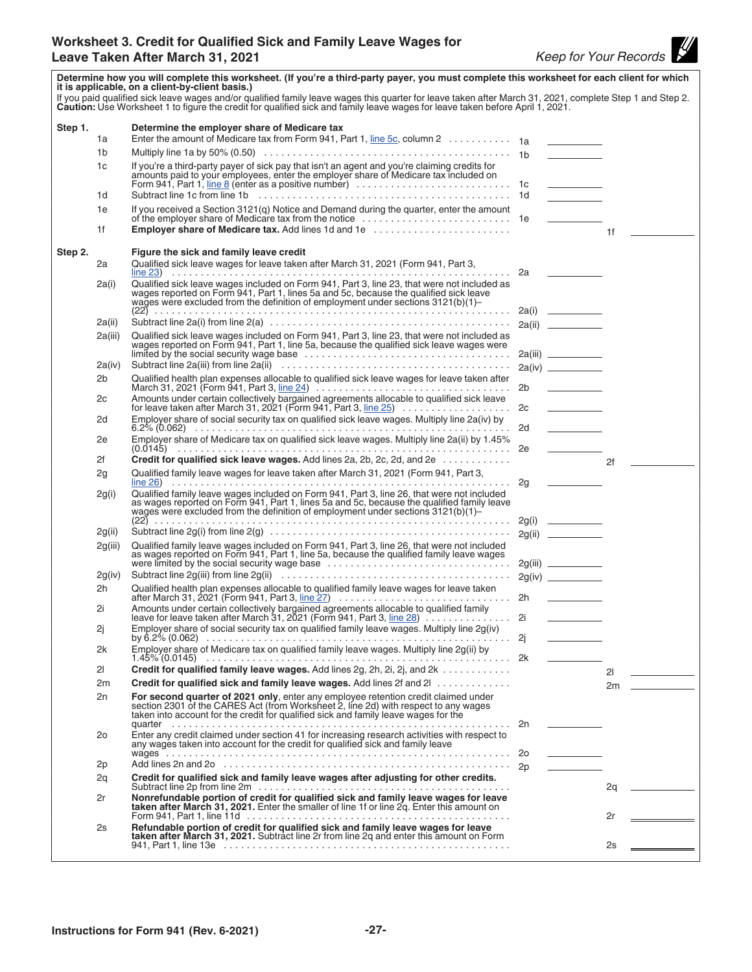<span id="page-26-0"></span>

|         |                | Determine how you will complete this worksheet. (If you're a third-party payer, you must complete this worksheet for each client for which<br>it is applicable, on a client-by-client basis.)<br>If you paid qualified sick leave wages and/or qualified family leave wages this quarter for leave taken after March 31, 2021, complete Step 1 and Step 2. |    |                                   |          |  |
|---------|----------------|------------------------------------------------------------------------------------------------------------------------------------------------------------------------------------------------------------------------------------------------------------------------------------------------------------------------------------------------------------|----|-----------------------------------|----------|--|
|         |                | Caution: Use Worksheet 1 to figure the credit for qualified sick and family leave wages for leave taken before April 1, 2021.                                                                                                                                                                                                                              |    |                                   |          |  |
| Step 1. |                | Determine the employer share of Medicare tax                                                                                                                                                                                                                                                                                                               |    |                                   |          |  |
|         | 1a             | Enter the amount of Medicare tax from Form 941, Part 1, line 5c, column 2 1a                                                                                                                                                                                                                                                                               |    |                                   |          |  |
|         | 1b             |                                                                                                                                                                                                                                                                                                                                                            |    |                                   |          |  |
|         | 1c             | If you're a third-party payer of sick pay that isn't an agent and you're claiming credits for<br>amounts paid to your employees, enter the employer share of Medicare tax included on                                                                                                                                                                      |    |                                   |          |  |
|         | 1d             |                                                                                                                                                                                                                                                                                                                                                            |    |                                   |          |  |
|         | 1e             | If you received a Section 3121(q) Notice and Demand during the quarter, enter the amount                                                                                                                                                                                                                                                                   |    |                                   |          |  |
|         | 1f             | <b>Employer share of Medicare tax.</b> Add lines 1d and 1e                                                                                                                                                                                                                                                                                                 |    |                                   | 1f       |  |
| Step 2. | 2a             | Figure the sick and family leave credit<br>Qualified sick leave wages for leave taken after March 31, 2021 (Form 941, Part 3,                                                                                                                                                                                                                              |    |                                   |          |  |
|         | 2a(i)          | Qualified sick leave wages included on Form 941, Part 3, line 23, that were not included as<br>wages reported on Form 941, Part 1, lines 5a and 5c, because the qualified sick leave<br>wages were excluded from the definition of employment under sections 3121(b)(1)-                                                                                   |    |                                   |          |  |
|         | 2a(ii)         |                                                                                                                                                                                                                                                                                                                                                            |    |                                   |          |  |
|         | 2a(iii)        |                                                                                                                                                                                                                                                                                                                                                            |    |                                   |          |  |
|         |                | Qualified sick leave wages included on Form 941, Part 3, line 23, that were not included as<br>wages reported on Form 941, Part 1, line 5a, because the qualified sick leave wages were                                                                                                                                                                    |    |                                   |          |  |
|         | 2a(iv)         |                                                                                                                                                                                                                                                                                                                                                            |    |                                   |          |  |
|         | 2b             | Qualified health plan expenses allocable to qualified sick leave wages for leave taken after                                                                                                                                                                                                                                                               |    |                                   |          |  |
|         |                | March 31, 2021 (Form 941, Part 3, line 24) $\ldots \ldots \ldots \ldots \ldots \ldots \ldots \ldots \ldots \ldots \ldots$                                                                                                                                                                                                                                  | 2b | <u>and the state of the state</u> |          |  |
|         | 2c             | Amounts under certain collectively bargained agreements allocable to qualified sick leave                                                                                                                                                                                                                                                                  |    |                                   |          |  |
|         | 2d             | Employer share of social security tax on qualified sick leave wages. Multiply line 2a(iv) by                                                                                                                                                                                                                                                               |    |                                   |          |  |
|         | 2e             | Employer share of Medicare tax on qualified sick leave wages. Multiply line 2a(ii) by 1.45%                                                                                                                                                                                                                                                                |    |                                   |          |  |
|         | 2f             | Credit for qualified sick leave wages. Add lines 2a, 2b, 2c, 2d, and 2e                                                                                                                                                                                                                                                                                    |    |                                   | 2f       |  |
|         | 2g             | Qualified family leave wages for leave taken after March 31, 2021 (Form 941, Part 3,                                                                                                                                                                                                                                                                       |    |                                   |          |  |
|         |                |                                                                                                                                                                                                                                                                                                                                                            |    |                                   |          |  |
|         | 2g(i)          | Qualified family leave wages included on Form 941, Part 3, line 26, that were not included<br>as wages reported on Form 941, Part 1, lines 5a and 5c, because the qualified family leave<br>wages were excluded from the definition of employment under sections $3121(b)(1)$ -                                                                            |    |                                   |          |  |
|         | 2g(ii)         |                                                                                                                                                                                                                                                                                                                                                            |    |                                   |          |  |
|         | 2g(iii)        | Qualified family leave wages included on Form 941, Part 3, line 26, that were not included<br>as wages reported on Form 941, Part 1, line 5a, because the qualified family leave wages                                                                                                                                                                     |    |                                   |          |  |
|         | 2g(iv)         | were limited by the social security wage base                                                                                                                                                                                                                                                                                                              |    |                                   |          |  |
|         | 2h             |                                                                                                                                                                                                                                                                                                                                                            |    |                                   |          |  |
|         |                |                                                                                                                                                                                                                                                                                                                                                            |    |                                   |          |  |
|         | 2i             | Amounts under certain collectively bargained agreements allocable to qualified family<br>leave for leave taken after March 31, 2021 (Form 941, Part 3, line 28) 2i                                                                                                                                                                                         |    |                                   |          |  |
|         | 2j             | Employer share of social security tax on qualified family leave wages. Multiply line 2g(iv)                                                                                                                                                                                                                                                                |    |                                   |          |  |
|         | 2k             | Employer share of Medicare tax on qualified family leave wages. Multiply line 2g(ii) by                                                                                                                                                                                                                                                                    |    |                                   |          |  |
|         | 21             | Credit for qualified family leave wages. Add lines 2g, 2h, 2i, 2j, and 2k                                                                                                                                                                                                                                                                                  |    |                                   | 21       |  |
|         | 2m             | Credit for qualified sick and family leave wages. Add lines 2f and 2                                                                                                                                                                                                                                                                                       |    |                                   | $2m$ $-$ |  |
|         | 2n             | For second quarter of 2021 only, enter any employee retention credit claimed under section 2301 of the CARES Act (from Worksheet 2, line 2d) with respect to any wages taken into account for the credit for qualified sick an                                                                                                                             |    |                                   |          |  |
|         | 2 <sub>o</sub> | Enter any credit claimed under section 41 for increasing research activities with respect to<br>any wages taken into account for the credit for qualified sick and family leave                                                                                                                                                                            |    |                                   |          |  |
|         | 2p             |                                                                                                                                                                                                                                                                                                                                                            |    |                                   |          |  |
|         | 2q             | Credit for qualified sick and family leave wages after adjusting for other credits.                                                                                                                                                                                                                                                                        |    |                                   | 2q       |  |
|         | 2r             | Nonrefundable portion of credit for qualified sick and family leave wages for leave<br>taken after March 31, 2021. Enter the smaller of line 1f or line 2q. Enter this amount on                                                                                                                                                                           |    |                                   |          |  |
|         | 2s             | Refundable portion of credit for qualified sick and family leave wages for leave                                                                                                                                                                                                                                                                           |    |                                   | 2r       |  |
|         |                | taken after March 31, 2021. Subtract line 2r from line 2q and enter this amount on Form                                                                                                                                                                                                                                                                    |    |                                   | 2s       |  |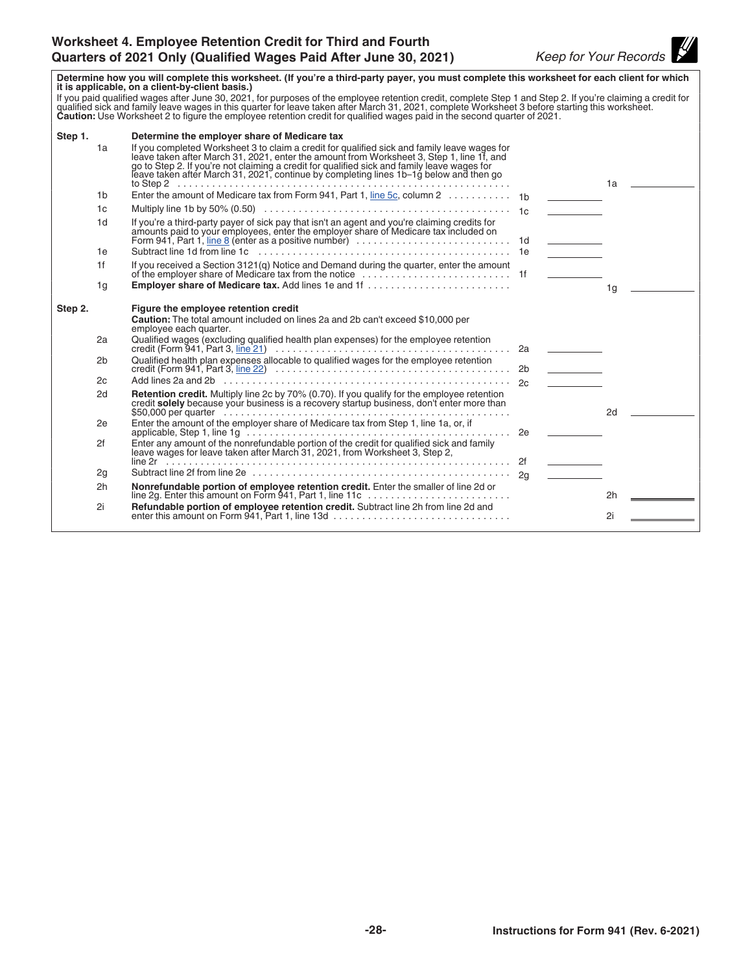<span id="page-27-0"></span>

| Determine how you will complete this worksheet. (If you're a third-party payer, you must complete this worksheet for each client for which<br>it is applicable, on a client-by-client basis.)                                                                                                                                                              |                |                                                                                                                                                                                                                                                                                                                                                                                 |    |                                                               |                |
|------------------------------------------------------------------------------------------------------------------------------------------------------------------------------------------------------------------------------------------------------------------------------------------------------------------------------------------------------------|----------------|---------------------------------------------------------------------------------------------------------------------------------------------------------------------------------------------------------------------------------------------------------------------------------------------------------------------------------------------------------------------------------|----|---------------------------------------------------------------|----------------|
| If you paid qualified wages after June 30, 2021, for purposes of the employee retention credit, complete Step 1 and Step 2. If you're claiming a credit for qualified sick and family leave wages in this quarter for leave ta<br>Caution: Use Worksheet 2 to figure the employee retention credit for qualified wages paid in the second quarter of 2021. |                |                                                                                                                                                                                                                                                                                                                                                                                 |    |                                                               |                |
| Step 1.                                                                                                                                                                                                                                                                                                                                                    |                | Determine the employer share of Medicare tax                                                                                                                                                                                                                                                                                                                                    |    |                                                               |                |
|                                                                                                                                                                                                                                                                                                                                                            | 1a             | If you completed Worksheet 3 to claim a credit for qualified sick and family leave wages for<br>leave taken after March 31, 2021, enter the amount from Worksheet 3, Step 1, line 1f, and<br>go to Step 2. If you're not claiming a credit for qualified sick and family leave wages for leave taken after March 31, 2021, continue by completing lines 1b-1g below and then go |    |                                                               | 1a l           |
|                                                                                                                                                                                                                                                                                                                                                            | 1b             | Enter the amount of Medicare tax from Form 941, Part 1, line 5c, column 2 1b                                                                                                                                                                                                                                                                                                    |    |                                                               |                |
|                                                                                                                                                                                                                                                                                                                                                            | 1c             |                                                                                                                                                                                                                                                                                                                                                                                 |    |                                                               |                |
|                                                                                                                                                                                                                                                                                                                                                            | 1 <sub>d</sub> | If you're a third-party payer of sick pay that isn't an agent and you're claiming credits for                                                                                                                                                                                                                                                                                   |    | <b>Contract Contract Contract</b>                             |                |
|                                                                                                                                                                                                                                                                                                                                                            | 1e             |                                                                                                                                                                                                                                                                                                                                                                                 |    | <u>and the state</u>                                          |                |
|                                                                                                                                                                                                                                                                                                                                                            | 1f             | If you received a Section 3121(q) Notice and Demand during the quarter, enter the amount                                                                                                                                                                                                                                                                                        |    | $\mathcal{L}^{\text{max}}$ , where $\mathcal{L}^{\text{max}}$ |                |
|                                                                                                                                                                                                                                                                                                                                                            | 1g             |                                                                                                                                                                                                                                                                                                                                                                                 |    |                                                               | 1 <sub>q</sub> |
| Step 2.                                                                                                                                                                                                                                                                                                                                                    |                | Figure the employee retention credit<br>Caution: The total amount included on lines 2a and 2b can't exceed \$10,000 per<br>employee each quarter.                                                                                                                                                                                                                               |    |                                                               |                |
|                                                                                                                                                                                                                                                                                                                                                            | 2a             | Qualified wages (excluding qualified health plan expenses) for the employee retention                                                                                                                                                                                                                                                                                           |    |                                                               |                |
|                                                                                                                                                                                                                                                                                                                                                            | 2b             | Qualified health plan expenses allocable to qualified wages for the employee retention                                                                                                                                                                                                                                                                                          | 2b |                                                               |                |
|                                                                                                                                                                                                                                                                                                                                                            | 2c             |                                                                                                                                                                                                                                                                                                                                                                                 |    |                                                               |                |
|                                                                                                                                                                                                                                                                                                                                                            | 2d             | Retention credit. Multiply line 2c by 70% (0.70). If you qualify for the employee retention credit solely because your business is a recovery startup business, don't enter more than                                                                                                                                                                                           |    |                                                               | 2d             |
|                                                                                                                                                                                                                                                                                                                                                            | 2e             | Enter the amount of the employer share of Medicare tax from Step 1, line 1a, or, if                                                                                                                                                                                                                                                                                             |    |                                                               |                |
|                                                                                                                                                                                                                                                                                                                                                            | 2f             | Enter any amount of the nonrefundable portion of the credit for qualified sick and family<br>leave wages for leave taken after March 31, 2021, from Worksheet 3, Step 2,                                                                                                                                                                                                        |    |                                                               |                |
|                                                                                                                                                                                                                                                                                                                                                            | 2g             |                                                                                                                                                                                                                                                                                                                                                                                 |    |                                                               |                |
|                                                                                                                                                                                                                                                                                                                                                            | 2h             |                                                                                                                                                                                                                                                                                                                                                                                 |    |                                                               | 2h             |
|                                                                                                                                                                                                                                                                                                                                                            | 2i             |                                                                                                                                                                                                                                                                                                                                                                                 |    |                                                               | 2i             |